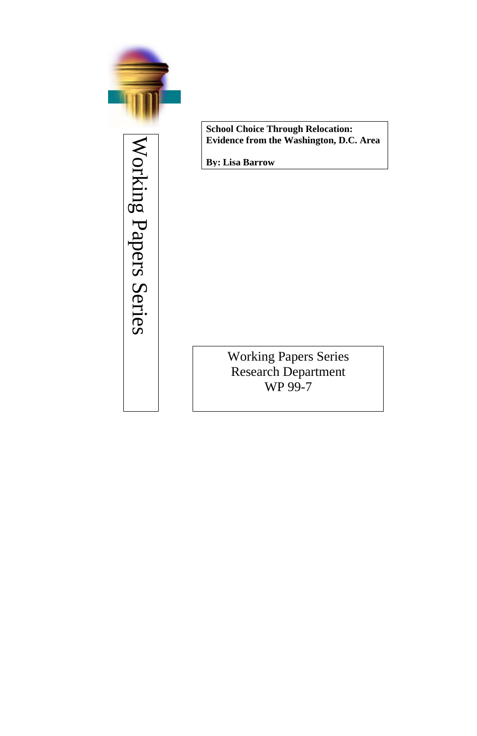

Working Papers Series Working Papers Series

**School Choice Through Relocation: Evidence from the Washington, D.C. Area**

**By: Lisa Barrow**

Working Papers Series Research Department WP 99-7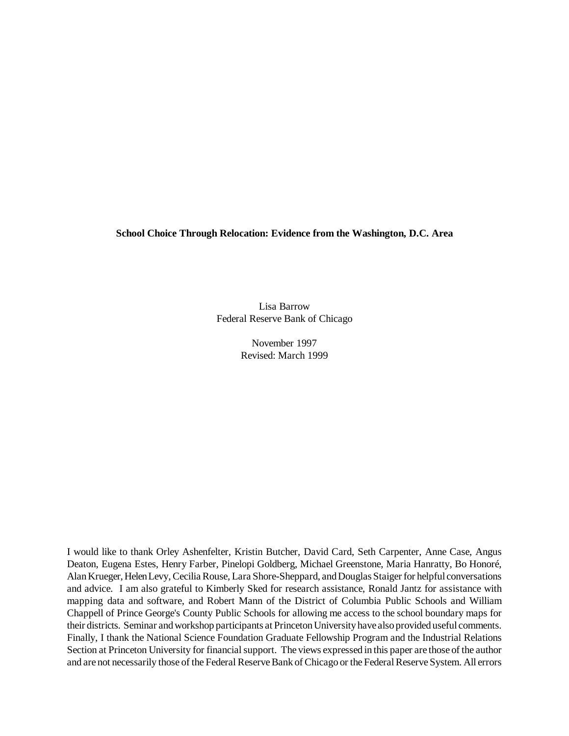**School Choice Through Relocation: Evidence from the Washington, D.C. Area**

Lisa Barrow Federal Reserve Bank of Chicago

> November 1997 Revised: March 1999

I would like to thank Orley Ashenfelter, Kristin Butcher, David Card, Seth Carpenter, Anne Case, Angus Deaton, Eugena Estes, Henry Farber, Pinelopi Goldberg, Michael Greenstone, Maria Hanratty, Bo Honoré, Alan Krueger, Helen Levy, Cecilia Rouse, Lara Shore-Sheppard, and Douglas Staiger for helpful conversations and advice. I am also grateful to Kimberly Sked for research assistance, Ronald Jantz for assistance with mapping data and software, and Robert Mann of the District of Columbia Public Schools and William Chappell of Prince George's County Public Schools for allowing me access to the school boundary maps for their districts. Seminar and workshop participants at Princeton University have also provided useful comments. Finally, I thank the National Science Foundation Graduate Fellowship Program and the Industrial Relations Section at Princeton University for financial support. The views expressed in this paper are those of the author and are not necessarily those of the Federal Reserve Bank of Chicago or the Federal Reserve System. All errors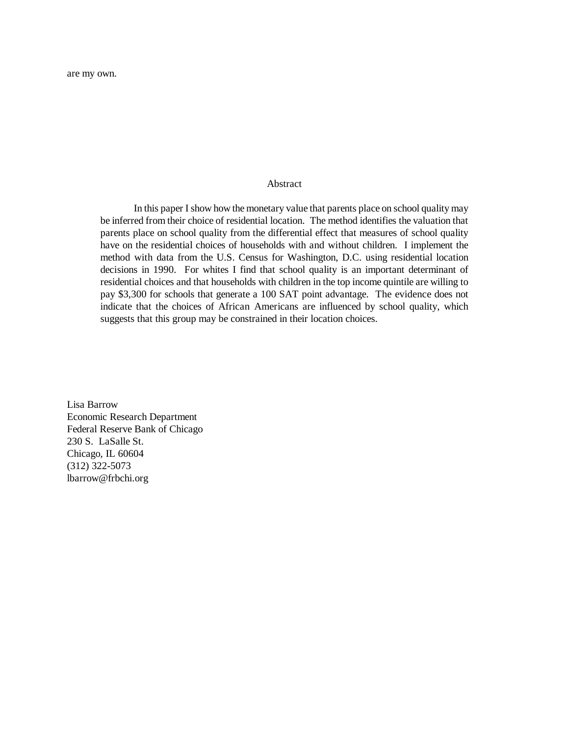### Abstract

In this paper I show how the monetary value that parents place on school quality may be inferred from their choice of residential location. The method identifies the valuation that parents place on school quality from the differential effect that measures of school quality have on the residential choices of households with and without children. I implement the method with data from the U.S. Census for Washington, D.C. using residential location decisions in 1990. For whites I find that school quality is an important determinant of residential choices and that households with children in the top income quintile are willing to pay \$3,300 for schools that generate a 100 SAT point advantage. The evidence does not indicate that the choices of African Americans are influenced by school quality, which suggests that this group may be constrained in their location choices.

Lisa Barrow Economic Research Department Federal Reserve Bank of Chicago 230 S. LaSalle St. Chicago, IL 60604 (312) 322-5073 lbarrow@frbchi.org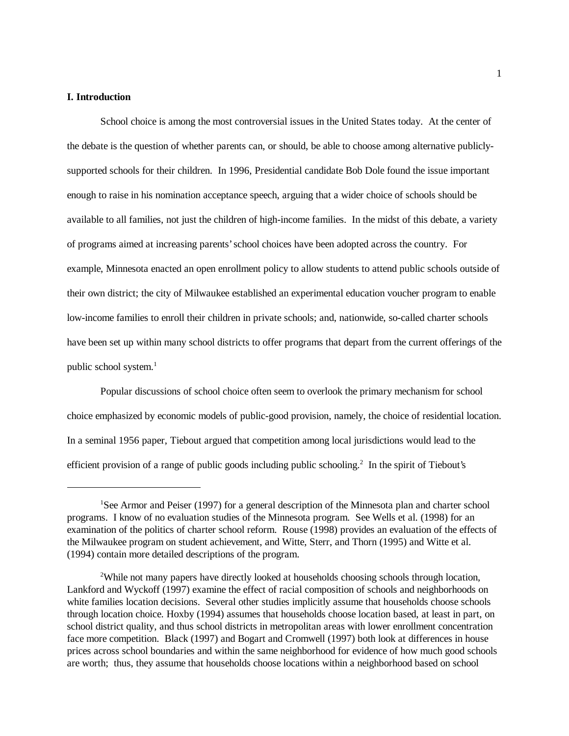## **I. Introduction**

School choice is among the most controversial issues in the United States today. At the center of the debate is the question of whether parents can, or should, be able to choose among alternative publiclysupported schools for their children. In 1996, Presidential candidate Bob Dole found the issue important enough to raise in his nomination acceptance speech, arguing that a wider choice of schools should be available to all families, not just the children of high-income families. In the midst of this debate, a variety of programs aimed at increasing parents' school choices have been adopted across the country. For example, Minnesota enacted an open enrollment policy to allow students to attend public schools outside of their own district; the city of Milwaukee established an experimental education voucher program to enable low-income families to enroll their children in private schools; and, nationwide, so-called charter schools have been set up within many school districts to offer programs that depart from the current offerings of the public school system.<sup>1</sup>

Popular discussions of school choice often seem to overlook the primary mechanism for school choice emphasized by economic models of public-good provision, namely, the choice of residential location. In a seminal 1956 paper, Tiebout argued that competition among local jurisdictions would lead to the efficient provision of a range of public goods including public schooling.<sup>2</sup> In the spirit of Tiebout's

<sup>&</sup>lt;sup>1</sup>See Armor and Peiser (1997) for a general description of the Minnesota plan and charter school programs. I know of no evaluation studies of the Minnesota program. See Wells et al. (1998) for an examination of the politics of charter school reform. Rouse (1998) provides an evaluation of the effects of the Milwaukee program on student achievement, and Witte, Sterr, and Thorn (1995) and Witte et al. (1994) contain more detailed descriptions of the program.

<sup>&</sup>lt;sup>2</sup>While not many papers have directly looked at households choosing schools through location, Lankford and Wyckoff (1997) examine the effect of racial composition of schools and neighborhoods on white families location decisions. Several other studies implicitly assume that households choose schools through location choice. Hoxby (1994) assumes that households choose location based, at least in part, on school district quality, and thus school districts in metropolitan areas with lower enrollment concentration face more competition. Black (1997) and Bogart and Cromwell (1997) both look at differences in house prices across school boundaries and within the same neighborhood for evidence of how much good schools are worth; thus, they assume that households choose locations within a neighborhood based on school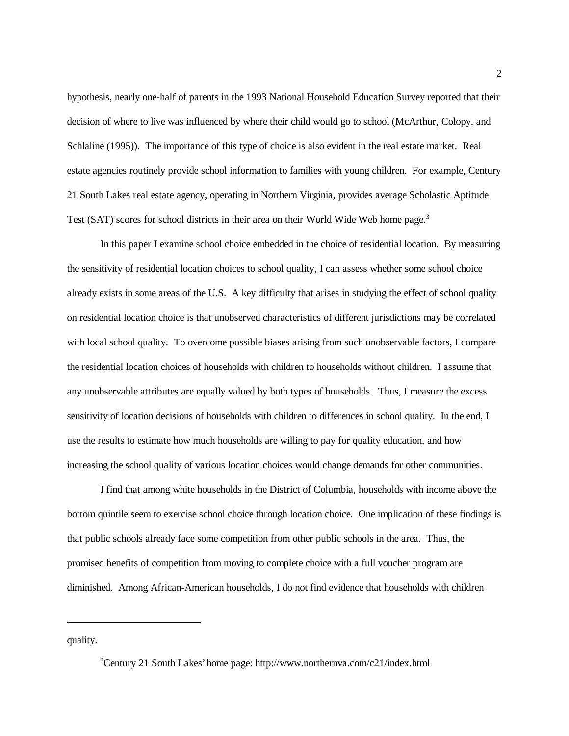hypothesis, nearly one-half of parents in the 1993 National Household Education Survey reported that their decision of where to live was influenced by where their child would go to school (McArthur, Colopy, and Schlaline (1995)). The importance of this type of choice is also evident in the real estate market. Real estate agencies routinely provide school information to families with young children. For example, Century 21 South Lakes real estate agency, operating in Northern Virginia, provides average Scholastic Aptitude Test (SAT) scores for school districts in their area on their World Wide Web home page.<sup>3</sup>

In this paper I examine school choice embedded in the choice of residential location. By measuring the sensitivity of residential location choices to school quality, I can assess whether some school choice already exists in some areas of the U.S. A key difficulty that arises in studying the effect of school quality on residential location choice is that unobserved characteristics of different jurisdictions may be correlated with local school quality. To overcome possible biases arising from such unobservable factors, I compare the residential location choices of households with children to households without children. I assume that any unobservable attributes are equally valued by both types of households. Thus, I measure the excess sensitivity of location decisions of households with children to differences in school quality. In the end, I use the results to estimate how much households are willing to pay for quality education, and how increasing the school quality of various location choices would change demands for other communities.

I find that among white households in the District of Columbia, households with income above the bottom quintile seem to exercise school choice through location choice. One implication of these findings is that public schools already face some competition from other public schools in the area. Thus, the promised benefits of competition from moving to complete choice with a full voucher program are diminished. Among African-American households, I do not find evidence that households with children

quality.

<sup>3</sup> Century 21 South Lakes' home page: http://www.northernva.com/c21/index.html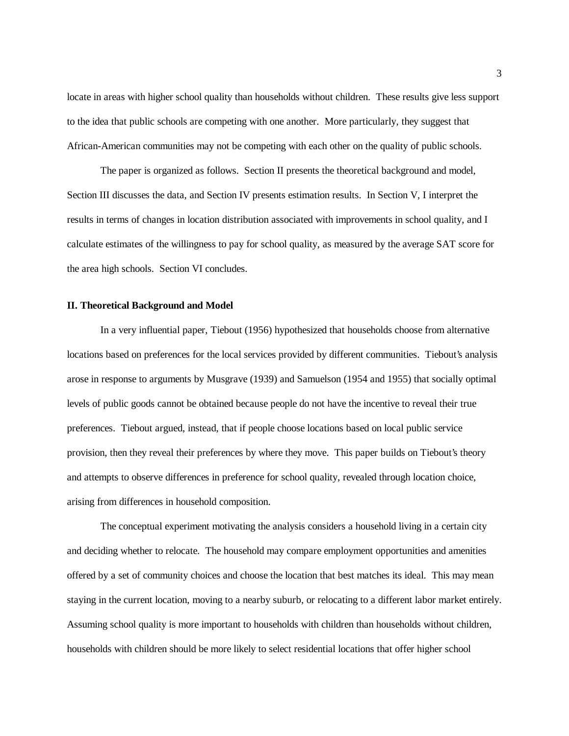locate in areas with higher school quality than households without children. These results give less support to the idea that public schools are competing with one another. More particularly, they suggest that African-American communities may not be competing with each other on the quality of public schools.

The paper is organized as follows. Section II presents the theoretical background and model, Section III discusses the data, and Section IV presents estimation results. In Section V, I interpret the results in terms of changes in location distribution associated with improvements in school quality, and I calculate estimates of the willingness to pay for school quality, as measured by the average SAT score for the area high schools. Section VI concludes.

### **II. Theoretical Background and Model**

In a very influential paper, Tiebout (1956) hypothesized that households choose from alternative locations based on preferences for the local services provided by different communities. Tiebout's analysis arose in response to arguments by Musgrave (1939) and Samuelson (1954 and 1955) that socially optimal levels of public goods cannot be obtained because people do not have the incentive to reveal their true preferences. Tiebout argued, instead, that if people choose locations based on local public service provision, then they reveal their preferences by where they move. This paper builds on Tiebout's theory and attempts to observe differences in preference for school quality, revealed through location choice, arising from differences in household composition.

The conceptual experiment motivating the analysis considers a household living in a certain city and deciding whether to relocate. The household may compare employment opportunities and amenities offered by a set of community choices and choose the location that best matches its ideal. This may mean staying in the current location, moving to a nearby suburb, or relocating to a different labor market entirely. Assuming school quality is more important to households with children than households without children, households with children should be more likely to select residential locations that offer higher school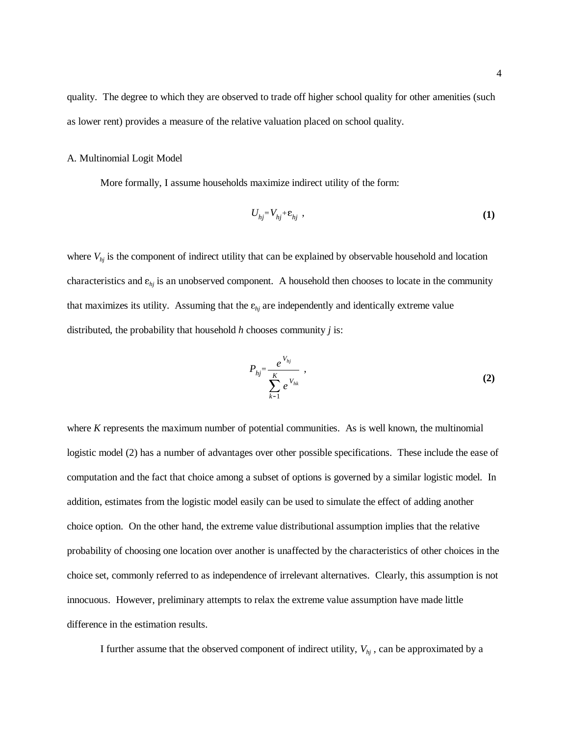quality. The degree to which they are observed to trade off higher school quality for other amenities (such as lower rent) provides a measure of the relative valuation placed on school quality.

### A. Multinomial Logit Model

More formally, I assume households maximize indirect utility of the form:

$$
U_{hj} = V_{hj} + \varepsilon_{hj} \tag{1}
$$

where  $V_{hj}$  is the component of indirect utility that can be explained by observable household and location characteristics and  $\varepsilon_{hj}$  is an unobserved component. A household then chooses to locate in the community that maximizes its utility. Assuming that the  $\varepsilon_{hj}$  are independently and identically extreme value distributed, the probability that household *h* chooses community *j* is:

$$
P_{hj} = \frac{e^{V_{hj}}}{\sum_{k=1}^{K} e^{V_{hk}}} \tag{2}
$$

where *K* represents the maximum number of potential communities. As is well known, the multinomial logistic model (2) has a number of advantages over other possible specifications. These include the ease of computation and the fact that choice among a subset of options is governed by a similar logistic model. In addition, estimates from the logistic model easily can be used to simulate the effect of adding another choice option. On the other hand, the extreme value distributional assumption implies that the relative probability of choosing one location over another is unaffected by the characteristics of other choices in the choice set, commonly referred to as independence of irrelevant alternatives. Clearly, this assumption is not innocuous. However, preliminary attempts to relax the extreme value assumption have made little difference in the estimation results.

I further assume that the observed component of indirect utility,  $V_{hi}$ , can be approximated by a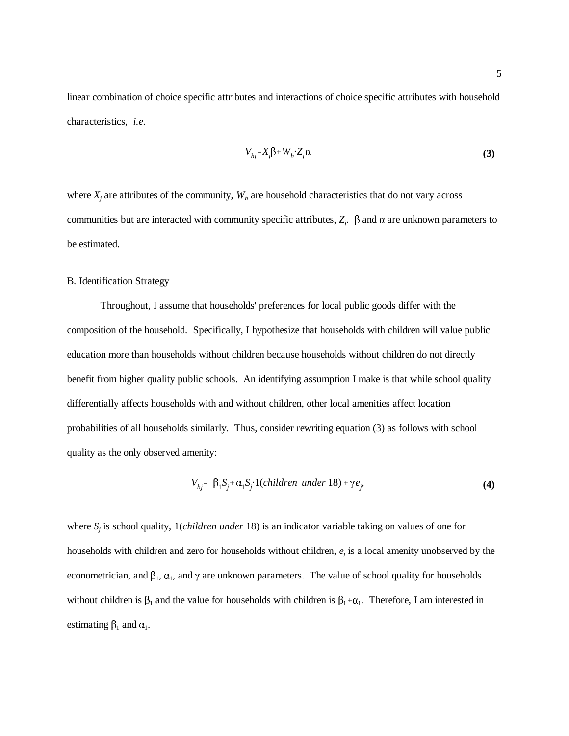linear combination of choice specific attributes and interactions of choice specific attributes with household characteristics, *i.e.*

$$
V_{hj} = X_j \beta + W_h Z_j \alpha \tag{3}
$$

where  $X_j$  are attributes of the community,  $W_h$  are household characteristics that do not vary across communities but are interacted with community specific attributes,  $Z_j$ .  $\beta$  and  $\alpha$  are unknown parameters to be estimated.

# B. Identification Strategy

Throughout, I assume that households' preferences for local public goods differ with the composition of the household. Specifically, I hypothesize that households with children will value public education more than households without children because households without children do not directly benefit from higher quality public schools. An identifying assumption I make is that while school quality differentially affects households with and without children, other local amenities affect location probabilities of all households similarly. Thus, consider rewriting equation (3) as follows with school quality as the only observed amenity:

$$
V_{hj} = \beta_1 S_j + \alpha_1 S_j \cdot 1 \text{(children under 18)} + \gamma e_j, \tag{4}
$$

where *Sj* is school quality, 1(*children under* 18) is an indicator variable taking on values of one for households with children and zero for households without children, *ej* is a local amenity unobserved by the econometrician, and  $\beta_1$ ,  $\alpha_1$ , and  $\gamma$  are unknown parameters. The value of school quality for households without children is  $\beta_1$  and the value for households with children is  $\beta_1 + \alpha_1$ . Therefore, I am interested in estimating  $\beta_1$  and  $\alpha_1$ .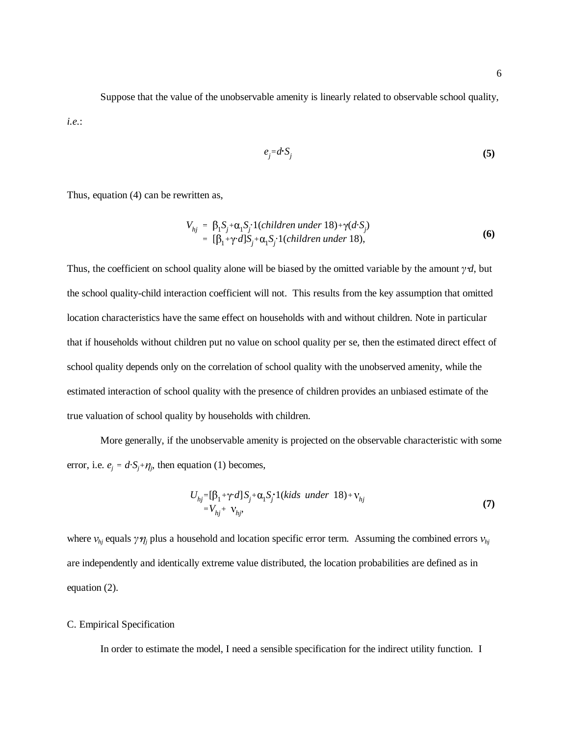Suppose that the value of the unobservable amenity is linearly related to observable school quality, *i.e.*:

$$
e_j = d \cdot S_j \tag{5}
$$

Thus, equation (4) can be rewritten as,

$$
V_{hj} = \beta_1 S_j + \alpha_1 S_j \cdot 1 \text{(children under 18)} + \gamma \text{(d} \cdot S_j)
$$
  
= 
$$
[\beta_1 + \gamma \cdot d] S_j + \alpha_1 S_j \cdot 1 \text{(children under 18)},
$$
 (6)

Thus, the coefficient on school quality alone will be biased by the omitted variable by the amount  $\gamma d$ , but the school quality-child interaction coefficient will not. This results from the key assumption that omitted location characteristics have the same effect on households with and without children. Note in particular that if households without children put no value on school quality per se, then the estimated direct effect of school quality depends only on the correlation of school quality with the unobserved amenity, while the estimated interaction of school quality with the presence of children provides an unbiased estimate of the true valuation of school quality by households with children.

More generally, if the unobservable amenity is projected on the observable characteristic with some error, i.e.  $e_j = d \cdot S_j + \eta_j$ , then equation (1) becomes,

$$
U_{hj} = [\beta_1 + \gamma \cdot d] S_j + \alpha_1 S_j \cdot 1(kids \ under \ 18) + \nu_{hj}
$$
  
=  $V_{hj} + \nu_{hj}$ , (7)

 $\mathbf{v}_{hj} \cdot \mathbf{v}_{hj}$ ,<br>where  $v_{hj}$  equals  $\gamma \eta_j$  plus a household and location specific error term. Assuming the combined errors  $v_{hj}$ are independently and identically extreme value distributed, the location probabilities are defined as in equation (2).

# C. Empirical Specification

In order to estimate the model, I need a sensible specification for the indirect utility function. I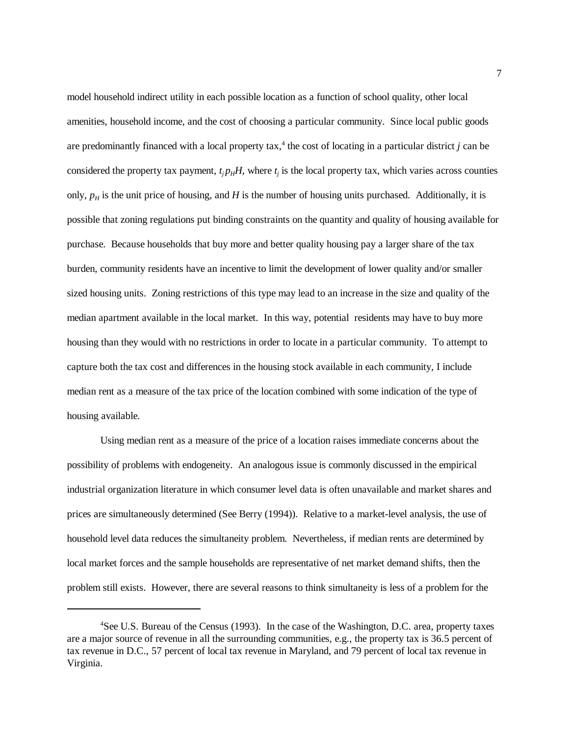model household indirect utility in each possible location as a function of school quality, other local amenities, household income, and the cost of choosing a particular community. Since local public goods are predominantly financed with a local property  $\text{tax},^4$  the cost of locating in a particular district *j* can be considered the property tax payment,  $t_j p_H H$ , where  $t_j$  is the local property tax, which varies across counties only,  $p_H$  is the unit price of housing, and *H* is the number of housing units purchased. Additionally, it is possible that zoning regulations put binding constraints on the quantity and quality of housing available for purchase. Because households that buy more and better quality housing pay a larger share of the tax burden, community residents have an incentive to limit the development of lower quality and/or smaller sized housing units. Zoning restrictions of this type may lead to an increase in the size and quality of the median apartment available in the local market. In this way, potential residents may have to buy more housing than they would with no restrictions in order to locate in a particular community. To attempt to capture both the tax cost and differences in the housing stock available in each community, I include median rent as a measure of the tax price of the location combined with some indication of the type of housing available.

Using median rent as a measure of the price of a location raises immediate concerns about the possibility of problems with endogeneity. An analogous issue is commonly discussed in the empirical industrial organization literature in which consumer level data is often unavailable and market shares and prices are simultaneously determined (See Berry (1994)). Relative to a market-level analysis, the use of household level data reduces the simultaneity problem. Nevertheless, if median rents are determined by local market forces and the sample households are representative of net market demand shifts, then the problem still exists. However, there are several reasons to think simultaneity is less of a problem for the

<sup>&</sup>lt;sup>4</sup>See U.S. Bureau of the Census (1993). In the case of the Washington, D.C. area, property taxes are a major source of revenue in all the surrounding communities, e.g., the property tax is 36.5 percent of tax revenue in D.C., 57 percent of local tax revenue in Maryland, and 79 percent of local tax revenue in Virginia.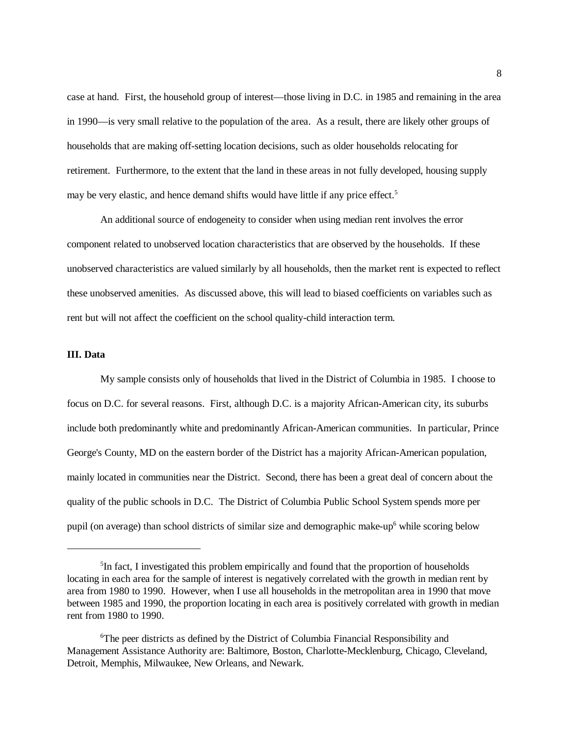case at hand. First, the household group of interest—those living in D.C. in 1985 and remaining in the area in 1990—is very small relative to the population of the area. As a result, there are likely other groups of households that are making off-setting location decisions, such as older households relocating for retirement. Furthermore, to the extent that the land in these areas in not fully developed, housing supply may be very elastic, and hence demand shifts would have little if any price effect.<sup>5</sup>

An additional source of endogeneity to consider when using median rent involves the error component related to unobserved location characteristics that are observed by the households. If these unobserved characteristics are valued similarly by all households, then the market rent is expected to reflect these unobserved amenities. As discussed above, this will lead to biased coefficients on variables such as rent but will not affect the coefficient on the school quality-child interaction term.

### **III. Data**

My sample consists only of households that lived in the District of Columbia in 1985. I choose to focus on D.C. for several reasons. First, although D.C. is a majority African-American city, its suburbs include both predominantly white and predominantly African-American communities. In particular, Prince George's County, MD on the eastern border of the District has a majority African-American population, mainly located in communities near the District. Second, there has been a great deal of concern about the quality of the public schools in D.C. The District of Columbia Public School System spends more per pupil (on average) than school districts of similar size and demographic make-up<sup>6</sup> while scoring below

<sup>&</sup>lt;sup>5</sup>In fact, I investigated this problem empirically and found that the proportion of households locating in each area for the sample of interest is negatively correlated with the growth in median rent by area from 1980 to 1990. However, when I use all households in the metropolitan area in 1990 that move between 1985 and 1990, the proportion locating in each area is positively correlated with growth in median rent from 1980 to 1990.

<sup>6</sup> The peer districts as defined by the District of Columbia Financial Responsibility and Management Assistance Authority are: Baltimore, Boston, Charlotte-Mecklenburg, Chicago, Cleveland, Detroit, Memphis, Milwaukee, New Orleans, and Newark.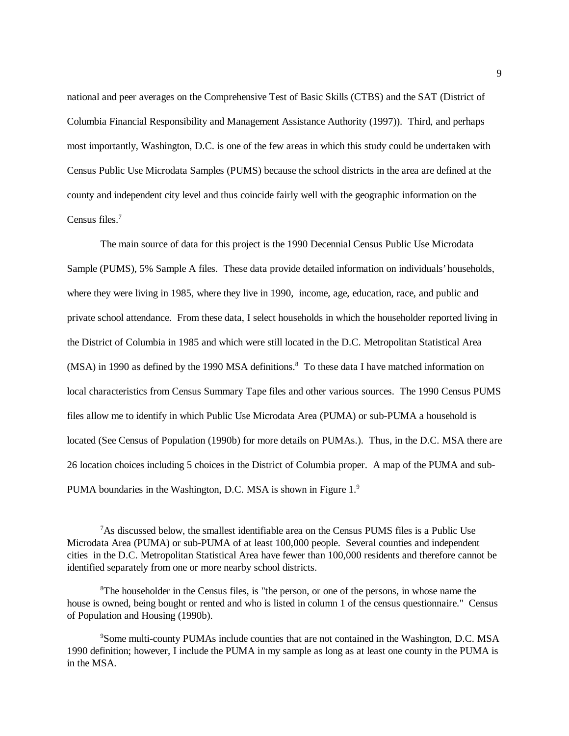national and peer averages on the Comprehensive Test of Basic Skills (CTBS) and the SAT (District of Columbia Financial Responsibility and Management Assistance Authority (1997)). Third, and perhaps most importantly, Washington, D.C. is one of the few areas in which this study could be undertaken with Census Public Use Microdata Samples (PUMS) because the school districts in the area are defined at the county and independent city level and thus coincide fairly well with the geographic information on the Census files.7

The main source of data for this project is the 1990 Decennial Census Public Use Microdata Sample (PUMS), 5% Sample A files. These data provide detailed information on individuals' households, where they were living in 1985, where they live in 1990, income, age, education, race, and public and private school attendance. From these data, I select households in which the householder reported living in the District of Columbia in 1985 and which were still located in the D.C. Metropolitan Statistical Area (MSA) in 1990 as defined by the 1990 MSA definitions.<sup>8</sup> To these data I have matched information on local characteristics from Census Summary Tape files and other various sources. The 1990 Census PUMS files allow me to identify in which Public Use Microdata Area (PUMA) or sub-PUMA a household is located (See Census of Population (1990b) for more details on PUMAs.). Thus, in the D.C. MSA there are 26 location choices including 5 choices in the District of Columbia proper. A map of the PUMA and sub-PUMA boundaries in the Washington, D.C. MSA is shown in Figure 1.9

<sup>&</sup>lt;sup>7</sup>As discussed below, the smallest identifiable area on the Census PUMS files is a Public Use Microdata Area (PUMA) or sub-PUMA of at least 100,000 people. Several counties and independent cities in the D.C. Metropolitan Statistical Area have fewer than 100,000 residents and therefore cannot be identified separately from one or more nearby school districts.

<sup>&</sup>lt;sup>8</sup>The householder in the Census files, is "the person, or one of the persons, in whose name the house is owned, being bought or rented and who is listed in column 1 of the census questionnaire." Census of Population and Housing (1990b).

<sup>9</sup> Some multi-county PUMAs include counties that are not contained in the Washington, D.C. MSA 1990 definition; however, I include the PUMA in my sample as long as at least one county in the PUMA is in the MSA.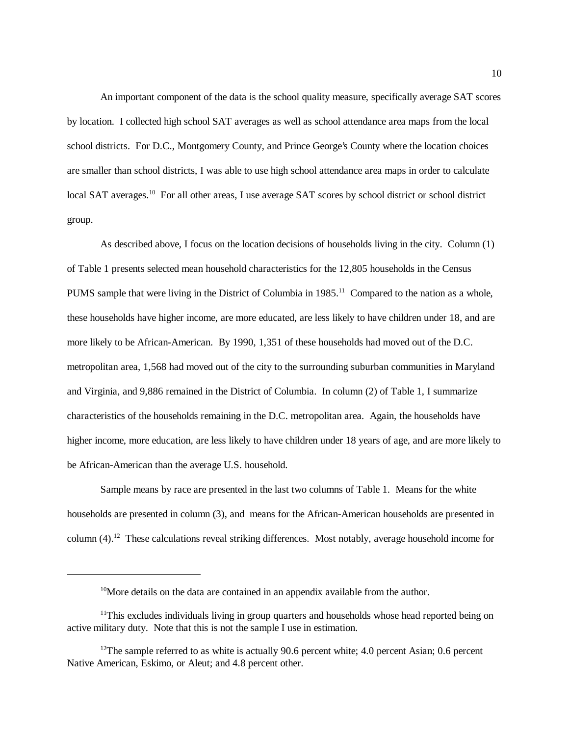An important component of the data is the school quality measure, specifically average SAT scores by location. I collected high school SAT averages as well as school attendance area maps from the local school districts. For D.C., Montgomery County, and Prince George's County where the location choices are smaller than school districts, I was able to use high school attendance area maps in order to calculate local SAT averages.<sup>10</sup> For all other areas, I use average SAT scores by school district or school district group.

As described above, I focus on the location decisions of households living in the city. Column (1) of Table 1 presents selected mean household characteristics for the 12,805 households in the Census PUMS sample that were living in the District of Columbia in  $1985<sup>11</sup>$  Compared to the nation as a whole, these households have higher income, are more educated, are less likely to have children under 18, and are more likely to be African-American. By 1990, 1,351 of these households had moved out of the D.C. metropolitan area, 1,568 had moved out of the city to the surrounding suburban communities in Maryland and Virginia, and 9,886 remained in the District of Columbia. In column (2) of Table 1, I summarize characteristics of the households remaining in the D.C. metropolitan area. Again, the households have higher income, more education, are less likely to have children under 18 years of age, and are more likely to be African-American than the average U.S. household.

Sample means by race are presented in the last two columns of Table 1. Means for the white households are presented in column (3), and means for the African-American households are presented in column  $(4)$ .<sup>12</sup> These calculations reveal striking differences. Most notably, average household income for

<sup>&</sup>lt;sup>10</sup>More details on the data are contained in an appendix available from the author.

<sup>&</sup>lt;sup>11</sup>This excludes individuals living in group quarters and households whose head reported being on active military duty. Note that this is not the sample I use in estimation.

<sup>&</sup>lt;sup>12</sup>The sample referred to as white is actually 90.6 percent white; 4.0 percent Asian; 0.6 percent Native American, Eskimo, or Aleut; and 4.8 percent other.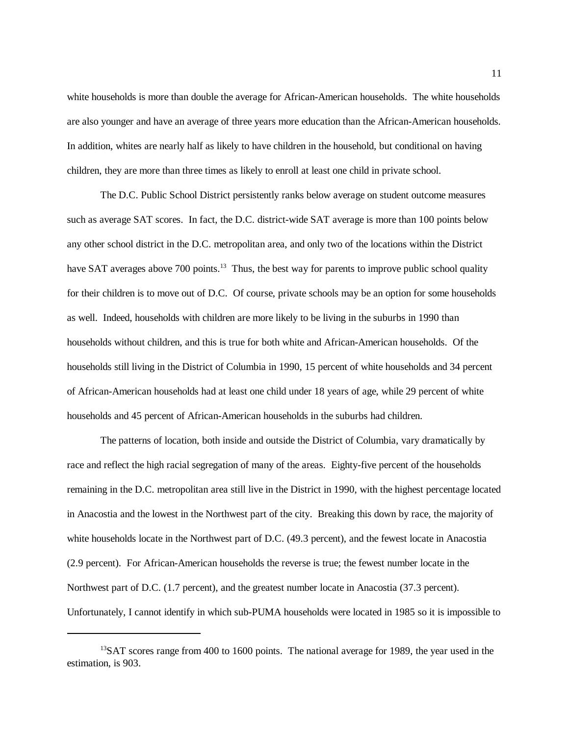white households is more than double the average for African-American households. The white households are also younger and have an average of three years more education than the African-American households. In addition, whites are nearly half as likely to have children in the household, but conditional on having children, they are more than three times as likely to enroll at least one child in private school.

The D.C. Public School District persistently ranks below average on student outcome measures such as average SAT scores. In fact, the D.C. district-wide SAT average is more than 100 points below any other school district in the D.C. metropolitan area, and only two of the locations within the District have SAT averages above 700 points.<sup>13</sup> Thus, the best way for parents to improve public school quality for their children is to move out of D.C. Of course, private schools may be an option for some households as well. Indeed, households with children are more likely to be living in the suburbs in 1990 than households without children, and this is true for both white and African-American households. Of the households still living in the District of Columbia in 1990, 15 percent of white households and 34 percent of African-American households had at least one child under 18 years of age, while 29 percent of white households and 45 percent of African-American households in the suburbs had children.

The patterns of location, both inside and outside the District of Columbia, vary dramatically by race and reflect the high racial segregation of many of the areas. Eighty-five percent of the households remaining in the D.C. metropolitan area still live in the District in 1990, with the highest percentage located in Anacostia and the lowest in the Northwest part of the city. Breaking this down by race, the majority of white households locate in the Northwest part of D.C. (49.3 percent), and the fewest locate in Anacostia (2.9 percent). For African-American households the reverse is true; the fewest number locate in the Northwest part of D.C. (1.7 percent), and the greatest number locate in Anacostia (37.3 percent). Unfortunately, I cannot identify in which sub-PUMA households were located in 1985 so it is impossible to

<sup>&</sup>lt;sup>13</sup>SAT scores range from 400 to 1600 points. The national average for 1989, the year used in the estimation, is 903.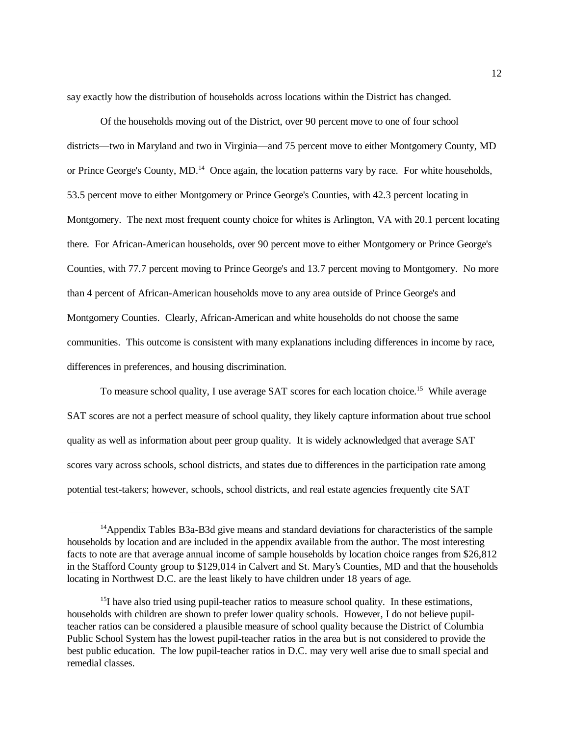say exactly how the distribution of households across locations within the District has changed.

Of the households moving out of the District, over 90 percent move to one of four school districts—two in Maryland and two in Virginia—and 75 percent move to either Montgomery County, MD or Prince George's County, MD.<sup>14</sup> Once again, the location patterns vary by race. For white households, 53.5 percent move to either Montgomery or Prince George's Counties, with 42.3 percent locating in Montgomery. The next most frequent county choice for whites is Arlington, VA with 20.1 percent locating there. For African-American households, over 90 percent move to either Montgomery or Prince George's Counties, with 77.7 percent moving to Prince George's and 13.7 percent moving to Montgomery. No more than 4 percent of African-American households move to any area outside of Prince George's and Montgomery Counties. Clearly, African-American and white households do not choose the same communities. This outcome is consistent with many explanations including differences in income by race, differences in preferences, and housing discrimination.

To measure school quality, I use average SAT scores for each location choice.<sup>15</sup> While average SAT scores are not a perfect measure of school quality, they likely capture information about true school quality as well as information about peer group quality. It is widely acknowledged that average SAT scores vary across schools, school districts, and states due to differences in the participation rate among potential test-takers; however, schools, school districts, and real estate agencies frequently cite SAT

<sup>&</sup>lt;sup>14</sup>Appendix Tables B3a-B3d give means and standard deviations for characteristics of the sample households by location and are included in the appendix available from the author. The most interesting facts to note are that average annual income of sample households by location choice ranges from \$26,812 in the Stafford County group to \$129,014 in Calvert and St. Mary's Counties, MD and that the households locating in Northwest D.C. are the least likely to have children under 18 years of age.

 $<sup>15</sup>I$  have also tried using pupil-teacher ratios to measure school quality. In these estimations,</sup> households with children are shown to prefer lower quality schools. However, I do not believe pupilteacher ratios can be considered a plausible measure of school quality because the District of Columbia Public School System has the lowest pupil-teacher ratios in the area but is not considered to provide the best public education. The low pupil-teacher ratios in D.C. may very well arise due to small special and remedial classes.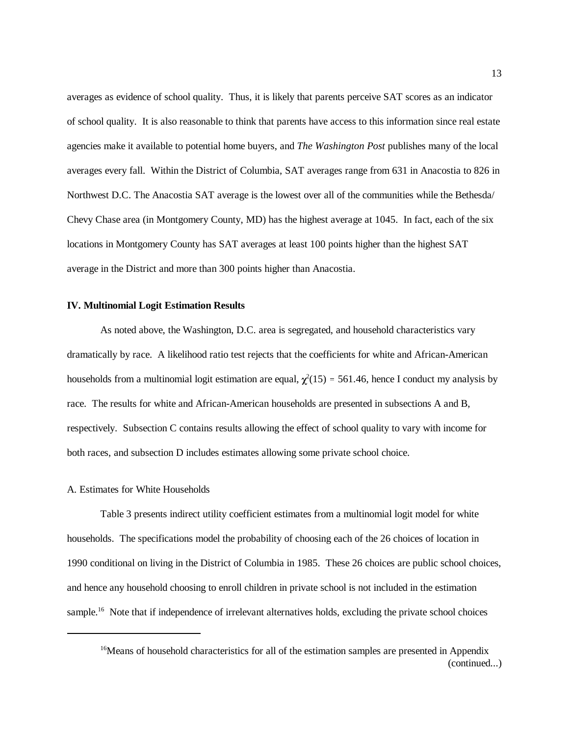averages as evidence of school quality. Thus, it is likely that parents perceive SAT scores as an indicator of school quality. It is also reasonable to think that parents have access to this information since real estate agencies make it available to potential home buyers, and *The Washington Post* publishes many of the local averages every fall. Within the District of Columbia, SAT averages range from 631 in Anacostia to 826 in Northwest D.C. The Anacostia SAT average is the lowest over all of the communities while the Bethesda/ Chevy Chase area (in Montgomery County, MD) has the highest average at 1045. In fact, each of the six locations in Montgomery County has SAT averages at least 100 points higher than the highest SAT average in the District and more than 300 points higher than Anacostia.

### **IV. Multinomial Logit Estimation Results**

As noted above, the Washington, D.C. area is segregated, and household characteristics vary dramatically by race. A likelihood ratio test rejects that the coefficients for white and African-American households from a multinomial logit estimation are equal,  $\chi^2(15) = 561.46$ , hence I conduct my analysis by race. The results for white and African-American households are presented in subsections A and B, respectively. Subsection C contains results allowing the effect of school quality to vary with income for both races, and subsection D includes estimates allowing some private school choice.

#### A. Estimates for White Households

Table 3 presents indirect utility coefficient estimates from a multinomial logit model for white households. The specifications model the probability of choosing each of the 26 choices of location in 1990 conditional on living in the District of Columbia in 1985. These 26 choices are public school choices, and hence any household choosing to enroll children in private school is not included in the estimation sample.<sup>16</sup> Note that if independence of irrelevant alternatives holds, excluding the private school choices

<sup>&</sup>lt;sup>16</sup>Means of household characteristics for all of the estimation samples are presented in Appendix (continued...)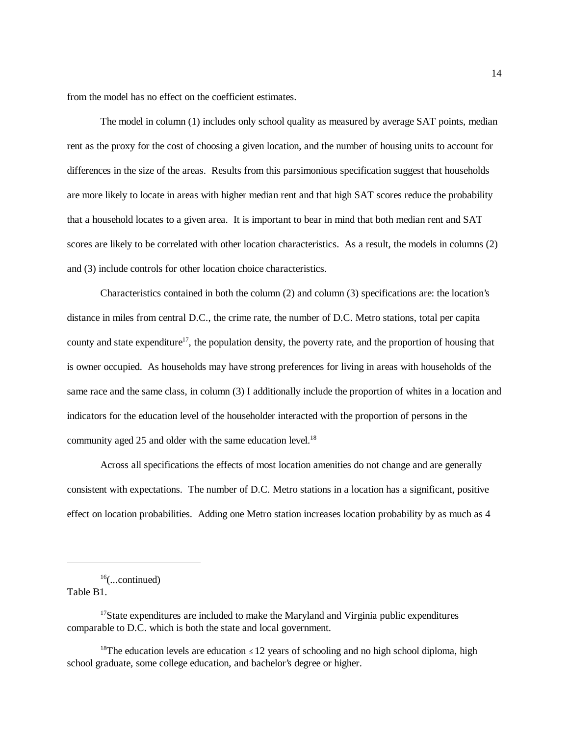from the model has no effect on the coefficient estimates.

The model in column (1) includes only school quality as measured by average SAT points, median rent as the proxy for the cost of choosing a given location, and the number of housing units to account for differences in the size of the areas. Results from this parsimonious specification suggest that households are more likely to locate in areas with higher median rent and that high SAT scores reduce the probability that a household locates to a given area. It is important to bear in mind that both median rent and SAT scores are likely to be correlated with other location characteristics. As a result, the models in columns (2) and (3) include controls for other location choice characteristics.

Characteristics contained in both the column (2) and column (3) specifications are: the location's distance in miles from central D.C., the crime rate, the number of D.C. Metro stations, total per capita county and state expenditure<sup>17</sup>, the population density, the poverty rate, and the proportion of housing that is owner occupied. As households may have strong preferences for living in areas with households of the same race and the same class, in column (3) I additionally include the proportion of whites in a location and indicators for the education level of the householder interacted with the proportion of persons in the community aged 25 and older with the same education level.<sup>18</sup>

Across all specifications the effects of most location amenities do not change and are generally consistent with expectations. The number of D.C. Metro stations in a location has a significant, positive effect on location probabilities. Adding one Metro station increases location probability by as much as 4

Table B1.

 $16$ (...continued)

<sup>&</sup>lt;sup>17</sup>State expenditures are included to make the Maryland and Virginia public expenditures comparable to D.C. which is both the state and local government.

<sup>&</sup>lt;sup>18</sup>The education levels are education  $\leq 12$  years of schooling and no high school diploma, high school graduate, some college education, and bachelor's degree or higher.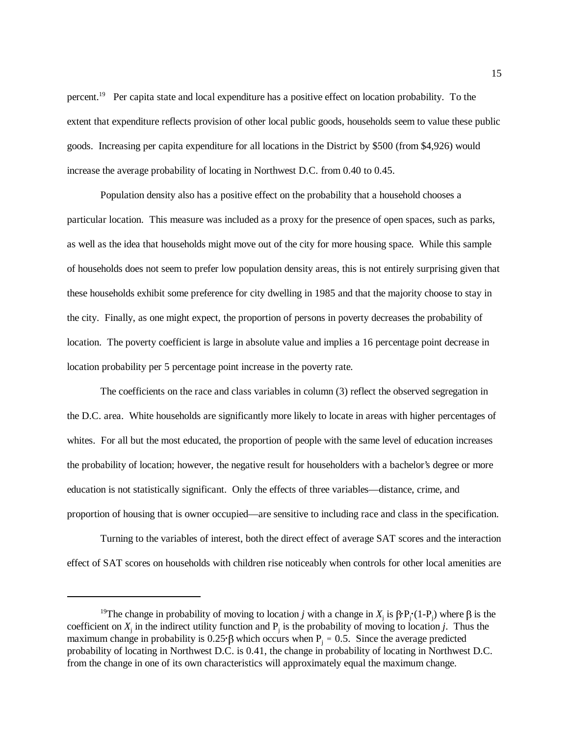percent.19 Per capita state and local expenditure has a positive effect on location probability. To the extent that expenditure reflects provision of other local public goods, households seem to value these public goods. Increasing per capita expenditure for all locations in the District by \$500 (from \$4,926) would increase the average probability of locating in Northwest D.C. from 0.40 to 0.45.

Population density also has a positive effect on the probability that a household chooses a particular location. This measure was included as a proxy for the presence of open spaces, such as parks, as well as the idea that households might move out of the city for more housing space. While this sample of households does not seem to prefer low population density areas, this is not entirely surprising given that these households exhibit some preference for city dwelling in 1985 and that the majority choose to stay in the city. Finally, as one might expect, the proportion of persons in poverty decreases the probability of location. The poverty coefficient is large in absolute value and implies a 16 percentage point decrease in location probability per 5 percentage point increase in the poverty rate.

The coefficients on the race and class variables in column (3) reflect the observed segregation in the D.C. area. White households are significantly more likely to locate in areas with higher percentages of whites. For all but the most educated, the proportion of people with the same level of education increases the probability of location; however, the negative result for householders with a bachelor's degree or more education is not statistically significant. Only the effects of three variables—distance, crime, and proportion of housing that is owner occupied—are sensitive to including race and class in the specification.

Turning to the variables of interest, both the direct effect of average SAT scores and the interaction effect of SAT scores on households with children rise noticeably when controls for other local amenities are

<sup>&</sup>lt;sup>19</sup>The change in probability of moving to location *j* with a change in  $X_j$  is  $\beta P_j(1-P_j)$  where  $\beta$  is the coefficient on  $X_j$  in the indirect utility function and  $P_j$  is the probability of moving to location *j*. Thus the maximum change in probability is 0.25  $\beta$  which occurs when P<sub>i</sub> = 0.5. Since the average predicted probability of locating in Northwest D.C. is 0.41, the change in probability of locating in Northwest D.C. from the change in one of its own characteristics will approximately equal the maximum change.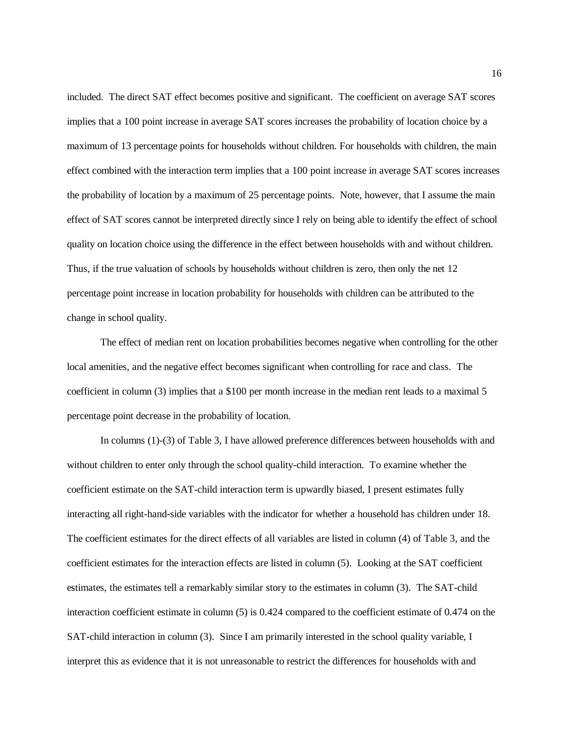included. The direct SAT effect becomes positive and significant. The coefficient on average SAT scores implies that a 100 point increase in average SAT scores increases the probability of location choice by a maximum of 13 percentage points for households without children. For households with children, the main effect combined with the interaction term implies that a 100 point increase in average SAT scores increases the probability of location by a maximum of 25 percentage points. Note, however, that I assume the main effect of SAT scores cannot be interpreted directly since I rely on being able to identify the effect of school quality on location choice using the difference in the effect between households with and without children. Thus, if the true valuation of schools by households without children is zero, then only the net 12 percentage point increase in location probability for households with children can be attributed to the change in school quality.

The effect of median rent on location probabilities becomes negative when controlling for the other local amenities, and the negative effect becomes significant when controlling for race and class. The coefficient in column (3) implies that a \$100 per month increase in the median rent leads to a maximal 5 percentage point decrease in the probability of location.

In columns (1)-(3) of Table 3, I have allowed preference differences between households with and without children to enter only through the school quality-child interaction. To examine whether the coefficient estimate on the SAT-child interaction term is upwardly biased, I present estimates fully interacting all right-hand-side variables with the indicator for whether a household has children under 18. The coefficient estimates for the direct effects of all variables are listed in column (4) of Table 3, and the coefficient estimates for the interaction effects are listed in column (5). Looking at the SAT coefficient estimates, the estimates tell a remarkably similar story to the estimates in column (3). The SAT-child interaction coefficient estimate in column (5) is 0.424 compared to the coefficient estimate of 0.474 on the SAT-child interaction in column (3). Since I am primarily interested in the school quality variable, I interpret this as evidence that it is not unreasonable to restrict the differences for households with and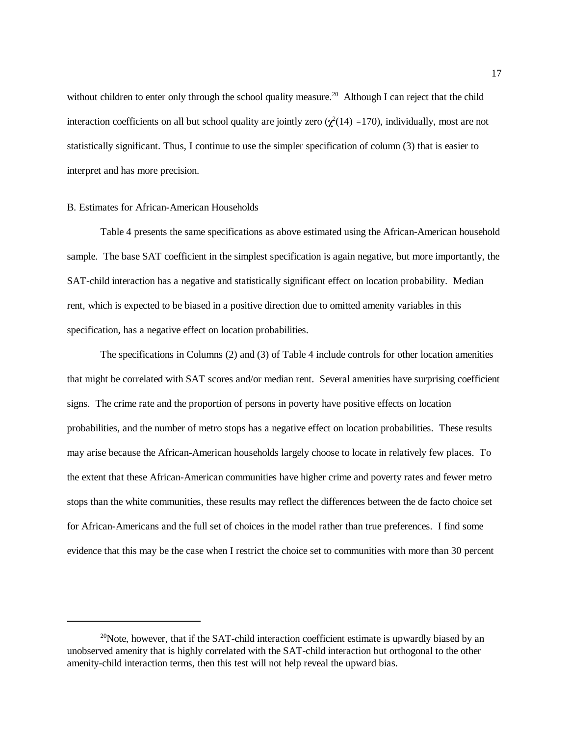without children to enter only through the school quality measure.<sup>20</sup> Although I can reject that the child interaction coefficients on all but school quality are jointly zero  $(\chi^2(14) = 170)$ , individually, most are not statistically significant. Thus, I continue to use the simpler specification of column (3) that is easier to interpret and has more precision.

## B. Estimates for African-American Households

Table 4 presents the same specifications as above estimated using the African-American household sample. The base SAT coefficient in the simplest specification is again negative, but more importantly, the SAT-child interaction has a negative and statistically significant effect on location probability. Median rent, which is expected to be biased in a positive direction due to omitted amenity variables in this specification, has a negative effect on location probabilities.

The specifications in Columns (2) and (3) of Table 4 include controls for other location amenities that might be correlated with SAT scores and/or median rent. Several amenities have surprising coefficient signs. The crime rate and the proportion of persons in poverty have positive effects on location probabilities, and the number of metro stops has a negative effect on location probabilities. These results may arise because the African-American households largely choose to locate in relatively few places. To the extent that these African-American communities have higher crime and poverty rates and fewer metro stops than the white communities, these results may reflect the differences between the de facto choice set for African-Americans and the full set of choices in the model rather than true preferences. I find some evidence that this may be the case when I restrict the choice set to communities with more than 30 percent

 $20$ Note, however, that if the SAT-child interaction coefficient estimate is upwardly biased by an unobserved amenity that is highly correlated with the SAT-child interaction but orthogonal to the other amenity-child interaction terms, then this test will not help reveal the upward bias.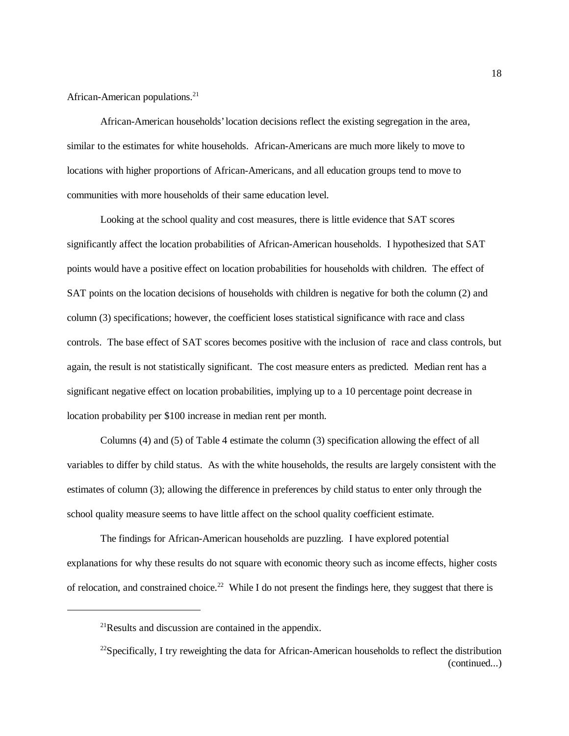African-American populations.<sup>21</sup>

African-American households' location decisions reflect the existing segregation in the area, similar to the estimates for white households. African-Americans are much more likely to move to locations with higher proportions of African-Americans, and all education groups tend to move to communities with more households of their same education level.

Looking at the school quality and cost measures, there is little evidence that SAT scores significantly affect the location probabilities of African-American households. I hypothesized that SAT points would have a positive effect on location probabilities for households with children. The effect of SAT points on the location decisions of households with children is negative for both the column (2) and column (3) specifications; however, the coefficient loses statistical significance with race and class controls. The base effect of SAT scores becomes positive with the inclusion of race and class controls, but again, the result is not statistically significant. The cost measure enters as predicted. Median rent has a significant negative effect on location probabilities, implying up to a 10 percentage point decrease in location probability per \$100 increase in median rent per month.

Columns (4) and (5) of Table 4 estimate the column (3) specification allowing the effect of all variables to differ by child status. As with the white households, the results are largely consistent with the estimates of column (3); allowing the difference in preferences by child status to enter only through the school quality measure seems to have little affect on the school quality coefficient estimate.

The findings for African-American households are puzzling. I have explored potential explanations for why these results do not square with economic theory such as income effects, higher costs of relocation, and constrained choice.<sup>22</sup> While I do not present the findings here, they suggest that there is

 $^{21}$ Results and discussion are contained in the appendix.

 $^{22}$ Specifically, I try reweighting the data for African-American households to reflect the distribution (continued...)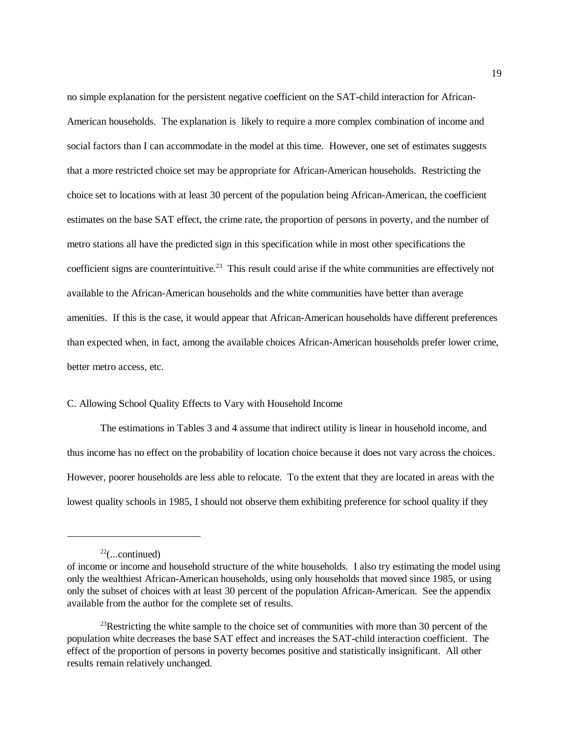no simple explanation for the persistent negative coefficient on the SAT-child interaction for African-American households. The explanation is likely to require a more complex combination of income and social factors than I can accommodate in the model at this time. However, one set of estimates suggests that a more restricted choice set may be appropriate for African-American households. Restricting the choice set to locations with at least 30 percent of the population being African-American, the coefficient estimates on the base SAT effect, the crime rate, the proportion of persons in poverty, and the number of metro stations all have the predicted sign in this specification while in most other specifications the coefficient signs are counterintuitive.<sup>23</sup> This result could arise if the white communities are effectively not available to the African-American households and the white communities have better than average amenities. If this is the case, it would appear that African-American households have different preferences than expected when, in fact, among the available choices African-American households prefer lower crime, better metro access, etc.

# C. Allowing School Quality Effects to Vary with Household Income

The estimations in Tables 3 and 4 assume that indirect utility is linear in household income, and thus income has no effect on the probability of location choice because it does not vary across the choices. However, poorer households are less able to relocate. To the extent that they are located in areas with the lowest quality schools in 1985, I should not observe them exhibiting preference for school quality if they

 $22$ (...continued)

of income or income and household structure of the white households. I also try estimating the model using only the wealthiest African-American households, using only households that moved since 1985, or using only the subset of choices with at least 30 percent of the population African-American. See the appendix available from the author for the complete set of results.

<sup>&</sup>lt;sup>23</sup>Restricting the white sample to the choice set of communities with more than 30 percent of the population white decreases the base SAT effect and increases the SAT-child interaction coefficient. The effect of the proportion of persons in poverty becomes positive and statistically insignificant. All other results remain relatively unchanged.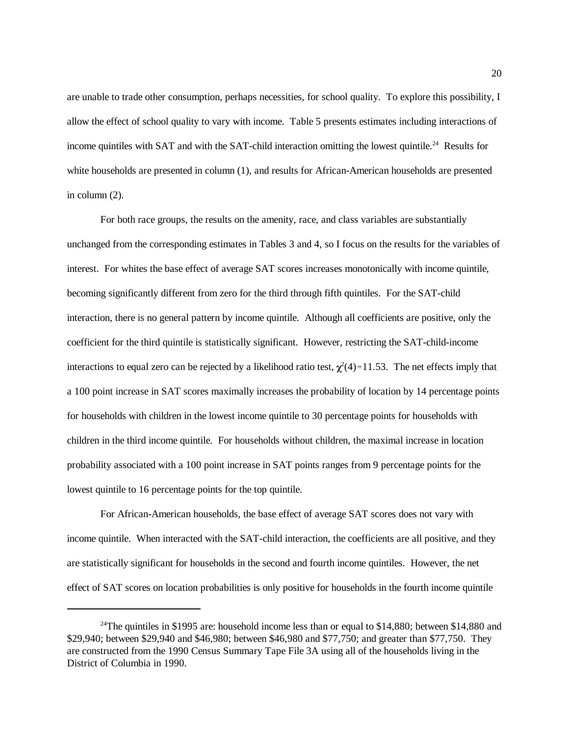are unable to trade other consumption, perhaps necessities, for school quality. To explore this possibility, I allow the effect of school quality to vary with income. Table 5 presents estimates including interactions of income quintiles with SAT and with the SAT-child interaction omitting the lowest quintile.<sup>24</sup> Results for white households are presented in column (1), and results for African-American households are presented in column (2).

For both race groups, the results on the amenity, race, and class variables are substantially unchanged from the corresponding estimates in Tables 3 and 4, so I focus on the results for the variables of interest. For whites the base effect of average SAT scores increases monotonically with income quintile, becoming significantly different from zero for the third through fifth quintiles. For the SAT-child interaction, there is no general pattern by income quintile. Although all coefficients are positive, only the coefficient for the third quintile is statistically significant. However, restricting the SAT-child-income interactions to equal zero can be rejected by a likelihood ratio test,  $\chi^2(4)$ =11.53. The net effects imply that a 100 point increase in SAT scores maximally increases the probability of location by 14 percentage points for households with children in the lowest income quintile to 30 percentage points for households with children in the third income quintile. For households without children, the maximal increase in location probability associated with a 100 point increase in SAT points ranges from 9 percentage points for the lowest quintile to 16 percentage points for the top quintile.

For African-American households, the base effect of average SAT scores does not vary with income quintile. When interacted with the SAT-child interaction, the coefficients are all positive, and they are statistically significant for households in the second and fourth income quintiles. However, the net effect of SAT scores on location probabilities is only positive for households in the fourth income quintile

<sup>&</sup>lt;sup>24</sup>The quintiles in \$1995 are: household income less than or equal to \$14,880; between \$14,880 and \$29,940; between \$29,940 and \$46,980; between \$46,980 and \$77,750; and greater than \$77,750. They are constructed from the 1990 Census Summary Tape File 3A using all of the households living in the District of Columbia in 1990.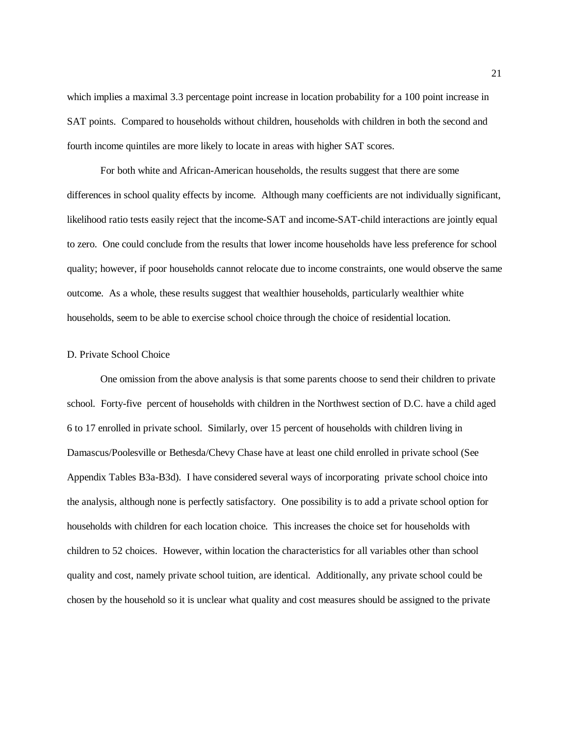which implies a maximal 3.3 percentage point increase in location probability for a 100 point increase in SAT points. Compared to households without children, households with children in both the second and fourth income quintiles are more likely to locate in areas with higher SAT scores.

For both white and African-American households, the results suggest that there are some differences in school quality effects by income. Although many coefficients are not individually significant, likelihood ratio tests easily reject that the income-SAT and income-SAT-child interactions are jointly equal to zero. One could conclude from the results that lower income households have less preference for school quality; however, if poor households cannot relocate due to income constraints, one would observe the same outcome. As a whole, these results suggest that wealthier households, particularly wealthier white households, seem to be able to exercise school choice through the choice of residential location.

## D. Private School Choice

One omission from the above analysis is that some parents choose to send their children to private school. Forty-five percent of households with children in the Northwest section of D.C. have a child aged 6 to 17 enrolled in private school. Similarly, over 15 percent of households with children living in Damascus/Poolesville or Bethesda/Chevy Chase have at least one child enrolled in private school (See Appendix Tables B3a-B3d). I have considered several ways of incorporating private school choice into the analysis, although none is perfectly satisfactory. One possibility is to add a private school option for households with children for each location choice. This increases the choice set for households with children to 52 choices. However, within location the characteristics for all variables other than school quality and cost, namely private school tuition, are identical. Additionally, any private school could be chosen by the household so it is unclear what quality and cost measures should be assigned to the private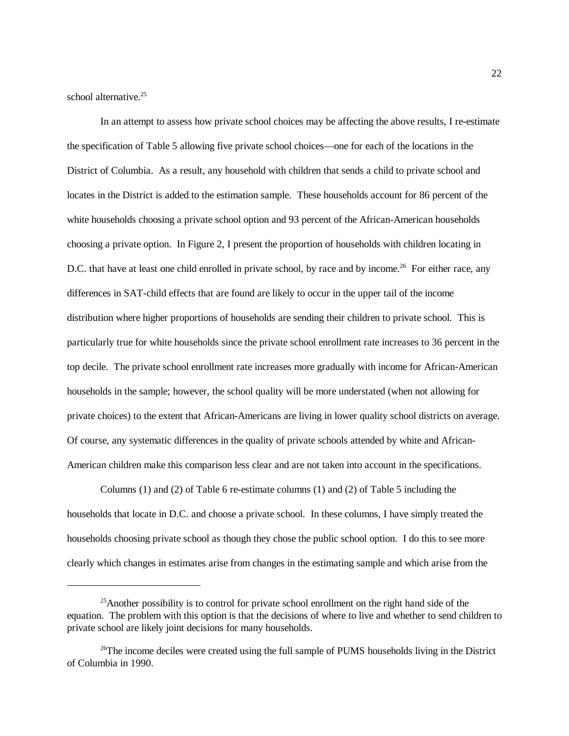school alternative. $25$ 

In an attempt to assess how private school choices may be affecting the above results, I re-estimate the specification of Table 5 allowing five private school choices—one for each of the locations in the District of Columbia. As a result, any household with children that sends a child to private school and locates in the District is added to the estimation sample. These households account for 86 percent of the white households choosing a private school option and 93 percent of the African-American households choosing a private option. In Figure 2, I present the proportion of households with children locating in D.C. that have at least one child enrolled in private school, by race and by income.<sup>26</sup> For either race, any differences in SAT-child effects that are found are likely to occur in the upper tail of the income distribution where higher proportions of households are sending their children to private school. This is particularly true for white households since the private school enrollment rate increases to 36 percent in the top decile. The private school enrollment rate increases more gradually with income for African-American households in the sample; however, the school quality will be more understated (when not allowing for private choices) to the extent that African-Americans are living in lower quality school districts on average. Of course, any systematic differences in the quality of private schools attended by white and African-American children make this comparison less clear and are not taken into account in the specifications.

Columns (1) and (2) of Table 6 re-estimate columns (1) and (2) of Table 5 including the households that locate in D.C. and choose a private school. In these columns, I have simply treated the households choosing private school as though they chose the public school option. I do this to see more clearly which changes in estimates arise from changes in the estimating sample and which arise from the

 $25$ Another possibility is to control for private school enrollment on the right hand side of the equation. The problem with this option is that the decisions of where to live and whether to send children to private school are likely joint decisions for many households.

 $^{26}$ The income deciles were created using the full sample of PUMS households living in the District of Columbia in 1990.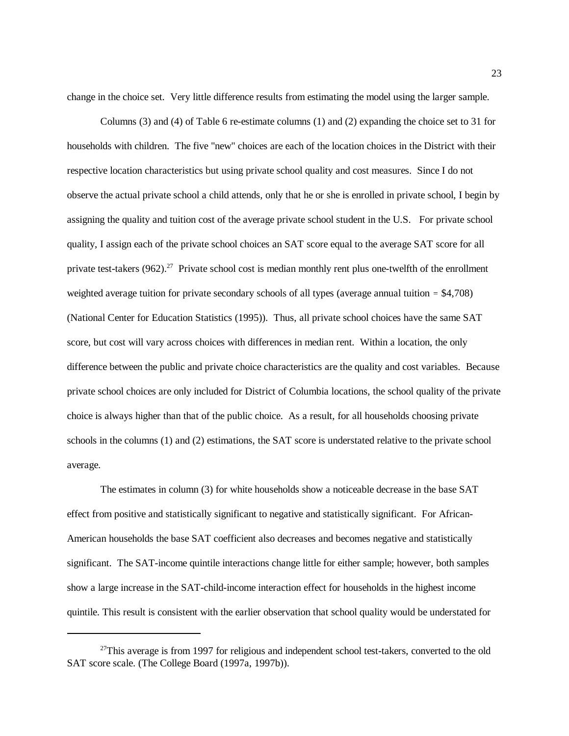change in the choice set. Very little difference results from estimating the model using the larger sample.

Columns (3) and (4) of Table 6 re-estimate columns (1) and (2) expanding the choice set to 31 for households with children. The five "new" choices are each of the location choices in the District with their respective location characteristics but using private school quality and cost measures. Since I do not observe the actual private school a child attends, only that he or she is enrolled in private school, I begin by assigning the quality and tuition cost of the average private school student in the U.S. For private school quality, I assign each of the private school choices an SAT score equal to the average SAT score for all private test-takers  $(962)^{27}$  Private school cost is median monthly rent plus one-twelfth of the enrollment weighted average tuition for private secondary schools of all types (average annual tuition  $=$  \$4,708) (National Center for Education Statistics (1995)). Thus, all private school choices have the same SAT score, but cost will vary across choices with differences in median rent. Within a location, the only difference between the public and private choice characteristics are the quality and cost variables. Because private school choices are only included for District of Columbia locations, the school quality of the private choice is always higher than that of the public choice. As a result, for all households choosing private schools in the columns (1) and (2) estimations, the SAT score is understated relative to the private school average.

The estimates in column (3) for white households show a noticeable decrease in the base SAT effect from positive and statistically significant to negative and statistically significant. For African-American households the base SAT coefficient also decreases and becomes negative and statistically significant. The SAT-income quintile interactions change little for either sample; however, both samples show a large increase in the SAT-child-income interaction effect for households in the highest income quintile. This result is consistent with the earlier observation that school quality would be understated for

 $27$ This average is from 1997 for religious and independent school test-takers, converted to the old SAT score scale. (The College Board (1997a, 1997b)).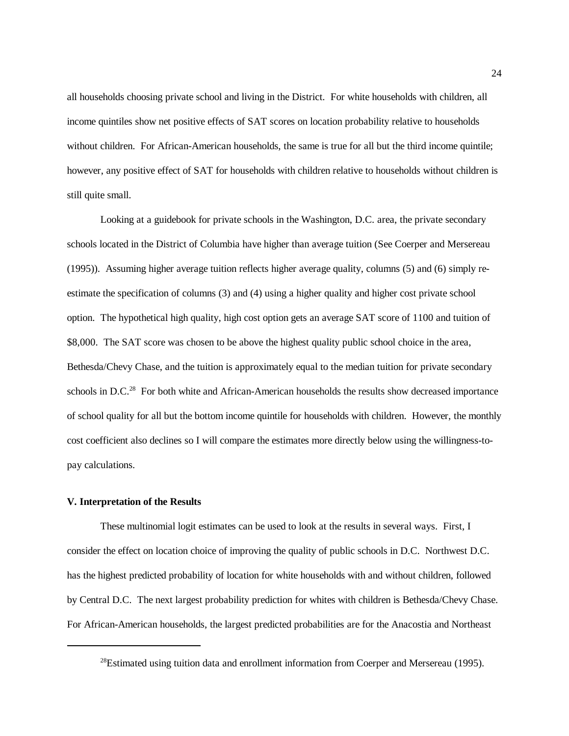all households choosing private school and living in the District. For white households with children, all income quintiles show net positive effects of SAT scores on location probability relative to households without children. For African-American households, the same is true for all but the third income quintile; however, any positive effect of SAT for households with children relative to households without children is still quite small.

Looking at a guidebook for private schools in the Washington, D.C. area, the private secondary schools located in the District of Columbia have higher than average tuition (See Coerper and Mersereau (1995)). Assuming higher average tuition reflects higher average quality, columns (5) and (6) simply reestimate the specification of columns (3) and (4) using a higher quality and higher cost private school option. The hypothetical high quality, high cost option gets an average SAT score of 1100 and tuition of \$8,000. The SAT score was chosen to be above the highest quality public school choice in the area, Bethesda/Chevy Chase, and the tuition is approximately equal to the median tuition for private secondary schools in  $D.C.^{28}$  For both white and African-American households the results show decreased importance of school quality for all but the bottom income quintile for households with children. However, the monthly cost coefficient also declines so I will compare the estimates more directly below using the willingness-topay calculations.

#### **V. Interpretation of the Results**

These multinomial logit estimates can be used to look at the results in several ways. First, I consider the effect on location choice of improving the quality of public schools in D.C. Northwest D.C. has the highest predicted probability of location for white households with and without children, followed by Central D.C. The next largest probability prediction for whites with children is Bethesda/Chevy Chase. For African-American households, the largest predicted probabilities are for the Anacostia and Northeast

 $28$ Estimated using tuition data and enrollment information from Coerper and Mersereau (1995).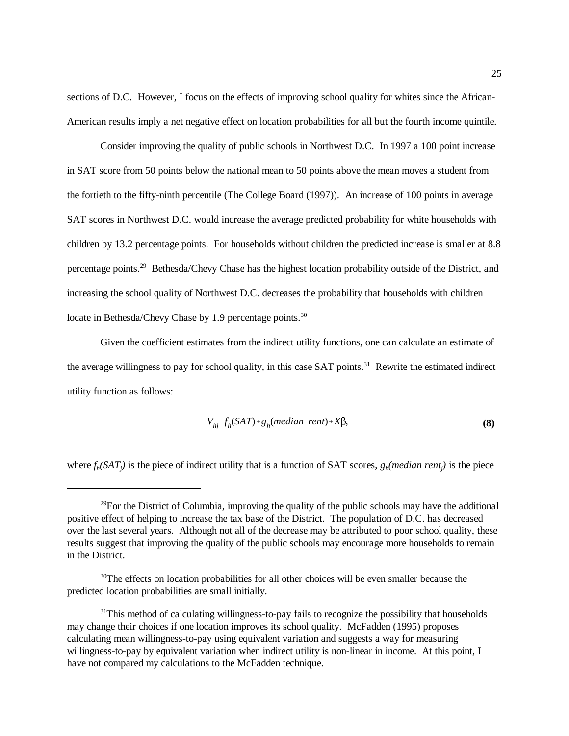sections of D.C. However, I focus on the effects of improving school quality for whites since the African-American results imply a net negative effect on location probabilities for all but the fourth income quintile.

Consider improving the quality of public schools in Northwest D.C. In 1997 a 100 point increase in SAT score from 50 points below the national mean to 50 points above the mean moves a student from the fortieth to the fifty-ninth percentile (The College Board (1997)). An increase of 100 points in average SAT scores in Northwest D.C. would increase the average predicted probability for white households with children by 13.2 percentage points. For households without children the predicted increase is smaller at 8.8 percentage points.29 Bethesda/Chevy Chase has the highest location probability outside of the District, and increasing the school quality of Northwest D.C. decreases the probability that households with children locate in Bethesda/Chevy Chase by 1.9 percentage points.<sup>30</sup>

Given the coefficient estimates from the indirect utility functions, one can calculate an estimate of the average willingness to pay for school quality, in this case SAT points.<sup>31</sup> Rewrite the estimated indirect utility function as follows:

$$
V_{hj} = f_h(SAT) + g_h(median \ rent) + X\beta,
$$
\n(8)

where  $f_h(SAT_j)$  is the piece of indirect utility that is a function of SAT scores,  $g_h(\text{median rent}_j)$  is the piece

 $29$ For the District of Columbia, improving the quality of the public schools may have the additional positive effect of helping to increase the tax base of the District. The population of D.C. has decreased over the last several years. Although not all of the decrease may be attributed to poor school quality, these results suggest that improving the quality of the public schools may encourage more households to remain in the District.

<sup>&</sup>lt;sup>30</sup>The effects on location probabilities for all other choices will be even smaller because the predicted location probabilities are small initially.

 $31$ This method of calculating willingness-to-pay fails to recognize the possibility that households may change their choices if one location improves its school quality. McFadden (1995) proposes calculating mean willingness-to-pay using equivalent variation and suggests a way for measuring willingness-to-pay by equivalent variation when indirect utility is non-linear in income. At this point, I have not compared my calculations to the McFadden technique.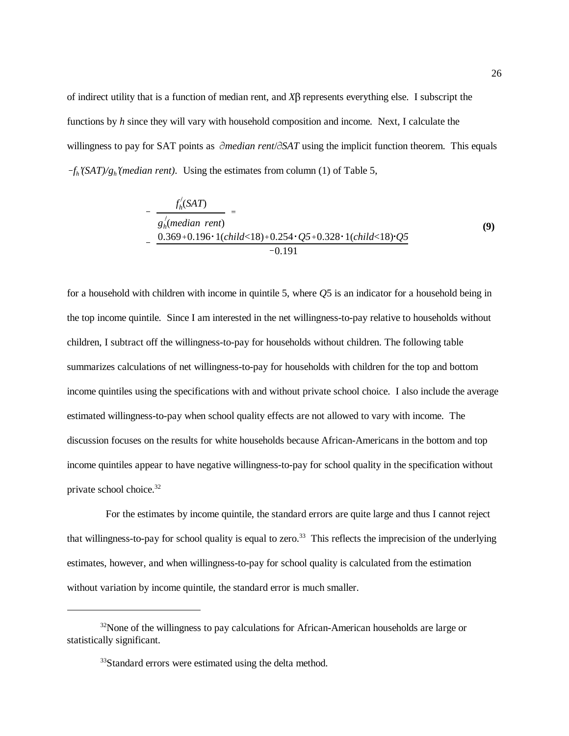of indirect utility that is a function of median rent, and  $X\beta$  represents everything else. I subscript the functions by *h* since they will vary with household composition and income. Next, I calculate the willingness to pay for SAT points as  $\partial \text{median rent}/\partial \text{SAT}$  using the implicit function theorem. This equals  $-f_h'(SAT)/g_h'(median rent)$ . Using the estimates from column (1) of Table 5,

$$
-\frac{f_h'(SAT)}{g_h'(median\,\,rent)} = \frac{g_h'(median\,\,rent)}{0.369 + 0.196 \cdot 1(chilad < 18) + 0.254 \cdot Q5 + 0.328 \cdot 1(chilad < 18) \cdot Q5}{-0.191} \tag{9}
$$

for a household with children with income in quintile 5, where *Q*5 is an indicator for a household being in the top income quintile. Since I am interested in the net willingness-to-pay relative to households without children, I subtract off the willingness-to-pay for households without children. The following table summarizes calculations of net willingness-to-pay for households with children for the top and bottom income quintiles using the specifications with and without private school choice. I also include the average estimated willingness-to-pay when school quality effects are not allowed to vary with income. The discussion focuses on the results for white households because African-Americans in the bottom and top income quintiles appear to have negative willingness-to-pay for school quality in the specification without private school choice.32

 For the estimates by income quintile, the standard errors are quite large and thus I cannot reject that willingness-to-pay for school quality is equal to zero.<sup>33</sup> This reflects the imprecision of the underlying estimates, however, and when willingness-to-pay for school quality is calculated from the estimation without variation by income quintile, the standard error is much smaller.

 $32$ None of the willingness to pay calculations for African-American households are large or statistically significant.

<sup>&</sup>lt;sup>33</sup>Standard errors were estimated using the delta method.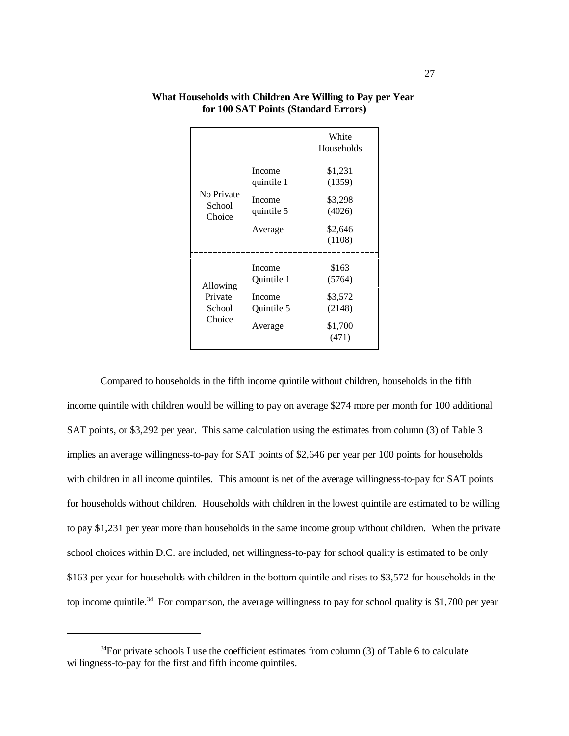|                                |                      | White<br>Households |
|--------------------------------|----------------------|---------------------|
|                                | Income<br>quintile 1 | \$1,231<br>(1359)   |
| No Private<br>School<br>Choice | Income<br>quintile 5 | \$3,298<br>(4026)   |
|                                | Average              | \$2,646<br>(1108)   |
| Allowing                       | Income<br>Ouintile 1 | \$163<br>(5764)     |
| Private<br>School<br>Choice    | Income<br>Quintile 5 | \$3,572<br>(2148)   |
|                                | Average              | \$1,700<br>(471)    |

## **What Households with Children Are Willing to Pay per Year for 100 SAT Points (Standard Errors)**

 Compared to households in the fifth income quintile without children, households in the fifth income quintile with children would be willing to pay on average \$274 more per month for 100 additional SAT points, or \$3,292 per year. This same calculation using the estimates from column (3) of Table 3 implies an average willingness-to-pay for SAT points of \$2,646 per year per 100 points for households with children in all income quintiles. This amount is net of the average willingness-to-pay for SAT points for households without children. Households with children in the lowest quintile are estimated to be willing to pay \$1,231 per year more than households in the same income group without children. When the private school choices within D.C. are included, net willingness-to-pay for school quality is estimated to be only \$163 per year for households with children in the bottom quintile and rises to \$3,572 for households in the top income quintile.<sup>34</sup> For comparison, the average willingness to pay for school quality is \$1,700 per year

 $34$ For private schools I use the coefficient estimates from column (3) of Table 6 to calculate willingness-to-pay for the first and fifth income quintiles.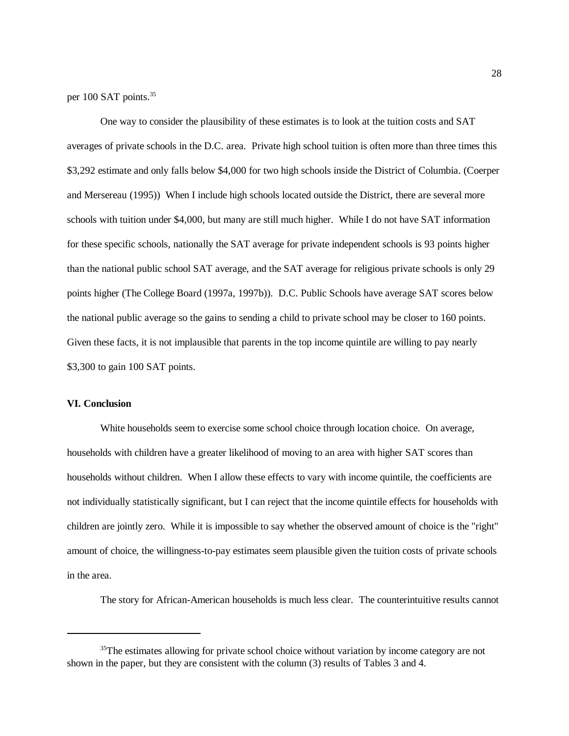per 100 SAT points.<sup>35</sup>

One way to consider the plausibility of these estimates is to look at the tuition costs and SAT averages of private schools in the D.C. area. Private high school tuition is often more than three times this \$3,292 estimate and only falls below \$4,000 for two high schools inside the District of Columbia. (Coerper and Mersereau (1995)) When I include high schools located outside the District, there are several more schools with tuition under \$4,000, but many are still much higher. While I do not have SAT information for these specific schools, nationally the SAT average for private independent schools is 93 points higher than the national public school SAT average, and the SAT average for religious private schools is only 29 points higher (The College Board (1997a, 1997b)). D.C. Public Schools have average SAT scores below the national public average so the gains to sending a child to private school may be closer to 160 points. Given these facts, it is not implausible that parents in the top income quintile are willing to pay nearly \$3,300 to gain 100 SAT points.

# **VI. Conclusion**

White households seem to exercise some school choice through location choice. On average, households with children have a greater likelihood of moving to an area with higher SAT scores than households without children. When I allow these effects to vary with income quintile, the coefficients are not individually statistically significant, but I can reject that the income quintile effects for households with children are jointly zero. While it is impossible to say whether the observed amount of choice is the "right" amount of choice, the willingness-to-pay estimates seem plausible given the tuition costs of private schools in the area.

The story for African-American households is much less clear. The counterintuitive results cannot

<sup>&</sup>lt;sup>35</sup>The estimates allowing for private school choice without variation by income category are not shown in the paper, but they are consistent with the column (3) results of Tables 3 and 4.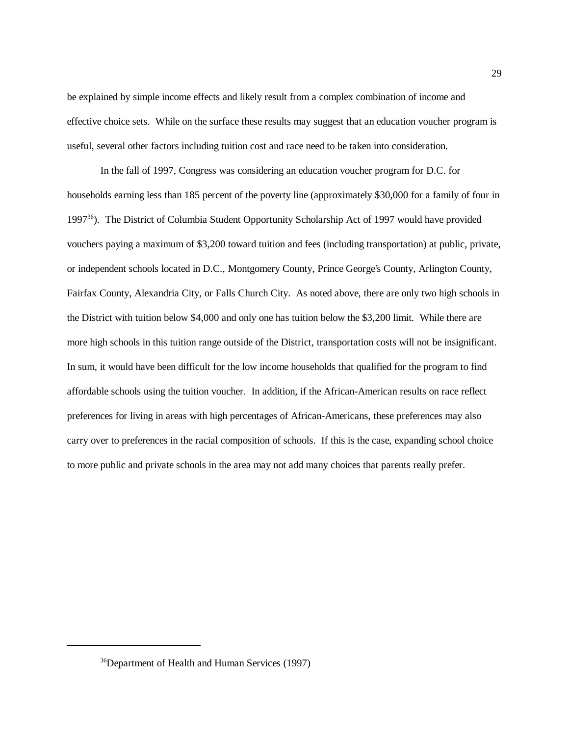be explained by simple income effects and likely result from a complex combination of income and effective choice sets. While on the surface these results may suggest that an education voucher program is useful, several other factors including tuition cost and race need to be taken into consideration.

In the fall of 1997, Congress was considering an education voucher program for D.C. for households earning less than 185 percent of the poverty line (approximately \$30,000 for a family of four in 1997<sup>36</sup>). The District of Columbia Student Opportunity Scholarship Act of 1997 would have provided vouchers paying a maximum of \$3,200 toward tuition and fees (including transportation) at public, private, or independent schools located in D.C., Montgomery County, Prince George's County, Arlington County, Fairfax County, Alexandria City, or Falls Church City. As noted above, there are only two high schools in the District with tuition below \$4,000 and only one has tuition below the \$3,200 limit. While there are more high schools in this tuition range outside of the District, transportation costs will not be insignificant. In sum, it would have been difficult for the low income households that qualified for the program to find affordable schools using the tuition voucher. In addition, if the African-American results on race reflect preferences for living in areas with high percentages of African-Americans, these preferences may also carry over to preferences in the racial composition of schools. If this is the case, expanding school choice to more public and private schools in the area may not add many choices that parents really prefer.

<sup>36</sup>Department of Health and Human Services (1997)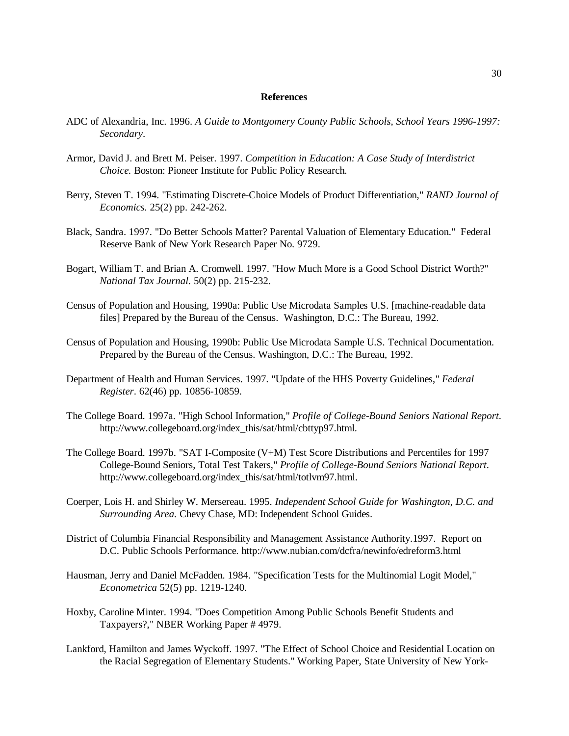## **References**

- ADC of Alexandria, Inc. 1996. *A Guide to Montgomery County Public Schools, School Years 1996-1997: Secondary*.
- Armor, David J. and Brett M. Peiser. 1997. *Competition in Education: A Case Study of Interdistrict Choice.* Boston: Pioneer Institute for Public Policy Research.
- Berry, Steven T. 1994. "Estimating Discrete-Choice Models of Product Differentiation," *RAND Journal of Economics.* 25(2) pp. 242-262.
- Black, Sandra. 1997. "Do Better Schools Matter? Parental Valuation of Elementary Education." Federal Reserve Bank of New York Research Paper No. 9729.
- Bogart, William T. and Brian A. Cromwell. 1997. "How Much More is a Good School District Worth?" *National Tax Journal.* 50(2) pp. 215-232.
- Census of Population and Housing, 1990a: Public Use Microdata Samples U.S. [machine-readable data files] Prepared by the Bureau of the Census. Washington, D.C.: The Bureau, 1992.
- Census of Population and Housing, 1990b: Public Use Microdata Sample U.S. Technical Documentation. Prepared by the Bureau of the Census. Washington, D.C.: The Bureau, 1992.
- Department of Health and Human Services. 1997. "Update of the HHS Poverty Guidelines," *Federal Register*. 62(46) pp. 10856-10859.
- The College Board. 1997a. "High School Information," *Profile of College-Bound Seniors National Report*. http://www.collegeboard.org/index\_this/sat/html/cbttyp97.html.
- The College Board. 1997b. "SAT I-Composite (V+M) Test Score Distributions and Percentiles for 1997 College-Bound Seniors, Total Test Takers," *Profile of College-Bound Seniors National Report*. http://www.collegeboard.org/index\_this/sat/html/totlvm97.html.
- Coerper, Lois H. and Shirley W. Mersereau. 1995. *Independent School Guide for Washington, D.C. and Surrounding Area.* Chevy Chase, MD: Independent School Guides.
- District of Columbia Financial Responsibility and Management Assistance Authority.1997. Report on D.C. Public Schools Performance. http://www.nubian.com/dcfra/newinfo/edreform3.html
- Hausman, Jerry and Daniel McFadden. 1984. "Specification Tests for the Multinomial Logit Model," *Econometrica* 52(5) pp. 1219-1240.
- Hoxby, Caroline Minter. 1994. "Does Competition Among Public Schools Benefit Students and Taxpayers?," NBER Working Paper # 4979.
- Lankford, Hamilton and James Wyckoff. 1997. "The Effect of School Choice and Residential Location on the Racial Segregation of Elementary Students." Working Paper, State University of New York-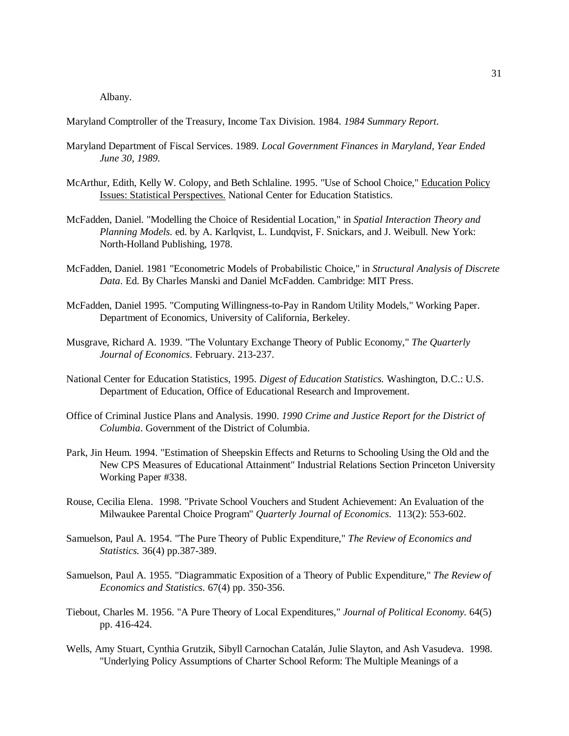Albany.

Maryland Comptroller of the Treasury, Income Tax Division. 1984. *1984 Summary Report*.

- Maryland Department of Fiscal Services. 1989. *Local Government Finances in Maryland, Year Ended June 30, 1989.*
- McArthur, Edith, Kelly W. Colopy, and Beth Schlaline. 1995. "Use of School Choice," Education Policy Issues: Statistical Perspectives. National Center for Education Statistics.
- McFadden, Daniel. "Modelling the Choice of Residential Location," in *Spatial Interaction Theory and Planning Models.* ed. by A. Karlqvist, L. Lundqvist, F. Snickars, and J. Weibull. New York: North-Holland Publishing, 1978.
- McFadden, Daniel. 1981 "Econometric Models of Probabilistic Choice," in *Structural Analysis of Discrete Data*. Ed. By Charles Manski and Daniel McFadden. Cambridge: MIT Press.
- McFadden, Daniel 1995. "Computing Willingness-to-Pay in Random Utility Models," Working Paper. Department of Economics, University of California, Berkeley.
- Musgrave, Richard A. 1939. "The Voluntary Exchange Theory of Public Economy," *The Quarterly Journal of Economics*. February. 213-237.
- National Center for Education Statistics, 1995. *Digest of Education Statistics.* Washington, D.C.: U.S. Department of Education, Office of Educational Research and Improvement.
- Office of Criminal Justice Plans and Analysis. 1990. *1990 Crime and Justice Report for the District of Columbia*. Government of the District of Columbia.
- Park, Jin Heum. 1994. "Estimation of Sheepskin Effects and Returns to Schooling Using the Old and the New CPS Measures of Educational Attainment" Industrial Relations Section Princeton University Working Paper #338.
- Rouse, Cecilia Elena. 1998. "Private School Vouchers and Student Achievement: An Evaluation of the Milwaukee Parental Choice Program" *Quarterly Journal of Economics*. 113(2): 553-602.
- Samuelson, Paul A. 1954. "The Pure Theory of Public Expenditure," *The Review of Economics and Statistics.* 36(4) pp.387-389.
- Samuelson, Paul A. 1955. "Diagrammatic Exposition of a Theory of Public Expenditure," *The Review of Economics and Statistics.* 67(4) pp. 350-356.
- Tiebout, Charles M. 1956. "A Pure Theory of Local Expenditures," *Journal of Political Economy.* 64(5) pp. 416-424.
- Wells, Amy Stuart, Cynthia Grutzik, Sibyll Carnochan Catalán, Julie Slayton, and Ash Vasudeva. 1998. "Underlying Policy Assumptions of Charter School Reform: The Multiple Meanings of a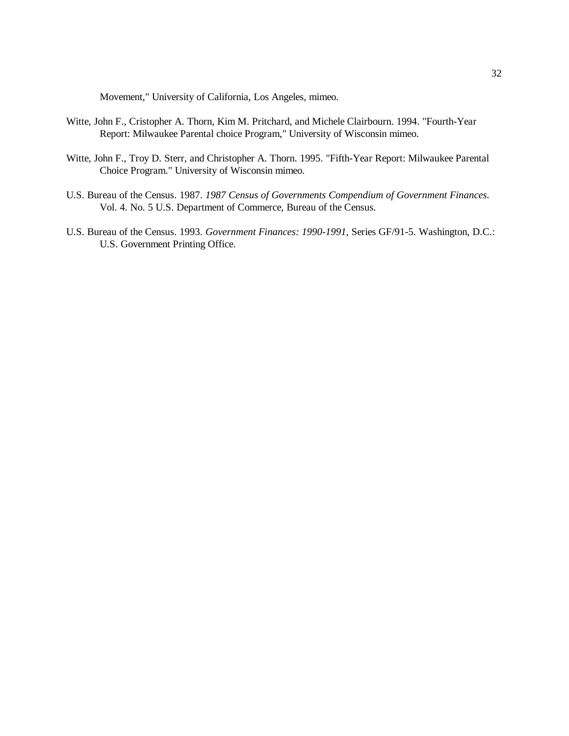Movement," University of California, Los Angeles, mimeo.

- Witte, John F., Cristopher A. Thorn, Kim M. Pritchard, and Michele Clairbourn. 1994. "Fourth-Year Report: Milwaukee Parental choice Program," University of Wisconsin mimeo.
- Witte, John F., Troy D. Sterr, and Christopher A. Thorn. 1995. "Fifth-Year Report: Milwaukee Parental Choice Program." University of Wisconsin mimeo.
- U.S. Bureau of the Census. 1987. *1987 Census of Governments Compendium of Government Finances.* Vol. 4. No. 5 U.S. Department of Commerce, Bureau of the Census.
- U.S. Bureau of the Census. 1993. *Government Finances: 1990-1991,* Series GF/91-5. Washington, D.C.: U.S. Government Printing Office.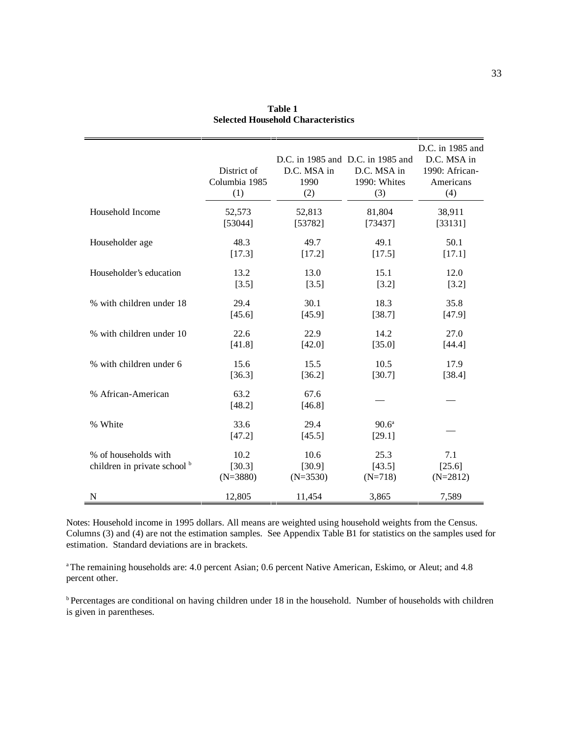|                                                      | District of<br>Columbia 1985<br>(1) | D.C. MSA in<br>1990<br>(2)   | D.C. in 1985 and D.C. in 1985 and<br>D.C. MSA in<br>1990: Whites<br>(3) | D.C. in 1985 and<br>D.C. MSA in<br>1990: African-<br>Americans<br>(4) |
|------------------------------------------------------|-------------------------------------|------------------------------|-------------------------------------------------------------------------|-----------------------------------------------------------------------|
| Household Income                                     | 52,573                              | 52,813                       | 81,804                                                                  | 38,911                                                                |
|                                                      | [53044]                             | [53782]                      | [73437]                                                                 | [33131]                                                               |
| Householder age                                      | 48.3                                | 49.7                         | 49.1                                                                    | 50.1                                                                  |
|                                                      | [17.3]                              | [17.2]                       | [17.5]                                                                  | [17.1]                                                                |
| Householder's education                              | 13.2                                | 13.0                         | 15.1                                                                    | 12.0                                                                  |
|                                                      | [3.5]                               | [3.5]                        | $[3.2]$                                                                 | $[3.2]$                                                               |
| % with children under 18                             | 29.4                                | 30.1                         | 18.3                                                                    | 35.8                                                                  |
|                                                      | [45.6]                              | [45.9]                       | [38.7]                                                                  | [47.9]                                                                |
| % with children under 10                             | 22.6                                | 22.9                         | 14.2                                                                    | 27.0                                                                  |
|                                                      | [41.8]                              | [42.0]                       | [35.0]                                                                  | [44.4]                                                                |
| % with children under 6                              | 15.6                                | 15.5                         | 10.5                                                                    | 17.9                                                                  |
|                                                      | [36.3]                              | [36.2]                       | [30.7]                                                                  | [38.4]                                                                |
| % African-American                                   | 63.2<br>[48.2]                      | 67.6<br>[46.8]               |                                                                         |                                                                       |
| % White                                              | 33.6<br>[47.2]                      | 29.4<br>[45.5]               | $90.6^{\mathrm{a}}$<br>[29.1]                                           |                                                                       |
| % of households with<br>children in private school b | 10.2<br>[30.3]<br>$(N=3880)$        | 10.6<br>[30.9]<br>$(N=3530)$ | 25.3<br>[43.5]<br>$(N=718)$                                             | 7.1<br>[25.6]<br>$(N=2812)$                                           |
| N                                                    | 12,805                              | 11,454                       | 3,865                                                                   | 7,589                                                                 |

**Table 1 Selected Household Characteristics**

Notes: Household income in 1995 dollars. All means are weighted using household weights from the Census. Columns (3) and (4) are not the estimation samples. See Appendix Table B1 for statistics on the samples used for estimation. Standard deviations are in brackets.

<sup>a</sup> The remaining households are: 4.0 percent Asian; 0.6 percent Native American, Eskimo, or Aleut; and 4.8 percent other.

b Percentages are conditional on having children under 18 in the household. Number of households with children is given in parentheses.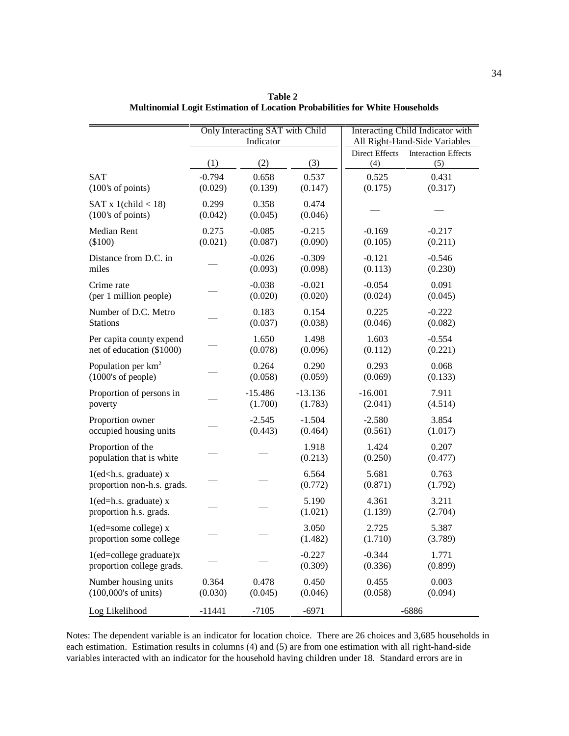|                                                                      |                  | Only Interacting SAT with Child |                      |                       | <b>Interacting Child Indicator with</b> |
|----------------------------------------------------------------------|------------------|---------------------------------|----------------------|-----------------------|-----------------------------------------|
|                                                                      |                  | Indicator                       |                      |                       | All Right-Hand-Side Variables           |
|                                                                      |                  |                                 |                      | <b>Direct Effects</b> | <b>Interaction Effects</b>              |
|                                                                      | (1)              | (2)                             | (3)                  | (4)                   | (5)                                     |
| <b>SAT</b>                                                           | $-0.794$         | 0.658                           | 0.537                | 0.525                 | 0.431                                   |
| (100's of points)                                                    | (0.029)          | (0.139)                         | (0.147)              | (0.175)               | (0.317)                                 |
| SAT x 1(child $<$ 18)<br>(100's of points)                           | 0.299<br>(0.042) | 0.358<br>(0.045)                | 0.474<br>(0.046)     |                       |                                         |
| Median Rent<br>$(\$100)$                                             | 0.275<br>(0.021) | $-0.085$<br>(0.087)             | $-0.215$<br>(0.090)  | $-0.169$<br>(0.105)   | $-0.217$<br>(0.211)                     |
| Distance from D.C. in<br>miles                                       |                  | $-0.026$<br>(0.093)             | $-0.309$<br>(0.098)  | $-0.121$<br>(0.113)   | $-0.546$<br>(0.230)                     |
| Crime rate<br>(per 1 million people)                                 |                  | $-0.038$<br>(0.020)             | $-0.021$<br>(0.020)  | $-0.054$<br>(0.024)   | 0.091<br>(0.045)                        |
| Number of D.C. Metro<br><b>Stations</b>                              |                  | 0.183<br>(0.037)                | 0.154<br>(0.038)     | 0.225<br>(0.046)      | $-0.222$<br>(0.082)                     |
| Per capita county expend<br>net of education (\$1000)                |                  | 1.650<br>(0.078)                | 1.498<br>(0.096)     | 1.603<br>(0.112)      | $-0.554$<br>(0.221)                     |
| Population per km <sup>2</sup><br>$(1000)$ 's of people $)$          |                  | 0.264<br>(0.058)                | 0.290<br>(0.059)     | 0.293<br>(0.069)      | 0.068<br>(0.133)                        |
| Proportion of persons in<br>poverty                                  |                  | $-15.486$<br>(1.700)            | $-13.136$<br>(1.783) | $-16.001$<br>(2.041)  | 7.911<br>(4.514)                        |
| Proportion owner<br>occupied housing units                           |                  | $-2.545$<br>(0.443)             | $-1.504$<br>(0.464)  | $-2.580$<br>(0.561)   | 3.854<br>(1.017)                        |
| Proportion of the<br>population that is white                        |                  |                                 | 1.918<br>(0.213)     | 1.424<br>(0.250)      | 0.207<br>(0.477)                        |
| $1$ (ed <h.s. graduate)="" x<br="">proportion non-h.s. grads.</h.s.> |                  |                                 | 6.564<br>(0.772)     | 5.681<br>(0.871)      | 0.763<br>(1.792)                        |
| $1$ (ed=h.s. graduate) x<br>proportion h.s. grads.                   |                  |                                 | 5.190<br>(1.021)     | 4.361<br>(1.139)      | 3.211<br>(2.704)                        |
| $1$ (ed=some college) x<br>proportion some college                   |                  |                                 | 3.050<br>(1.482)     | 2.725<br>(1.710)      | 5.387<br>(3.789)                        |
| $1$ (ed=college graduate) $x$<br>proportion college grads.           |                  |                                 | $-0.227$<br>(0.309)  | $-0.344$<br>(0.336)   | 1.771<br>(0.899)                        |
| Number housing units<br>$(100,000)$ 's of units)                     | 0.364<br>(0.030) | 0.478<br>(0.045)                | 0.450<br>(0.046)     | 0.455<br>(0.058)      | 0.003<br>(0.094)                        |
| Log Likelihood                                                       | $-11441$         | $-7105$                         | $-6971$              |                       | $-6886$                                 |

**Table 2 Multinomial Logit Estimation of Location Probabilities for White Households**

Notes: The dependent variable is an indicator for location choice. There are 26 choices and 3,685 households in each estimation. Estimation results in columns (4) and (5) are from one estimation with all right-hand-side variables interacted with an indicator for the household having children under 18. Standard errors are in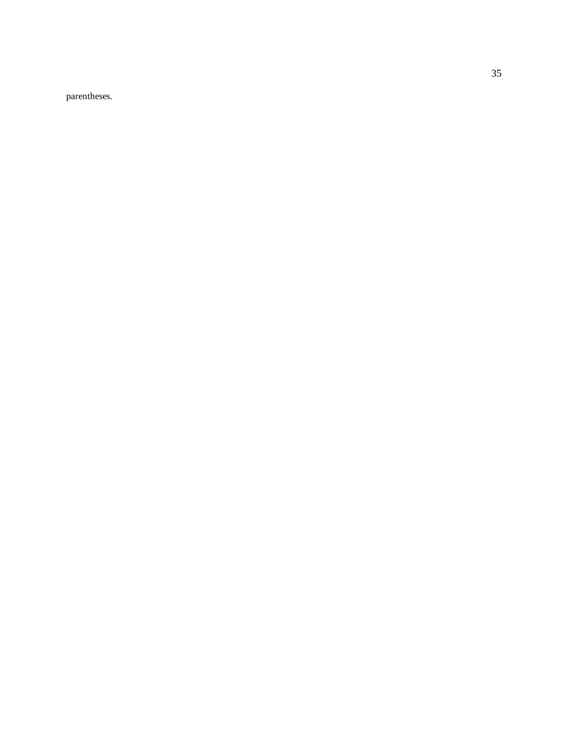parentheses.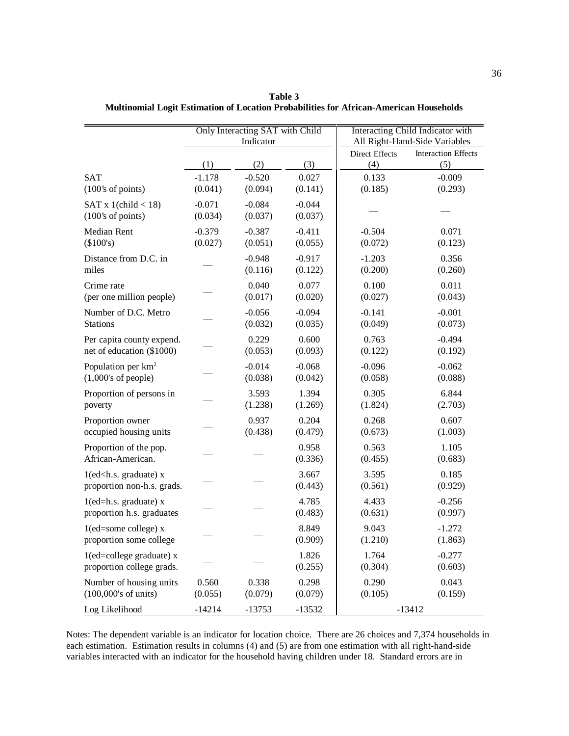|                                                                      | Only Interacting SAT with Child<br>Indicator |                     |                     | Interacting Child Indicator with<br>All Right-Hand-Side Variables |                                   |
|----------------------------------------------------------------------|----------------------------------------------|---------------------|---------------------|-------------------------------------------------------------------|-----------------------------------|
|                                                                      | (1)                                          | (2)                 | (3)                 | <b>Direct Effects</b><br>(4)                                      | <b>Interaction Effects</b><br>(5) |
| <b>SAT</b>                                                           | $-1.178$                                     | $-0.520$            | 0.027               | 0.133                                                             | $-0.009$                          |
| (100's of points)                                                    | (0.041)                                      | (0.094)             | (0.141)             | (0.185)                                                           | (0.293)                           |
| SAT x 1(child $<$ 18)<br>(100's of points)                           | $-0.071$<br>(0.034)                          | $-0.084$<br>(0.037) | $-0.044$<br>(0.037) |                                                                   |                                   |
| Median Rent                                                          | $-0.379$                                     | $-0.387$            | $-0.411$            | $-0.504$                                                          | 0.071                             |
| (\$100's)                                                            | (0.027)                                      | (0.051)             | (0.055)             | (0.072)                                                           | (0.123)                           |
| Distance from D.C. in                                                |                                              | $-0.948$            | $-0.917$            | $-1.203$                                                          | 0.356                             |
| miles                                                                |                                              | (0.116)             | (0.122)             | (0.200)                                                           | (0.260)                           |
| Crime rate                                                           |                                              | 0.040               | 0.077               | 0.100                                                             | 0.011                             |
| (per one million people)                                             |                                              | (0.017)             | (0.020)             | (0.027)                                                           | (0.043)                           |
| Number of D.C. Metro                                                 |                                              | $-0.056$            | $-0.094$            | $-0.141$                                                          | $-0.001$                          |
| <b>Stations</b>                                                      |                                              | (0.032)             | (0.035)             | (0.049)                                                           | (0.073)                           |
| Per capita county expend.                                            |                                              | 0.229               | 0.600               | 0.763                                                             | $-0.494$                          |
| net of education (\$1000)                                            |                                              | (0.053)             | (0.093)             | (0.122)                                                           | (0.192)                           |
| Population per $km^2$                                                |                                              | $-0.014$            | $-0.068$            | $-0.096$                                                          | $-0.062$                          |
| $(1,000)$ 's of people)                                              |                                              | (0.038)             | (0.042)             | (0.058)                                                           | (0.088)                           |
| Proportion of persons in                                             |                                              | 3.593               | 1.394               | 0.305                                                             | 6.844                             |
| poverty                                                              |                                              | (1.238)             | (1.269)             | (1.824)                                                           | (2.703)                           |
| Proportion owner                                                     |                                              | 0.937               | 0.204               | 0.268                                                             | 0.607                             |
| occupied housing units                                               |                                              | (0.438)             | (0.479)             | (0.673)                                                           | (1.003)                           |
| Proportion of the pop.<br>African-American.                          |                                              |                     | 0.958<br>(0.336)    | 0.563<br>(0.455)                                                  | 1.105<br>(0.683)                  |
| $1$ (ed <h.s. graduate)="" x<br="">proportion non-h.s. grads.</h.s.> |                                              |                     | 3.667<br>(0.443)    | 3.595<br>(0.561)                                                  | 0.185<br>(0.929)                  |
| $1$ (ed=h.s. graduate) x<br>proportion h.s. graduates                |                                              |                     | 4.785<br>(0.483)    | 4.433<br>(0.631)                                                  | $-0.256$<br>(0.997)               |
| $1$ (ed=some college) x<br>proportion some college                   |                                              |                     | 8.849<br>(0.909)    | 9.043<br>(1.210)                                                  | $-1.272$<br>(1.863)               |
| $1$ (ed=college graduate) x<br>proportion college grads.             |                                              |                     | 1.826<br>(0.255)    | 1.764<br>(0.304)                                                  | $-0.277$<br>(0.603)               |
| Number of housing units                                              | 0.560                                        | 0.338               | 0.298               | 0.290                                                             | 0.043                             |
| $(100,000)$ 's of units)                                             | (0.055)                                      | (0.079)             | (0.079)             | (0.105)                                                           | (0.159)                           |
| Log Likelihood                                                       | $-14214$                                     | $-13753$            | $-13532$            |                                                                   | $-13412$                          |

**Table 3 Multinomial Logit Estimation of Location Probabilities for African-American Households**

Notes: The dependent variable is an indicator for location choice. There are 26 choices and 7,374 households in each estimation. Estimation results in columns (4) and (5) are from one estimation with all right-hand-side variables interacted with an indicator for the household having children under 18. Standard errors are in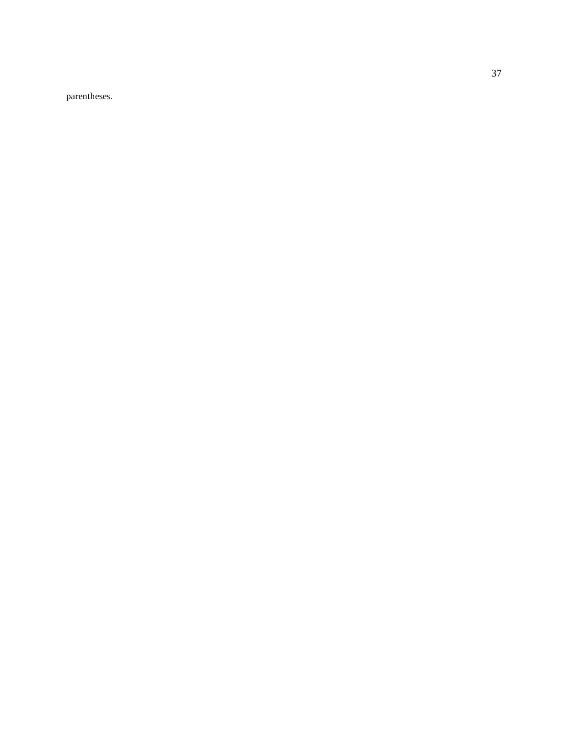parentheses.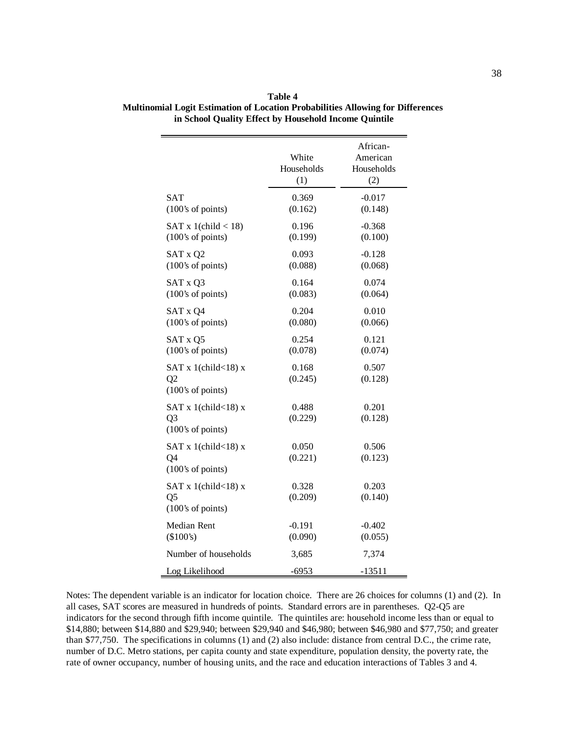|                                                                | White<br>Households<br>(1) | African-<br>American<br>Households<br>(2) |
|----------------------------------------------------------------|----------------------------|-------------------------------------------|
| SAT                                                            | 0.369                      | $-0.017$                                  |
| (100's of points)                                              | (0.162)                    | (0.148)                                   |
| SAT x $1$ (child < 18)                                         | 0.196                      | $-0.368$                                  |
| $(100)$ 's of points)                                          | (0.199)                    | (0.100)                                   |
| SAT x Q2                                                       | 0.093                      | $-0.128$                                  |
| (100's of points)                                              | (0.088)                    | (0.068)                                   |
| SAT x Q3                                                       | 0.164                      | 0.074                                     |
| $(100)$ 's of points)                                          | (0.083)                    | (0.064)                                   |
| SAT x Q4                                                       | 0.204                      | 0.010                                     |
| (100's of points)                                              | (0.080)                    | (0.066)                                   |
| SAT x Q5                                                       | 0.254                      | 0.121                                     |
| (100's of points)                                              | (0.078)                    | (0.074)                                   |
| SAT x 1(child $<$ 18) x<br>Q2<br>$(100)$ 's of points)         | 0.168<br>(0.245)           | 0.507<br>(0.128)                          |
| SAT x 1(child $<$ 18) x<br>Q <sub>3</sub><br>(100's of points) | 0.488<br>(0.229)           | 0.201<br>(0.128)                          |
| SAT x 1(child $<$ 18) x<br>Q4<br>(100's of points)             | 0.050<br>(0.221)           | 0.506<br>(0.123)                          |
| SAT x 1(child<18) x<br>Q5<br>(100's of points)                 | 0.328<br>(0.209)           | 0.203<br>(0.140)                          |
| Median Rent                                                    | $-0.191$                   | $-0.402$                                  |
| (\$100's)                                                      | (0.090)                    | (0.055)                                   |
| Number of households                                           | 3,685                      | 7,374                                     |
| Log Likelihood                                                 | $-6953$                    | $-13511$                                  |

**Table 4 Multinomial Logit Estimation of Location Probabilities Allowing for Differences in School Quality Effect by Household Income Quintile**

Notes: The dependent variable is an indicator for location choice. There are 26 choices for columns (1) and (2). In all cases, SAT scores are measured in hundreds of points. Standard errors are in parentheses. Q2-Q5 are indicators for the second through fifth income quintile. The quintiles are: household income less than or equal to \$14,880; between \$14,880 and \$29,940; between \$29,940 and \$46,980; between \$46,980 and \$77,750; and greater than \$77,750. The specifications in columns (1) and (2) also include: distance from central D.C., the crime rate, number of D.C. Metro stations, per capita county and state expenditure, population density, the poverty rate, the rate of owner occupancy, number of housing units, and the race and education interactions of Tables 3 and 4.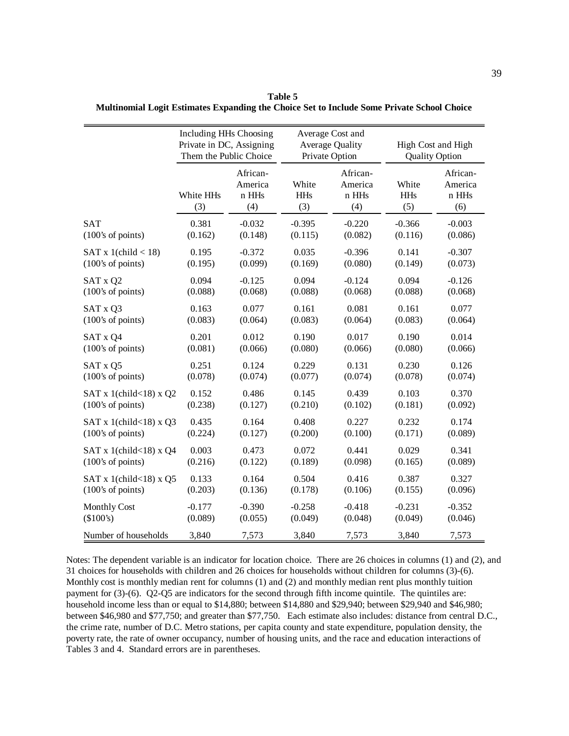|                            | Including HHs Choosing<br>Private in DC, Assigning<br>Them the Public Choice |                                     |                            | Average Cost and<br><b>Average Quality</b><br>Private Option |                            | High Cost and High<br><b>Quality Option</b> |  |
|----------------------------|------------------------------------------------------------------------------|-------------------------------------|----------------------------|--------------------------------------------------------------|----------------------------|---------------------------------------------|--|
|                            | White HHs<br>(3)                                                             | African-<br>America<br>n HHs<br>(4) | White<br><b>HHs</b><br>(3) | African-<br>America<br>n HHs<br>(4)                          | White<br><b>HHs</b><br>(5) | African-<br>America<br>n HHs<br>(6)         |  |
| <b>SAT</b>                 | 0.381                                                                        | $-0.032$                            | $-0.395$                   | $-0.220$                                                     | $-0.366$                   | $-0.003$                                    |  |
| (100's of points)          | (0.162)                                                                      | (0.148)                             | (0.115)                    | (0.082)                                                      | (0.116)                    | (0.086)                                     |  |
| SAT $x$ 1(child < 18)      | 0.195                                                                        | $-0.372$                            | 0.035                      | $-0.396$                                                     | 0.141                      | $-0.307$                                    |  |
| (100's of points)          | (0.195)                                                                      | (0.099)                             | (0.169)                    | (0.080)                                                      | (0.149)                    | (0.073)                                     |  |
| SAT x Q2                   | 0.094                                                                        | $-0.125$                            | 0.094                      | $-0.124$                                                     | 0.094                      | $-0.126$                                    |  |
| (100's of points)          | (0.088)                                                                      | (0.068)                             | (0.088)                    | (0.068)                                                      | (0.088)                    | (0.068)                                     |  |
| SAT x Q3                   | 0.163                                                                        | 0.077                               | 0.161                      | 0.081                                                        | 0.161                      | 0.077                                       |  |
| (100's of points)          | (0.083)                                                                      | (0.064)                             | (0.083)                    | (0.064)                                                      | (0.083)                    | (0.064)                                     |  |
| SAT x Q4                   | 0.201                                                                        | 0.012                               | 0.190                      | 0.017                                                        | 0.190                      | 0.014                                       |  |
| (100's of points)          | (0.081)                                                                      | (0.066)                             | (0.080)                    | (0.066)                                                      | (0.080)                    | (0.066)                                     |  |
| SAT x Q5                   | 0.251                                                                        | 0.124                               | 0.229                      | 0.131                                                        | 0.230                      | 0.126                                       |  |
| (100's of points)          | (0.078)                                                                      | (0.074)                             | (0.077)                    | (0.074)                                                      | (0.078)                    | (0.074)                                     |  |
| SAT x 1(child < 18) x $Q2$ | 0.152                                                                        | 0.486                               | 0.145                      | 0.439                                                        | 0.103                      | 0.370                                       |  |
| (100's of points)          | (0.238)                                                                      | (0.127)                             | (0.210)                    | (0.102)                                                      | (0.181)                    | (0.092)                                     |  |
| SAT x 1(child < 18) x $Q3$ | 0.435                                                                        | 0.164                               | 0.408                      | 0.227                                                        | 0.232                      | 0.174                                       |  |
| (100's of points)          | (0.224)                                                                      | (0.127)                             | (0.200)                    | (0.100)                                                      | (0.171)                    | (0.089)                                     |  |
| SAT x 1(child $<$ 18) x Q4 | 0.003                                                                        | 0.473                               | 0.072                      | 0.441                                                        | 0.029                      | 0.341                                       |  |
| (100's of points)          | (0.216)                                                                      | (0.122)                             | (0.189)                    | (0.098)                                                      | (0.165)                    | (0.089)                                     |  |
| SAT x 1(child < 18) x $Q5$ | 0.133                                                                        | 0.164                               | 0.504                      | 0.416                                                        | 0.387                      | 0.327                                       |  |
| (100's of points)          | (0.203)                                                                      | (0.136)                             | (0.178)                    | (0.106)                                                      | (0.155)                    | (0.096)                                     |  |
| <b>Monthly Cost</b>        | $-0.177$                                                                     | $-0.390$                            | $-0.258$                   | $-0.418$                                                     | $-0.231$                   | $-0.352$                                    |  |
| (\$100's)                  | (0.089)                                                                      | (0.055)                             | (0.049)                    | (0.048)                                                      | (0.049)                    | (0.046)                                     |  |
| Number of households       | 3,840                                                                        | 7,573                               | 3,840                      | 7,573                                                        | 3,840                      | 7,573                                       |  |

**Table 5 Multinomial Logit Estimates Expanding the Choice Set to Include Some Private School Choice**

Notes: The dependent variable is an indicator for location choice. There are 26 choices in columns (1) and (2), and 31 choices for households with children and 26 choices for households without children for columns (3)-(6). Monthly cost is monthly median rent for columns (1) and (2) and monthly median rent plus monthly tuition payment for (3)-(6). Q2-Q5 are indicators for the second through fifth income quintile. The quintiles are: household income less than or equal to \$14,880; between \$14,880 and \$29,940; between \$29,940 and \$46,980; between \$46,980 and \$77,750; and greater than \$77,750. Each estimate also includes: distance from central D.C., the crime rate, number of D.C. Metro stations, per capita county and state expenditure, population density, the poverty rate, the rate of owner occupancy, number of housing units, and the race and education interactions of Tables 3 and 4. Standard errors are in parentheses.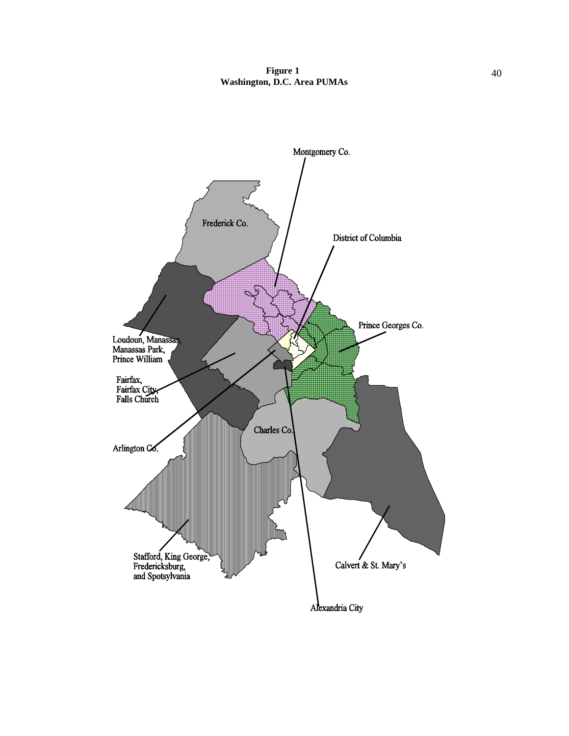**Figure 1** 40 **Washington, D.C. Area PUMAs**

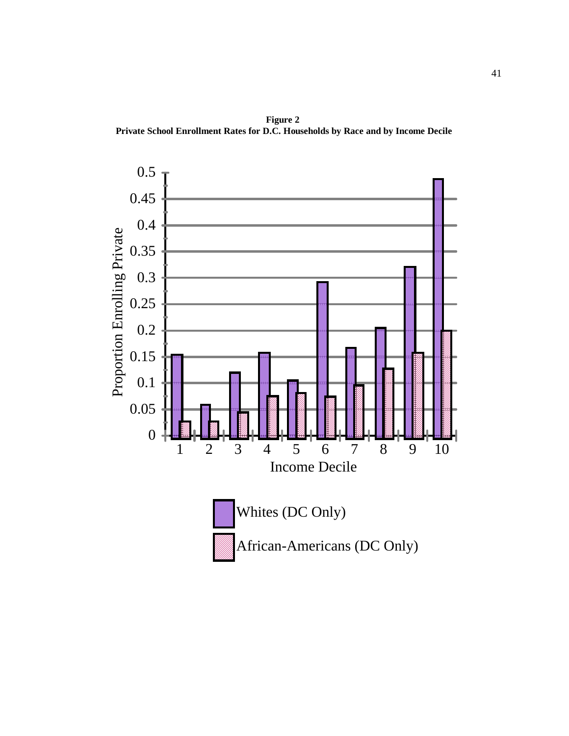**Figure 2 Private School Enrollment Rates for D.C. Households by Race and by Income Decile**

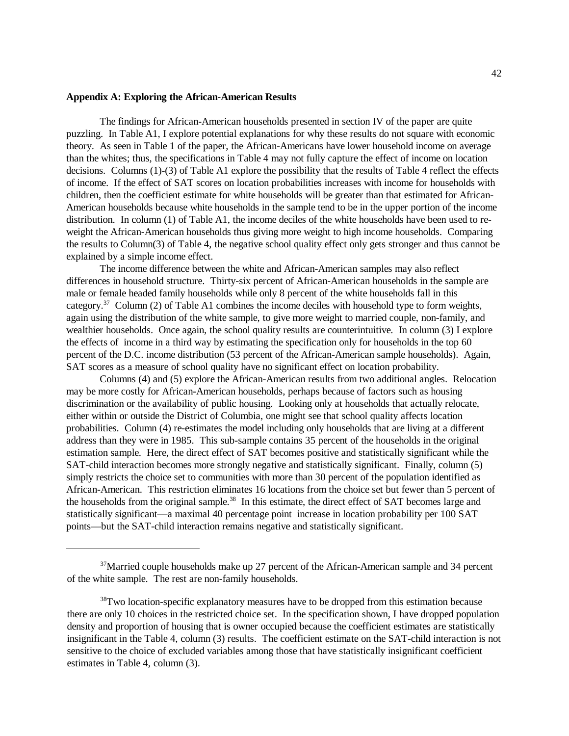### **Appendix A: Exploring the African-American Results**

The findings for African-American households presented in section IV of the paper are quite puzzling. In Table A1, I explore potential explanations for why these results do not square with economic theory. As seen in Table 1 of the paper, the African-Americans have lower household income on average than the whites; thus, the specifications in Table 4 may not fully capture the effect of income on location decisions. Columns (1)-(3) of Table A1 explore the possibility that the results of Table 4 reflect the effects of income. If the effect of SAT scores on location probabilities increases with income for households with children, then the coefficient estimate for white households will be greater than that estimated for African-American households because white households in the sample tend to be in the upper portion of the income distribution. In column (1) of Table A1, the income deciles of the white households have been used to reweight the African-American households thus giving more weight to high income households. Comparing the results to Column(3) of Table 4, the negative school quality effect only gets stronger and thus cannot be explained by a simple income effect.

The income difference between the white and African-American samples may also reflect differences in household structure. Thirty-six percent of African-American households in the sample are male or female headed family households while only 8 percent of the white households fall in this category.<sup>37</sup> Column (2) of Table A1 combines the income deciles with household type to form weights, again using the distribution of the white sample, to give more weight to married couple, non-family, and wealthier households. Once again, the school quality results are counterintuitive. In column (3) I explore the effects of income in a third way by estimating the specification only for households in the top 60 percent of the D.C. income distribution (53 percent of the African-American sample households). Again, SAT scores as a measure of school quality have no significant effect on location probability.

Columns (4) and (5) explore the African-American results from two additional angles. Relocation may be more costly for African-American households, perhaps because of factors such as housing discrimination or the availability of public housing. Looking only at households that actually relocate, either within or outside the District of Columbia, one might see that school quality affects location probabilities. Column (4) re-estimates the model including only households that are living at a different address than they were in 1985. This sub-sample contains 35 percent of the households in the original estimation sample. Here, the direct effect of SAT becomes positive and statistically significant while the SAT-child interaction becomes more strongly negative and statistically significant. Finally, column (5) simply restricts the choice set to communities with more than 30 percent of the population identified as African-American. This restriction eliminates 16 locations from the choice set but fewer than 5 percent of the households from the original sample.<sup>38</sup> In this estimate, the direct effect of SAT becomes large and statistically significant—a maximal 40 percentage point increase in location probability per 100 SAT points—but the SAT-child interaction remains negative and statistically significant.

<sup>&</sup>lt;sup>37</sup>Married couple households make up 27 percent of the African-American sample and 34 percent of the white sample. The rest are non-family households.

<sup>&</sup>lt;sup>38</sup>Two location-specific explanatory measures have to be dropped from this estimation because there are only 10 choices in the restricted choice set. In the specification shown, I have dropped population density and proportion of housing that is owner occupied because the coefficient estimates are statistically insignificant in the Table 4, column (3) results. The coefficient estimate on the SAT-child interaction is not sensitive to the choice of excluded variables among those that have statistically insignificant coefficient estimates in Table 4, column (3).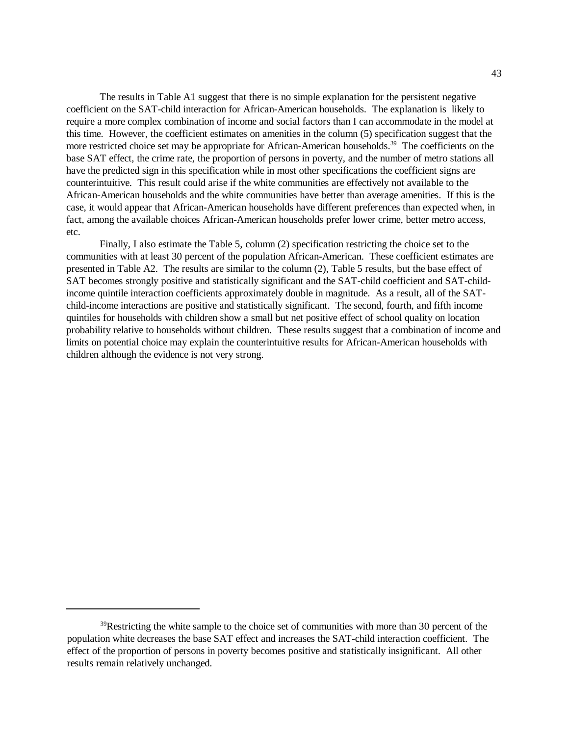The results in Table A1 suggest that there is no simple explanation for the persistent negative coefficient on the SAT-child interaction for African-American households. The explanation is likely to require a more complex combination of income and social factors than I can accommodate in the model at this time. However, the coefficient estimates on amenities in the column (5) specification suggest that the more restricted choice set may be appropriate for African-American households.<sup>39</sup> The coefficients on the base SAT effect, the crime rate, the proportion of persons in poverty, and the number of metro stations all have the predicted sign in this specification while in most other specifications the coefficient signs are counterintuitive. This result could arise if the white communities are effectively not available to the African-American households and the white communities have better than average amenities. If this is the case, it would appear that African-American households have different preferences than expected when, in fact, among the available choices African-American households prefer lower crime, better metro access, etc.

Finally, I also estimate the Table 5, column (2) specification restricting the choice set to the communities with at least 30 percent of the population African-American. These coefficient estimates are presented in Table A2. The results are similar to the column (2), Table 5 results, but the base effect of SAT becomes strongly positive and statistically significant and the SAT-child coefficient and SAT-childincome quintile interaction coefficients approximately double in magnitude. As a result, all of the SATchild-income interactions are positive and statistically significant. The second, fourth, and fifth income quintiles for households with children show a small but net positive effect of school quality on location probability relative to households without children. These results suggest that a combination of income and limits on potential choice may explain the counterintuitive results for African-American households with children although the evidence is not very strong.

 $39$ Restricting the white sample to the choice set of communities with more than 30 percent of the population white decreases the base SAT effect and increases the SAT-child interaction coefficient. The effect of the proportion of persons in poverty becomes positive and statistically insignificant. All other results remain relatively unchanged.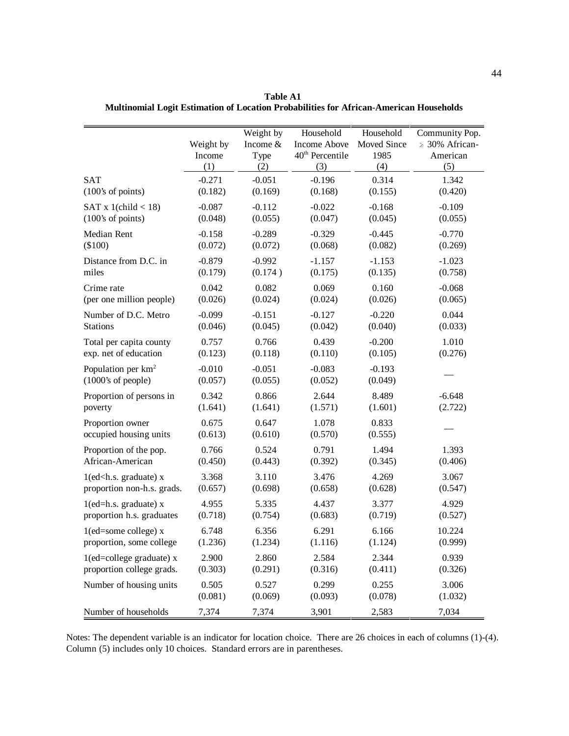|                                                                                                                      | Weight by<br>Income<br>(1) | Weight by<br>Income &<br>Type<br>(2) | Household<br>Income Above<br>40 <sup>th</sup> Percentile<br>(3) | Household<br>Moved Since<br>1985<br>(4) | Community Pop.<br>$\geq$ 30% African-<br>American<br>(5) |
|----------------------------------------------------------------------------------------------------------------------|----------------------------|--------------------------------------|-----------------------------------------------------------------|-----------------------------------------|----------------------------------------------------------|
| <b>SAT</b>                                                                                                           | $-0.271$                   | $-0.051$                             | $-0.196$                                                        | 0.314                                   | 1.342                                                    |
| (100's of points)                                                                                                    | (0.182)                    | (0.169)                              | (0.168)                                                         | (0.155)                                 | (0.420)                                                  |
| SAT x 1(child $<$ 18)                                                                                                | $-0.087$                   | $-0.112$                             | $-0.022$                                                        | $-0.168$                                | $-0.109$                                                 |
| (100's of points)                                                                                                    | (0.048)                    | (0.055)                              | (0.047)                                                         | (0.045)                                 | (0.055)                                                  |
| Median Rent                                                                                                          | $-0.158$                   | $-0.289$                             | $-0.329$                                                        | $-0.445$                                | $-0.770$                                                 |
| $(\$100)$                                                                                                            | (0.072)                    | (0.072)                              | (0.068)                                                         | (0.082)                                 | (0.269)                                                  |
| Distance from D.C. in                                                                                                | $-0.879$                   | $-0.992$                             | $-1.157$                                                        | $-1.153$                                | $-1.023$                                                 |
| miles                                                                                                                | (0.179)                    | (0.174)                              | (0.175)                                                         | (0.135)                                 | (0.758)                                                  |
| Crime rate                                                                                                           | 0.042                      | 0.082                                | 0.069                                                           | 0.160                                   | $-0.068$                                                 |
| (per one million people)                                                                                             | (0.026)                    | (0.024)                              | (0.024)                                                         | (0.026)                                 | (0.065)                                                  |
| Number of D.C. Metro                                                                                                 | $-0.099$                   | $-0.151$                             | $-0.127$                                                        | $-0.220$                                | 0.044                                                    |
| <b>Stations</b>                                                                                                      | (0.046)                    | (0.045)                              | (0.042)                                                         | (0.040)                                 | (0.033)                                                  |
| Total per capita county                                                                                              | 0.757                      | 0.766                                | 0.439                                                           | $-0.200$                                | 1.010                                                    |
| exp. net of education                                                                                                | (0.123)                    | (0.118)                              | (0.110)                                                         | (0.105)                                 | (0.276)                                                  |
| Population per $km^2$                                                                                                | $-0.010$                   | $-0.051$                             | $-0.083$                                                        | $-0.193$                                |                                                          |
| $(1000)$ 's of people)                                                                                               | (0.057)                    | (0.055)                              | (0.052)                                                         | (0.049)                                 |                                                          |
| Proportion of persons in                                                                                             | 0.342                      | 0.866                                | 2.644                                                           | 8.489                                   | $-6.648$                                                 |
| poverty                                                                                                              | (1.641)                    | (1.641)                              | (1.571)                                                         | (1.601)                                 | (2.722)                                                  |
| Proportion owner                                                                                                     | 0.675                      | 0.647                                | 1.078                                                           | 0.833                                   |                                                          |
| occupied housing units                                                                                               | (0.613)                    | (0.610)                              | (0.570)                                                         | (0.555)                                 |                                                          |
| Proportion of the pop.                                                                                               | 0.766                      | 0.524                                | 0.791                                                           | 1.494                                   | 1.393                                                    |
| African-American                                                                                                     | (0.450)                    | (0.443)                              | (0.392)                                                         | (0.345)                                 | (0.406)                                                  |
| $1$ (ed <h.s. graduate)="" td="" x<=""><td>3.368</td><td>3.110</td><td>3.476</td><td>4.269</td><td>3.067</td></h.s.> | 3.368                      | 3.110                                | 3.476                                                           | 4.269                                   | 3.067                                                    |
| proportion non-h.s. grads.                                                                                           | (0.657)                    | (0.698)                              | (0.658)                                                         | (0.628)                                 | (0.547)                                                  |
| $1$ (ed=h.s. graduate) x                                                                                             | 4.955                      | 5.335                                | 4.437                                                           | 3.377                                   | 4.929                                                    |
| proportion h.s. graduates                                                                                            | (0.718)                    | (0.754)                              | (0.683)                                                         | (0.719)                                 | (0.527)                                                  |
| $1$ (ed=some college) x                                                                                              | 6.748                      | 6.356                                | 6.291                                                           | 6.166                                   | 10.224                                                   |
| proportion, some college                                                                                             | (1.236)                    | (1.234)                              | (1.116)                                                         | (1.124)                                 | (0.999)                                                  |
| $1$ (ed=college graduate) x                                                                                          | 2.900                      | 2.860                                | 2.584                                                           | 2.344                                   | 0.939                                                    |
| proportion college grads.                                                                                            | (0.303)                    | (0.291)                              | (0.316)                                                         | (0.411)                                 | (0.326)                                                  |
| Number of housing units                                                                                              | 0.505                      | 0.527                                | 0.299                                                           | 0.255                                   | 3.006                                                    |
|                                                                                                                      | (0.081)                    | (0.069)                              | (0.093)                                                         | (0.078)                                 | (1.032)                                                  |
| Number of households                                                                                                 | 7,374                      | 7,374                                | 3,901                                                           | 2,583                                   | 7,034                                                    |

**Table A1 Multinomial Logit Estimation of Location Probabilities for African-American Households**

Notes: The dependent variable is an indicator for location choice. There are 26 choices in each of columns (1)-(4). Column (5) includes only 10 choices. Standard errors are in parentheses.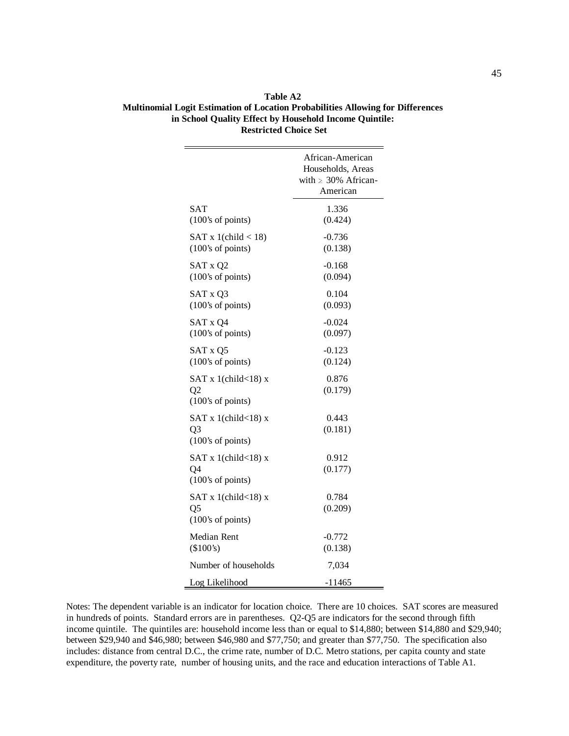|                                                        | African-American<br>Households, Areas<br>with $\geq$ 30% African-<br>American |
|--------------------------------------------------------|-------------------------------------------------------------------------------|
| SAT                                                    | 1.336                                                                         |
| (100's of points)                                      | (0.424)                                                                       |
| SAT x 1(child $<$ 18)                                  | $-0.736$                                                                      |
| (100's of points)                                      | (0.138)                                                                       |
| SAT x Q2                                               | $-0.168$                                                                      |
| (100's of points)                                      | (0.094)                                                                       |
| SAT x Q3                                               | 0.104                                                                         |
| (100's of points)                                      | (0.093)                                                                       |
| SAT x Q4                                               | $-0.024$                                                                      |
| (100's of points)                                      | (0.097)                                                                       |
| SAT x Q5                                               | $-0.123$                                                                      |
| (100's of points)                                      | (0.124)                                                                       |
| SAT x 1(child $<$ 18) x<br>Q2<br>(100's of points)     | 0.876<br>(0.179)                                                              |
| SAT x 1(child $<$ 18) x<br>Q3<br>(100's of points)     | 0.443<br>(0.181)                                                              |
| SAT x 1(child $<$ 18) x<br>Q4<br>$(100)$ 's of points) | 0.912<br>(0.177)                                                              |
| SAT x 1(child $<$ 18) x<br>Q5<br>(100's of points)     | 0.784<br>(0.209)                                                              |
| Median Rent                                            | $-0.772$                                                                      |
| (\$100's)                                              | (0.138)                                                                       |
| Number of households                                   | 7,034                                                                         |
| Log Likelihood                                         | $-11465$                                                                      |

**Table A2 Multinomial Logit Estimation of Location Probabilities Allowing for Differences in School Quality Effect by Household Income Quintile: Restricted Choice Set**

Notes: The dependent variable is an indicator for location choice. There are 10 choices. SAT scores are measured in hundreds of points. Standard errors are in parentheses. Q2-Q5 are indicators for the second through fifth income quintile. The quintiles are: household income less than or equal to \$14,880; between \$14,880 and \$29,940; between \$29,940 and \$46,980; between \$46,980 and \$77,750; and greater than \$77,750. The specification also includes: distance from central D.C., the crime rate, number of D.C. Metro stations, per capita county and state expenditure, the poverty rate, number of housing units, and the race and education interactions of Table A1.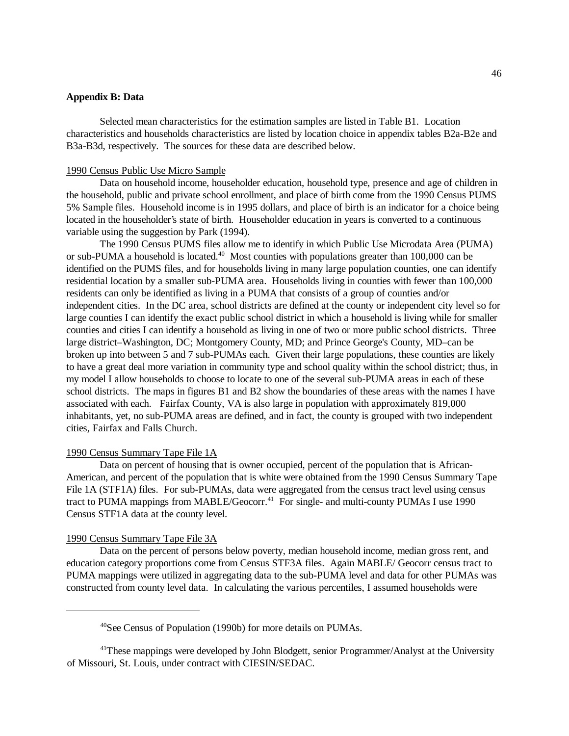## **Appendix B: Data**

Selected mean characteristics for the estimation samples are listed in Table B1. Location characteristics and households characteristics are listed by location choice in appendix tables B2a-B2e and B3a-B3d, respectively. The sources for these data are described below.

#### 1990 Census Public Use Micro Sample

Data on household income, householder education, household type, presence and age of children in the household, public and private school enrollment, and place of birth come from the 1990 Census PUMS 5% Sample files. Household income is in 1995 dollars, and place of birth is an indicator for a choice being located in the householder's state of birth. Householder education in years is converted to a continuous variable using the suggestion by Park (1994).

The 1990 Census PUMS files allow me to identify in which Public Use Microdata Area (PUMA) or sub-PUMA a household is located.<sup>40</sup> Most counties with populations greater than  $100,000$  can be identified on the PUMS files, and for households living in many large population counties, one can identify residential location by a smaller sub-PUMA area. Households living in counties with fewer than 100,000 residents can only be identified as living in a PUMA that consists of a group of counties and/or independent cities. In the DC area, school districts are defined at the county or independent city level so for large counties I can identify the exact public school district in which a household is living while for smaller counties and cities I can identify a household as living in one of two or more public school districts. Three large district–Washington, DC; Montgomery County, MD; and Prince George's County, MD–can be broken up into between 5 and 7 sub-PUMAs each. Given their large populations, these counties are likely to have a great deal more variation in community type and school quality within the school district; thus, in my model I allow households to choose to locate to one of the several sub-PUMA areas in each of these school districts. The maps in figures B1 and B2 show the boundaries of these areas with the names I have associated with each. Fairfax County, VA is also large in population with approximately 819,000 inhabitants, yet, no sub-PUMA areas are defined, and in fact, the county is grouped with two independent cities, Fairfax and Falls Church.

### 1990 Census Summary Tape File 1A

Data on percent of housing that is owner occupied, percent of the population that is African-American, and percent of the population that is white were obtained from the 1990 Census Summary Tape File 1A (STF1A) files. For sub-PUMAs, data were aggregated from the census tract level using census tract to PUMA mappings from MABLE/Geocorr.<sup>41</sup> For single- and multi-county PUMAs I use 1990 Census STF1A data at the county level.

### 1990 Census Summary Tape File 3A

Data on the percent of persons below poverty, median household income, median gross rent, and education category proportions come from Census STF3A files. Again MABLE/ Geocorr census tract to PUMA mappings were utilized in aggregating data to the sub-PUMA level and data for other PUMAs was constructed from county level data. In calculating the various percentiles, I assumed households were

<sup>40</sup>See Census of Population (1990b) for more details on PUMAs.

<sup>&</sup>lt;sup>41</sup>These mappings were developed by John Blodgett, senior Programmer/Analyst at the University of Missouri, St. Louis, under contract with CIESIN/SEDAC.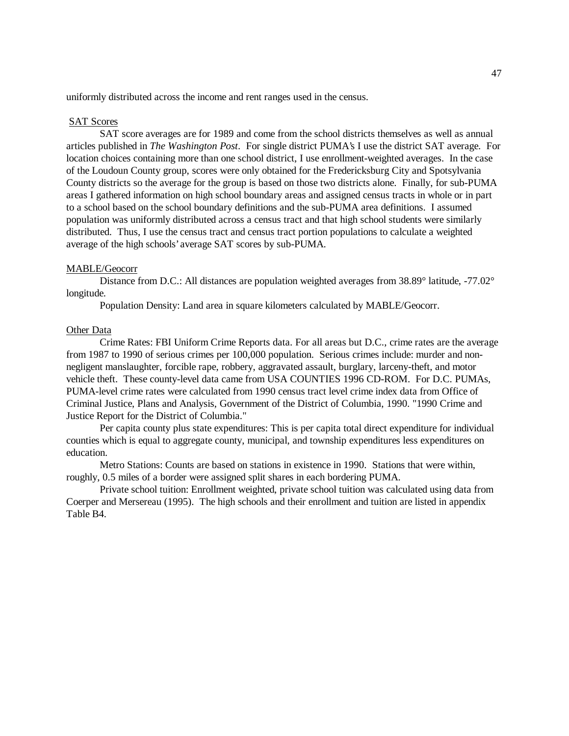uniformly distributed across the income and rent ranges used in the census.

### SAT Scores

SAT score averages are for 1989 and come from the school districts themselves as well as annual articles published in *The Washington Post*. For single district PUMA's I use the district SAT average. For location choices containing more than one school district, I use enrollment-weighted averages. In the case of the Loudoun County group, scores were only obtained for the Fredericksburg City and Spotsylvania County districts so the average for the group is based on those two districts alone. Finally, for sub-PUMA areas I gathered information on high school boundary areas and assigned census tracts in whole or in part to a school based on the school boundary definitions and the sub-PUMA area definitions. I assumed population was uniformly distributed across a census tract and that high school students were similarly distributed. Thus, I use the census tract and census tract portion populations to calculate a weighted average of the high schools' average SAT scores by sub-PUMA.

### MABLE/Geocorr

Distance from D.C.: All distances are population weighted averages from 38.89° latitude, -77.02° longitude.

Population Density: Land area in square kilometers calculated by MABLE/Geocorr.

## Other Data

Crime Rates: FBI Uniform Crime Reports data. For all areas but D.C., crime rates are the average from 1987 to 1990 of serious crimes per 100,000 population. Serious crimes include: murder and nonnegligent manslaughter, forcible rape, robbery, aggravated assault, burglary, larceny-theft, and motor vehicle theft. These county-level data came from USA COUNTIES 1996 CD-ROM. For D.C. PUMAs, PUMA-level crime rates were calculated from 1990 census tract level crime index data from Office of Criminal Justice, Plans and Analysis, Government of the District of Columbia, 1990. "1990 Crime and Justice Report for the District of Columbia."

Per capita county plus state expenditures: This is per capita total direct expenditure for individual counties which is equal to aggregate county, municipal, and township expenditures less expenditures on education.

Metro Stations: Counts are based on stations in existence in 1990. Stations that were within, roughly, 0.5 miles of a border were assigned split shares in each bordering PUMA.

Private school tuition: Enrollment weighted, private school tuition was calculated using data from Coerper and Mersereau (1995). The high schools and their enrollment and tuition are listed in appendix Table B4.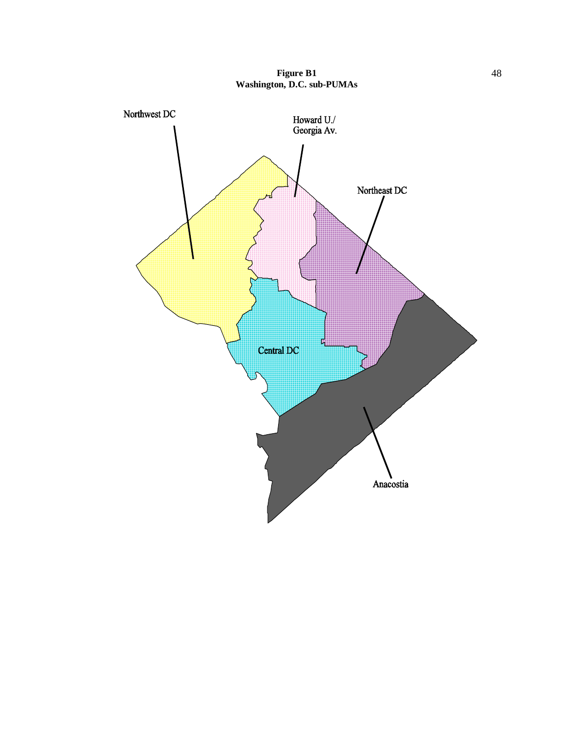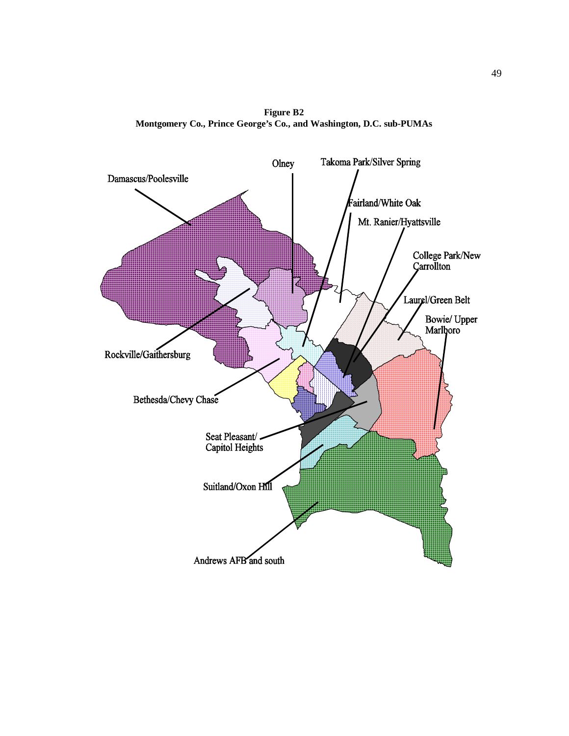**Figure B2 Montgomery Co., Prince George's Co., and Washington, D.C. sub-PUMAs**

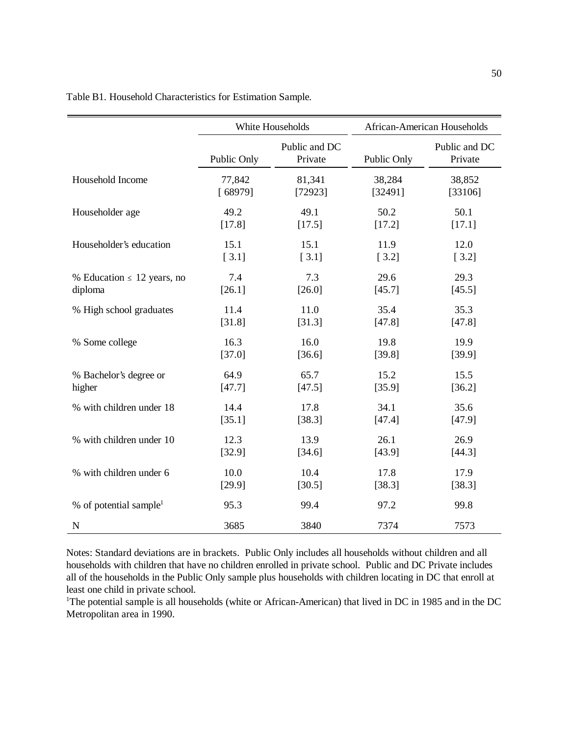|                                    |             | White Households         | African-American Households |                          |  |
|------------------------------------|-------------|--------------------------|-----------------------------|--------------------------|--|
|                                    | Public Only | Public and DC<br>Private | Public Only                 | Public and DC<br>Private |  |
| Household Income                   | 77,842      | 81,341                   | 38,284                      | 38,852                   |  |
|                                    | [68979]     | [72923]                  | [32491]                     | [33106]                  |  |
| Householder age                    | 49.2        | 49.1                     | 50.2                        | 50.1                     |  |
|                                    | [17.8]      | [17.5]                   | [17.2]                      | [17.1]                   |  |
| Householder's education            | 15.1        | 15.1                     | 11.9                        | 12.0                     |  |
|                                    | [3.1]       | $[3.1]$                  | [3.2]                       | [3.2]                    |  |
| % Education $\leq 12$ years, no    | 7.4         | 7.3                      | 29.6                        | 29.3                     |  |
| diploma                            | [26.1]      | [26.0]                   | [45.7]                      | [45.5]                   |  |
| % High school graduates            | 11.4        | 11.0                     | 35.4                        | 35.3                     |  |
|                                    | [31.8]      | [31.3]                   | [47.8]                      | [47.8]                   |  |
| % Some college                     | 16.3        | 16.0                     | 19.8                        | 19.9                     |  |
|                                    | [37.0]      | [36.6]                   | [39.8]                      | [39.9]                   |  |
| % Bachelor's degree or             | 64.9        | 65.7                     | 15.2                        | 15.5                     |  |
| higher                             | [47.7]      | [47.5]                   | [35.9]                      | [36.2]                   |  |
| % with children under 18           | 14.4        | 17.8                     | 34.1                        | 35.6                     |  |
|                                    | [35.1]      | [38.3]                   | [47.4]                      | [47.9]                   |  |
| % with children under 10           | 12.3        | 13.9                     | 26.1                        | 26.9                     |  |
|                                    | [32.9]      | [34.6]                   | [43.9]                      | [44.3]                   |  |
| % with children under 6            | 10.0        | 10.4                     | 17.8                        | 17.9                     |  |
|                                    | [29.9]      | [30.5]                   | [38.3]                      | [38.3]                   |  |
| % of potential sample <sup>1</sup> | 95.3        | 99.4                     | 97.2                        | 99.8                     |  |
| $\mathbf N$                        | 3685        | 3840                     | 7374                        | 7573                     |  |

Table B1. Household Characteristics for Estimation Sample.

Notes: Standard deviations are in brackets. Public Only includes all households without children and all households with children that have no children enrolled in private school. Public and DC Private includes all of the households in the Public Only sample plus households with children locating in DC that enroll at least one child in private school.

<sup>1</sup>The potential sample is all households (white or African-American) that lived in DC in 1985 and in the DC Metropolitan area in 1990.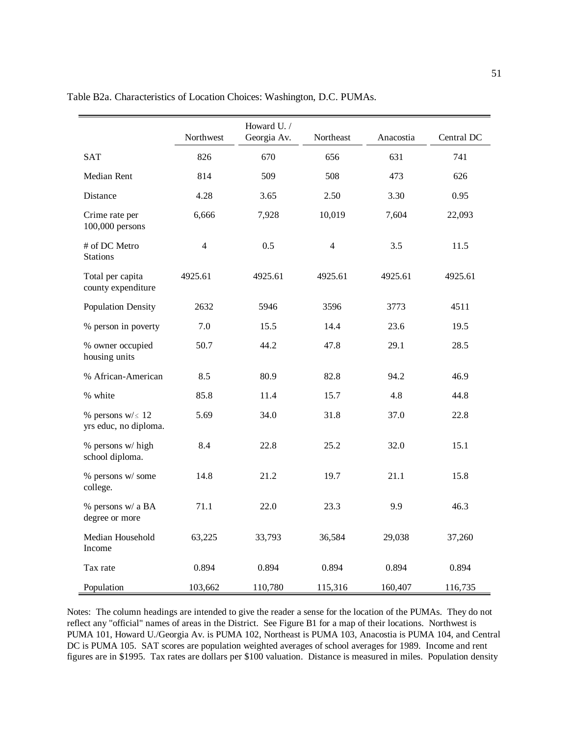|                                                | Northwest      | Howard U. /<br>Georgia Av. | Northeast      | Anacostia | Central DC |
|------------------------------------------------|----------------|----------------------------|----------------|-----------|------------|
| <b>SAT</b>                                     | 826            | 670                        | 656            | 631       | 741        |
| Median Rent                                    | 814            | 509                        | 508            | 473       | 626        |
| Distance                                       | 4.28           | 3.65                       | 2.50           | 3.30      | 0.95       |
| Crime rate per<br>$100,000$ persons            | 6,666          | 7,928                      | 10,019         | 7,604     | 22,093     |
| # of DC Metro<br><b>Stations</b>               | $\overline{4}$ | 0.5                        | $\overline{4}$ | 3.5       | 11.5       |
| Total per capita<br>county expenditure         | 4925.61        | 4925.61                    | 4925.61        | 4925.61   | 4925.61    |
| <b>Population Density</b>                      | 2632           | 5946                       | 3596           | 3773      | 4511       |
| % person in poverty                            | 7.0            | 15.5                       | 14.4           | 23.6      | 19.5       |
| % owner occupied<br>housing units              | 50.7           | 44.2                       | 47.8           | 29.1      | 28.5       |
| % African-American                             | 8.5            | 80.9                       | 82.8           | 94.2      | 46.9       |
| % white                                        | 85.8           | 11.4                       | 15.7           | 4.8       | 44.8       |
| % persons $w/\leq 12$<br>yrs educ, no diploma. | 5.69           | 34.0                       | 31.8           | 37.0      | 22.8       |
| % persons w/ high<br>school diploma.           | 8.4            | 22.8                       | 25.2           | 32.0      | 15.1       |
| % persons w/ some<br>college.                  | 14.8           | 21.2                       | 19.7           | 21.1      | 15.8       |
| % persons w/ a BA<br>degree or more            | 71.1           | 22.0                       | 23.3           | 9.9       | 46.3       |
| Median Household<br>Income                     | 63,225         | 33,793                     | 36,584         | 29,038    | 37,260     |
| Tax rate                                       | 0.894          | 0.894                      | 0.894          | 0.894     | 0.894      |

Table B2a. Characteristics of Location Choices: Washington, D.C. PUMAs.

Notes: The column headings are intended to give the reader a sense for the location of the PUMAs. They do not reflect any "official" names of areas in the District. See Figure B1 for a map of their locations. Northwest is PUMA 101, Howard U./Georgia Av. is PUMA 102, Northeast is PUMA 103, Anacostia is PUMA 104, and Central DC is PUMA 105. SAT scores are population weighted averages of school averages for 1989. Income and rent figures are in \$1995. Tax rates are dollars per \$100 valuation. Distance is measured in miles. Population density

Population 103,662 110,780 115,316 160,407 116,735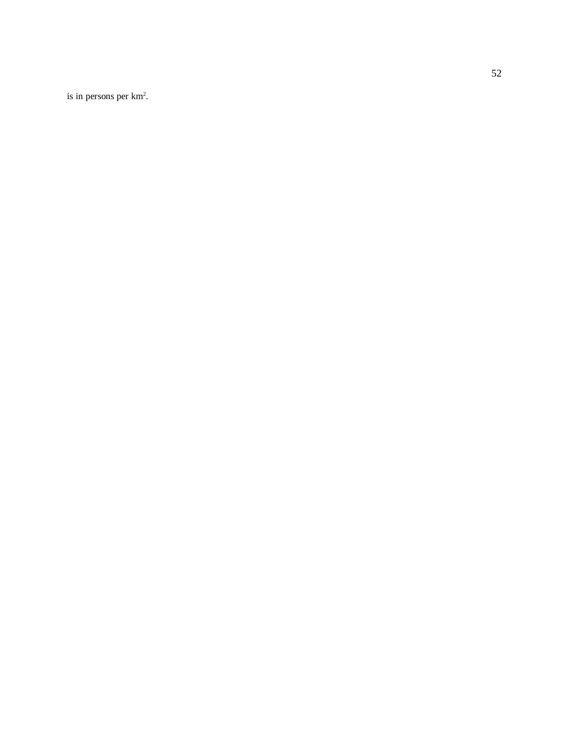is in persons per km 2 .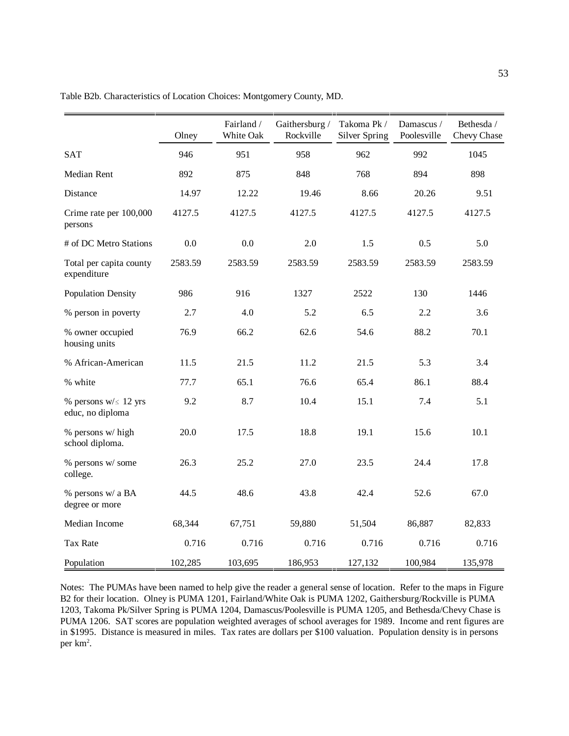|                                               | Olney   | Fairland /<br>White Oak | Gaithersburg /<br>Rockville | Takoma Pk /<br>Silver Spring | Damascus /<br>Poolesville | Bethesda /<br>Chevy Chase |
|-----------------------------------------------|---------|-------------------------|-----------------------------|------------------------------|---------------------------|---------------------------|
| <b>SAT</b>                                    | 946     | 951                     | 958                         | 962                          | 992                       | 1045                      |
| Median Rent                                   | 892     | 875                     | 848                         | 768                          | 894                       | 898                       |
| Distance                                      | 14.97   | 12.22                   | 19.46                       | 8.66                         | 20.26                     | 9.51                      |
| Crime rate per 100,000<br>persons             | 4127.5  | 4127.5                  | 4127.5                      | 4127.5                       | 4127.5                    | 4127.5                    |
| # of DC Metro Stations                        | 0.0     | 0.0                     | 2.0                         | 1.5                          | 0.5                       | 5.0                       |
| Total per capita county<br>expenditure        | 2583.59 | 2583.59                 | 2583.59                     | 2583.59                      | 2583.59                   | 2583.59                   |
| <b>Population Density</b>                     | 986     | 916                     | 1327                        | 2522                         | 130                       | 1446                      |
| % person in poverty                           | 2.7     | 4.0                     | 5.2                         | 6.5                          | 2.2                       | 3.6                       |
| % owner occupied<br>housing units             | 76.9    | 66.2                    | 62.6                        | 54.6                         | 88.2                      | 70.1                      |
| % African-American                            | 11.5    | 21.5                    | 11.2                        | 21.5                         | 5.3                       | 3.4                       |
| % white                                       | 77.7    | 65.1                    | 76.6                        | 65.4                         | 86.1                      | 88.4                      |
| % persons $w/\leq 12$ yrs<br>educ, no diploma | 9.2     | 8.7                     | 10.4                        | 15.1                         | 7.4                       | 5.1                       |
| % persons w/ high<br>school diploma.          | 20.0    | 17.5                    | 18.8                        | 19.1                         | 15.6                      | 10.1                      |
| % persons w/ some<br>college.                 | 26.3    | 25.2                    | 27.0                        | 23.5                         | 24.4                      | 17.8                      |
| % persons w/ a BA<br>degree or more           | 44.5    | 48.6                    | 43.8                        | 42.4                         | 52.6                      | 67.0                      |
| Median Income                                 | 68,344  | 67,751                  | 59,880                      | 51,504                       | 86,887                    | 82,833                    |
| Tax Rate                                      | 0.716   | 0.716                   | 0.716                       | 0.716                        | 0.716                     | 0.716                     |
| Population                                    | 102,285 | 103,695                 | 186,953                     | 127,132                      | 100,984                   | 135,978                   |

Table B2b. Characteristics of Location Choices: Montgomery County, MD.

Notes: The PUMAs have been named to help give the reader a general sense of location. Refer to the maps in Figure B2 for their location. Olney is PUMA 1201, Fairland/White Oak is PUMA 1202, Gaithersburg/Rockville is PUMA 1203, Takoma Pk/Silver Spring is PUMA 1204, Damascus/Poolesville is PUMA 1205, and Bethesda/Chevy Chase is PUMA 1206. SAT scores are population weighted averages of school averages for 1989. Income and rent figures are in \$1995. Distance is measured in miles. Tax rates are dollars per \$100 valuation. Population density is in persons per km2 .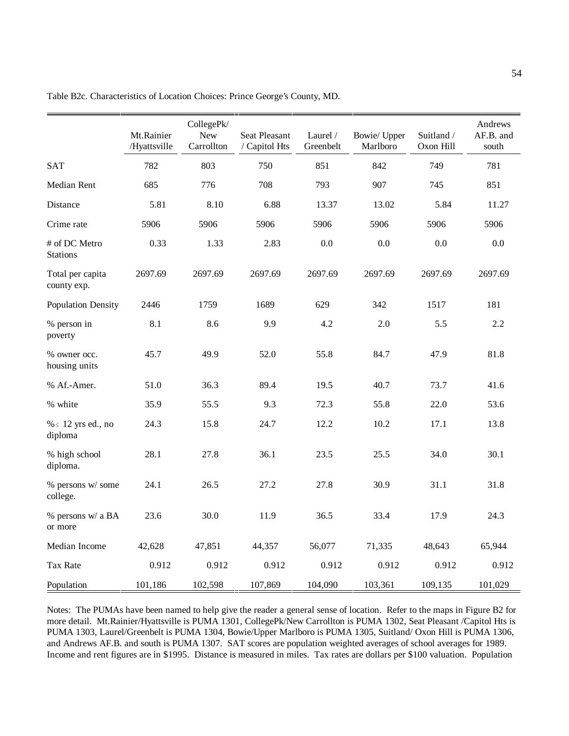|                                  | Mt.Rainier<br>/Hyattsville | CollegePk/<br><b>New</b><br>Carrollton | Seat Pleasant<br>/ Capitol Hts | Laurel /<br>Greenbelt | Bowie/ Upper<br>Marlboro | Suitland /<br>Oxon Hill | Andrews<br>AF.B. and<br>south |
|----------------------------------|----------------------------|----------------------------------------|--------------------------------|-----------------------|--------------------------|-------------------------|-------------------------------|
| <b>SAT</b>                       | 782                        | 803                                    | 750                            | 851                   | 842                      | 749                     | 781                           |
| Median Rent                      | 685                        | 776                                    | 708                            | 793                   | 907                      | 745                     | 851                           |
| Distance                         | 5.81                       | 8.10                                   | 6.88                           | 13.37                 | 13.02                    | 5.84                    | 11.27                         |
| Crime rate                       | 5906                       | 5906                                   | 5906                           | 5906                  | 5906                     | 5906                    | 5906                          |
| # of DC Metro<br><b>Stations</b> | 0.33                       | 1.33                                   | 2.83                           | 0.0                   | 0.0                      | 0.0                     | 0.0                           |
| Total per capita<br>county exp.  | 2697.69                    | 2697.69                                | 2697.69                        | 2697.69               | 2697.69                  | 2697.69                 | 2697.69                       |
| <b>Population Density</b>        | 2446                       | 1759                                   | 1689                           | 629                   | 342                      | 1517                    | 181                           |
| % person in<br>poverty           | 8.1                        | 8.6                                    | 9.9                            | 4.2                   | 2.0                      | 5.5                     | 2.2                           |
| % owner occ.<br>housing units    | 45.7                       | 49.9                                   | 52.0                           | 55.8                  | 84.7                     | 47.9                    | 81.8                          |
| % Af.-Amer.                      | 51.0                       | 36.3                                   | 89.4                           | 19.5                  | 40.7                     | 73.7                    | 41.6                          |
| % white                          | 35.9                       | 55.5                                   | 9.3                            | 72.3                  | 55.8                     | 22.0                    | 53.6                          |
| % ≤ 12 yrs ed., no<br>diploma    | 24.3                       | 15.8                                   | 24.7                           | 12.2                  | 10.2                     | 17.1                    | 13.8                          |
| % high school<br>diploma.        | 28.1                       | 27.8                                   | 36.1                           | 23.5                  | 25.5                     | 34.0                    | 30.1                          |
| % persons w/ some<br>college.    | 24.1                       | 26.5                                   | 27.2                           | 27.8                  | 30.9                     | 31.1                    | 31.8                          |
| % persons w/ a BA<br>or more     | 23.6                       | 30.0                                   | 11.9                           | 36.5                  | 33.4                     | 17.9                    | 24.3                          |
| Median Income                    | 42,628                     | 47,851                                 | 44,357                         | 56,077                | 71,335                   | 48,643                  | 65,944                        |
| Tax Rate                         | 0.912                      | 0.912                                  | 0.912                          | 0.912                 | 0.912                    | 0.912                   | 0.912                         |
| Population                       | 101,186                    | 102,598                                | 107,869                        | 104,090               | 103,361                  | 109,135                 | 101,029                       |

Table B2c. Characteristics of Location Choices: Prince George's County, MD.

Notes: The PUMAs have been named to help give the reader a general sense of location. Refer to the maps in Figure B2 for more detail. Mt.Rainier/Hyattsville is PUMA 1301, CollegePk/New Carrollton is PUMA 1302, Seat Pleasant /Capitol Hts is PUMA 1303, Laurel/Greenbelt is PUMA 1304, Bowie/Upper Marlboro is PUMA 1305, Suitland/ Oxon Hill is PUMA 1306, and Andrews AF.B. and south is PUMA 1307. SAT scores are population weighted averages of school averages for 1989. Income and rent figures are in \$1995. Distance is measured in miles. Tax rates are dollars per \$100 valuation. Population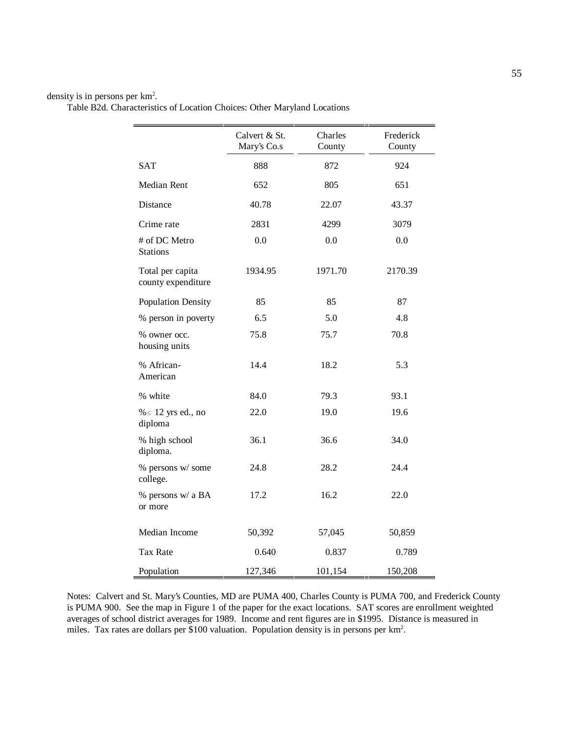### density is in persons per km2 .

|                                        | Calvert & St.<br>Mary's Co.s | Charles<br>County | Frederick<br>County |
|----------------------------------------|------------------------------|-------------------|---------------------|
| <b>SAT</b>                             | 888                          | 872               | 924                 |
| Median Rent                            | 652                          | 805               | 651                 |
| Distance                               | 40.78                        | 22.07             | 43.37               |
| Crime rate                             | 2831                         | 4299              | 3079                |
| # of DC Metro<br><b>Stations</b>       | 0.0                          | 0.0               | 0.0                 |
| Total per capita<br>county expenditure | 1934.95                      | 1971.70           | 2170.39             |
| <b>Population Density</b>              | 85                           | 85                | 87                  |
| % person in poverty                    | 6.5                          | 5.0               | 4.8                 |
| % owner occ.<br>housing units          | 75.8                         | 75.7              | 70.8                |
| % African-<br>American                 | 14.4                         | 18.2              | 5.3                 |
| % white                                | 84.0                         | 79.3              | 93.1                |
| $% \leq 12$ yrs ed., no<br>diploma     | 22.0                         | 19.0              | 19.6                |
| % high school<br>diploma.              | 36.1                         | 36.6              | 34.0                |
| % persons w/ some<br>college.          | 24.8                         | 28.2              | 24.4                |
| % persons w/ a BA<br>or more           | 17.2                         | 16.2              | 22.0                |
| Median Income                          | 50,392                       | 57,045            | 50,859              |
| <b>Tax Rate</b>                        | 0.640                        | 0.837             | 0.789               |
| Population                             | 127,346                      | 101,154           | 150,208             |

Notes: Calvert and St. Mary's Counties, MD are PUMA 400, Charles County is PUMA 700, and Frederick County is PUMA 900. See the map in Figure 1 of the paper for the exact locations. SAT scores are enrollment weighted averages of school district averages for 1989. Income and rent figures are in \$1995. Distance is measured in miles. Tax rates are dollars per \$100 valuation. Population density is in persons per km<sup>2</sup>.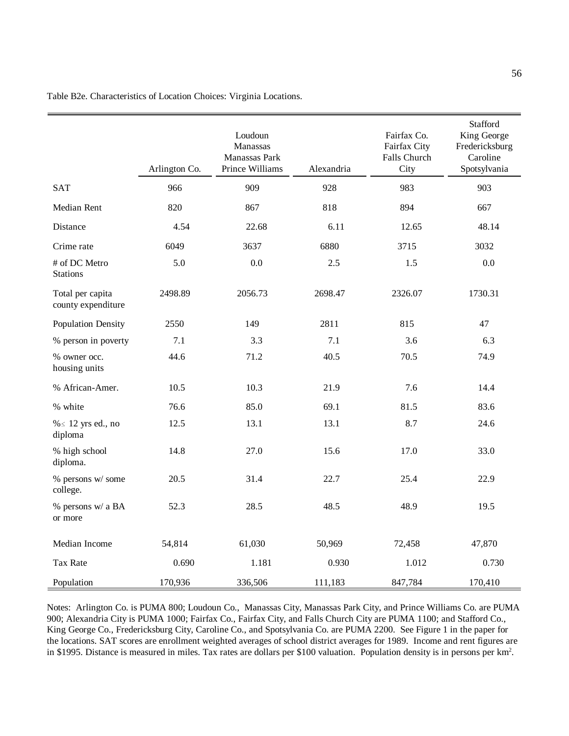|                                        | Arlington Co. | Loudoun<br>Manassas<br>Manassas Park<br>Prince Williams | Alexandria | Fairfax Co.<br>Fairfax City<br>Falls Church<br>City | Stafford<br>King George<br>Fredericksburg<br>Caroline<br>Spotsylvania |
|----------------------------------------|---------------|---------------------------------------------------------|------------|-----------------------------------------------------|-----------------------------------------------------------------------|
| <b>SAT</b>                             | 966           | 909                                                     | 928        | 983                                                 | 903                                                                   |
| Median Rent                            | 820           | 867                                                     | 818        | 894                                                 | 667                                                                   |
| Distance                               | 4.54          | 22.68                                                   | 6.11       | 12.65                                               | 48.14                                                                 |
| Crime rate                             | 6049          | 3637                                                    | 6880       | 3715                                                | 3032                                                                  |
| # of DC Metro<br><b>Stations</b>       | 5.0           | 0.0                                                     | 2.5        | 1.5                                                 | 0.0                                                                   |
| Total per capita<br>county expenditure | 2498.89       | 2056.73                                                 | 2698.47    | 2326.07                                             | 1730.31                                                               |
| <b>Population Density</b>              | 2550          | 149                                                     | 2811       | 815                                                 | 47                                                                    |
| % person in poverty                    | 7.1           | 3.3                                                     | 7.1        | 3.6                                                 | 6.3                                                                   |
| % owner occ.<br>housing units          | 44.6          | 71.2                                                    | 40.5       | 70.5                                                | 74.9                                                                  |
| % African-Amer.                        | 10.5          | 10.3                                                    | 21.9       | 7.6                                                 | 14.4                                                                  |
| % white                                | 76.6          | 85.0                                                    | 69.1       | 81.5                                                | 83.6                                                                  |
| % ≤ 12 yrs ed., no<br>diploma          | 12.5          | 13.1                                                    | 13.1       | 8.7                                                 | 24.6                                                                  |
| % high school<br>diploma.              | 14.8          | 27.0                                                    | 15.6       | 17.0                                                | 33.0                                                                  |
| % persons w/ some<br>college.          | 20.5          | 31.4                                                    | 22.7       | 25.4                                                | 22.9                                                                  |
| % persons w/ a BA<br>or more           | 52.3          | 28.5                                                    | 48.5       | 48.9                                                | 19.5                                                                  |
| Median Income                          | 54,814        | 61,030                                                  | 50,969     | 72,458                                              | 47,870                                                                |
| <b>Tax Rate</b>                        | 0.690         | 1.181                                                   | 0.930      | 1.012                                               | 0.730                                                                 |
| Population                             | 170,936       | 336,506                                                 | 111,183    | 847,784                                             | 170,410                                                               |

Table B2e. Characteristics of Location Choices: Virginia Locations.

Notes: Arlington Co. is PUMA 800; Loudoun Co., Manassas City, Manassas Park City, and Prince Williams Co. are PUMA 900; Alexandria City is PUMA 1000; Fairfax Co., Fairfax City, and Falls Church City are PUMA 1100; and Stafford Co., King George Co., Fredericksburg City, Caroline Co., and Spotsylvania Co. are PUMA 2200. See Figure 1 in the paper for the locations. SAT scores are enrollment weighted averages of school district averages for 1989. Income and rent figures are in \$1995. Distance is measured in miles. Tax rates are dollars per \$100 valuation. Population density is in persons per km<sup>2</sup>.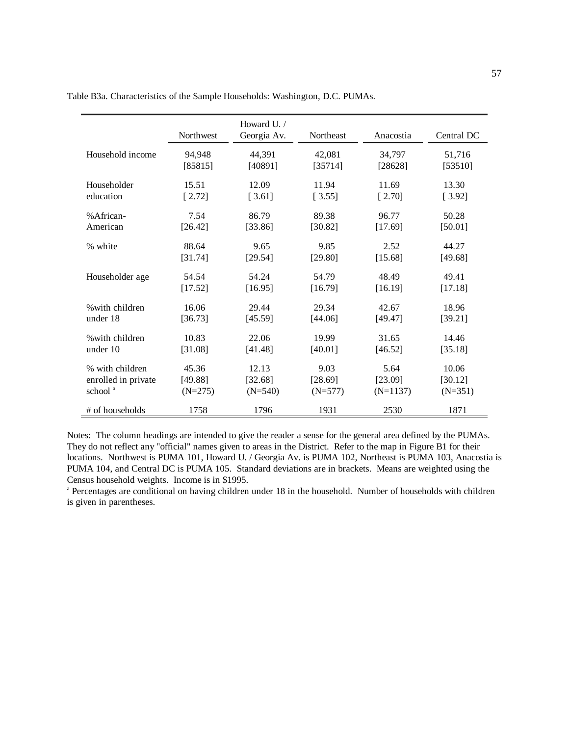|                     | Northwest | Howard U.<br>Georgia Av. | Northeast | Anacostia  | Central DC |
|---------------------|-----------|--------------------------|-----------|------------|------------|
| Household income    | 94,948    | 44,391                   | 42,081    | 34,797     | 51,716     |
|                     | [85815]   | [40891]                  | [35714]   | [28628]    | [53510]    |
| Householder         | 15.51     | 12.09                    | 11.94     | 11.69      | 13.30      |
| education           | [2.72]    | [3.61]                   | [3.55]    | [2.70]     | [3.92]     |
| %African-           | 7.54      | 86.79                    | 89.38     | 96.77      | 50.28      |
| American            | [26.42]   | [33.86]                  | [30.82]   | [17.69]    | [50.01]    |
| % white             | 88.64     | 9.65                     | 9.85      | 2.52       | 44.27      |
|                     | [31.74]   | [29.54]                  | [29.80]   | [15.68]    | [49.68]    |
| Householder age     | 54.54     | 54.24                    | 54.79     | 48.49      | 49.41      |
|                     | [17.52]   | [16.95]                  | [16.79]   | [16.19]    | [17.18]    |
| % with children     | 16.06     | 29.44                    | 29.34     | 42.67      | 18.96      |
| under 18            | [36.73]   | [45.59]                  | [44.06]   | [49.47]    | [39.21]    |
| % with children     | 10.83     | 22.06                    | 19.99     | 31.65      | 14.46      |
| under 10            | [31.08]   | [41.48]                  | [40.01]   | [46.52]    | [35.18]    |
| % with children     | 45.36     | 12.13                    | 9.03      | 5.64       | 10.06      |
| enrolled in private | [49.88]   | [32.68]                  | [28.69]   | [23.09]    | [30.12]    |
| school <sup>a</sup> | $(N=275)$ | $(N=540)$                | $(N=577)$ | $(N=1137)$ | $(N=351)$  |
| # of households     | 1758      | 1796                     | 1931      | 2530       | 1871       |

Table B3a. Characteristics of the Sample Households: Washington, D.C. PUMAs.

Notes: The column headings are intended to give the reader a sense for the general area defined by the PUMAs. They do not reflect any "official" names given to areas in the District. Refer to the map in Figure B1 for their locations. Northwest is PUMA 101, Howard U. / Georgia Av. is PUMA 102, Northeast is PUMA 103, Anacostia is PUMA 104, and Central DC is PUMA 105. Standard deviations are in brackets. Means are weighted using the Census household weights. Income is in \$1995.

a Percentages are conditional on having children under 18 in the household. Number of households with children is given in parentheses.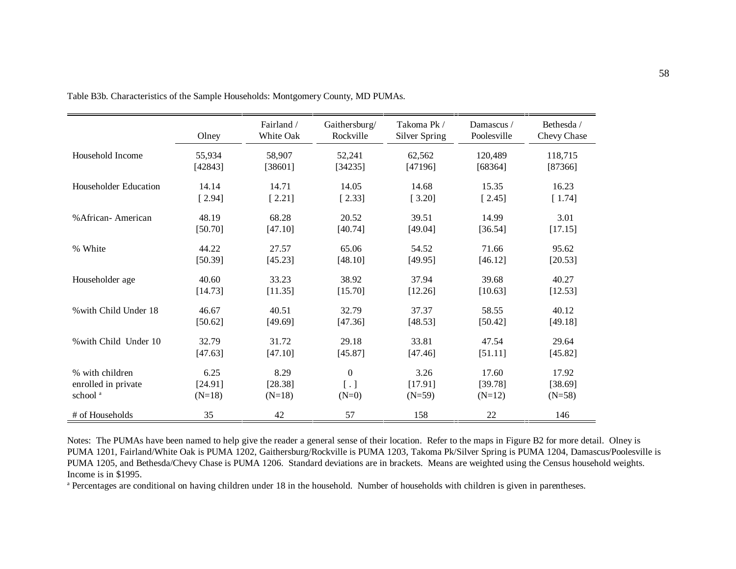|                       | Olney     | Fairland /<br>White Oak | Gaithersburg/<br>Rockville | Takoma Pk /<br>Silver Spring | Damascus /<br>Poolesville | Bethesda /<br>Chevy Chase |
|-----------------------|-----------|-------------------------|----------------------------|------------------------------|---------------------------|---------------------------|
| Household Income      | 55,934    | 58,907                  | 52,241                     | 62,562                       | 120,489                   | 118,715                   |
|                       | [42843]   | [38601]                 | [34235]                    | [47196]                      | [68364]                   | [87366]                   |
| Householder Education | 14.14     | 14.71                   | 14.05                      | 14.68                        | 15.35                     | 16.23                     |
|                       | [2.94]    | [2.21]                  | [2.33]                     | [3.20]                       | [2.45]                    | [1.74]                    |
| % African - American  | 48.19     | 68.28                   | 20.52                      | 39.51                        | 14.99                     | 3.01                      |
|                       | [50.70]   | [47.10]                 | [40.74]                    | [49.04]                      | [36.54]                   | [17.15]                   |
| % White               | 44.22     | 27.57                   | 65.06                      | 54.52                        | 71.66                     | 95.62                     |
|                       | [50.39]   | [45.23]                 | [48.10]                    | [49.95]                      | [46.12]                   | [20.53]                   |
| Householder age       | 40.60     | 33.23                   | 38.92                      | 37.94                        | 39.68                     | 40.27                     |
|                       | [14.73]   | [11.35]                 | [15.70]                    | [12.26]                      | [10.63]                   | [12.53]                   |
| % with Child Under 18 | 46.67     | 40.51                   | 32.79                      | 37.37                        | 58.55                     | 40.12                     |
|                       | $[50.62]$ | [49.69]                 | [47.36]                    | [48.53]                      | [50.42]                   | [49.18]                   |
| % with Child Under 10 | 32.79     | 31.72                   | 29.18                      | 33.81                        | 47.54                     | 29.64                     |
|                       | [47.63]   | [47.10]                 | [45.87]                    | [47.46]                      | [51.11]                   | [45.82]                   |
| % with children       | 6.25      | 8.29                    | $\Omega$                   | 3.26                         | 17.60                     | 17.92                     |
| enrolled in private   | [24.91]   | [28.38]                 | [ . ]                      | [17.91]                      | [39.78]                   | [38.69]                   |
| school <sup>a</sup>   | $(N=18)$  | $(N=18)$                | $(N=0)$                    | $(N=59)$                     | $(N=12)$                  | $(N=58)$                  |
| # of Households       | 35        | 42                      | 57                         | 158                          | 22                        | 146                       |

Table B3b. Characteristics of the Sample Households: Montgomery County, MD PUMAs.

Notes: The PUMAs have been named to help give the reader a general sense of their location. Refer to the maps in Figure B2 for more detail. Olney is PUMA 1201, Fairland/White Oak is PUMA 1202, Gaithersburg/Rockville is PUMA 1203, Takoma Pk/Silver Spring is PUMA 1204, Damascus/Poolesville is PUMA 1205, and Bethesda/Chevy Chase is PUMA 1206. Standard deviations are in brackets. Means are weighted using the Census household weights. Income is in \$1995.

a Percentages are conditional on having children under 18 in the household. Number of households with children is given in parentheses.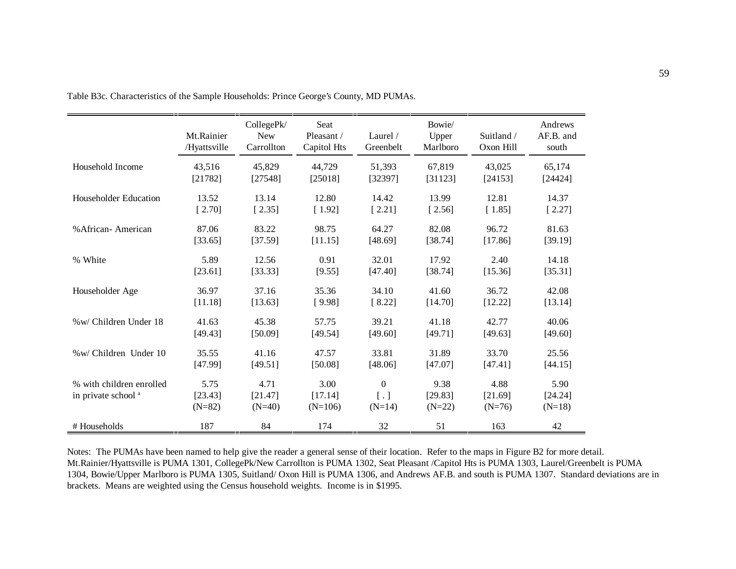|                                                            | Mt.Rainier<br>/Hyattsville  | CollegePk/<br><b>New</b><br>Carrollton | Seat<br>Pleasant /<br>Capitol Hts | Laurel $/$<br>Greenbelt           | Bowie/<br>Upper<br>Marlboro | Suitland /<br>Oxon Hill     | Andrews<br>AF.B. and<br>south |
|------------------------------------------------------------|-----------------------------|----------------------------------------|-----------------------------------|-----------------------------------|-----------------------------|-----------------------------|-------------------------------|
| Household Income                                           | 43,516                      | 45,829                                 | 44,729                            | 51,393                            | 67,819                      | 43,025                      | 65,174                        |
|                                                            | [21782]                     | [27548]                                | [25018]                           | [32397]                           | [31123]                     | [24153]                     | [24424]                       |
| Householder Education                                      | 13.52                       | 13.14                                  | 12.80                             | 14.42                             | 13.99                       | 12.81                       | 14.37                         |
|                                                            | [2.70]                      | [2.35]                                 | [1.92]                            | [2.21]                            | [2.56]                      | [1.85]                      | [2.27]                        |
| % African-American                                         | 87.06                       | 83.22                                  | 98.75                             | 64.27                             | 82.08                       | 96.72                       | 81.63                         |
|                                                            | [33.65]                     | [37.59]                                | [11.15]                           | [48.69]                           | [38.74]                     | [17.86]                     | [39.19]                       |
| % White                                                    | 5.89                        | 12.56                                  | 0.91                              | 32.01                             | 17.92                       | 2.40                        | 14.18                         |
|                                                            | [23.61]                     | [33.33]                                | [9.55]                            | [47.40]                           | [38.74]                     | [15.36]                     | [35.31]                       |
| Householder Age                                            | 36.97                       | 37.16                                  | 35.36                             | 34.10                             | 41.60                       | 36.72                       | 42.08                         |
|                                                            | [11.18]                     | [13.63]                                | [9.98]                            | [8.22]                            | [14.70]                     | [12.22]                     | [13.14]                       |
| %w/ Children Under 18                                      | 41.63                       | 45.38                                  | 57.75                             | 39.21                             | 41.18                       | 42.77                       | 40.06                         |
|                                                            | [49.43]                     | [50.09]                                | [49.54]                           | [49.60]                           | [49.71]                     | [49.63]                     | [49.60]                       |
| %w/ Children Under 10                                      | 35.55                       | 41.16                                  | 47.57                             | 33.81                             | 31.89                       | 33.70                       | 25.56                         |
|                                                            | [47.99]                     | [49.51]                                | [50.08]                           | [48.06]                           | [47.07]                     | [47.41]                     | [44.15]                       |
| % with children enrolled<br>in private school <sup>a</sup> | 5.75<br>[23.43]<br>$(N=82)$ | 4.71<br>[21.47]<br>$(N=40)$            | 3.00<br>[17.14]<br>$(N=106)$      | $\mathbf{0}$<br>[ . ]<br>$(N=14)$ | 9.38<br>[29.83]<br>$(N=22)$ | 4.88<br>[21.69]<br>$(N=76)$ | 5.90<br>[24.24]<br>$(N=18)$   |
| # Households                                               | 187                         | 84                                     | 174                               | 32                                | 51                          | 163                         | 42                            |

Table B3c. Characteristics of the Sample Households: Prince George's County, MD PUMAs.

Notes: The PUMAs have been named to help give the reader a general sense of their location. Refer to the maps in Figure B2 for more detail. Mt.Rainier/Hyattsville is PUMA 1301, CollegePk/New Carrollton is PUMA 1302, Seat Pleasant /Capitol Hts is PUMA 1303, Laurel/Greenbelt is PUMA 1304, Bowie/Upper Marlboro is PUMA 1305, Suitland/ Oxon Hill is PUMA 1306, and Andrews AF.B. and south is PUMA 1307. Standard deviations are in brackets. Means are weighted using the Census household weights. Income is in \$1995.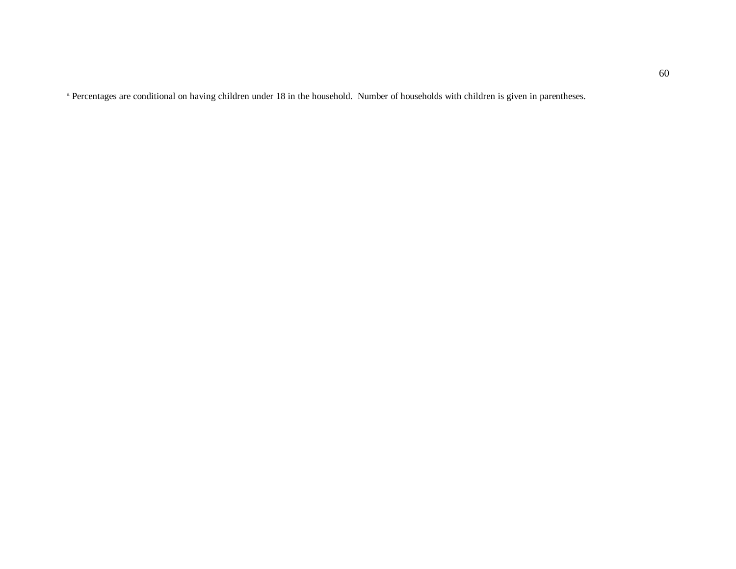<sup>a</sup> Percentages are conditional on having children under 18 in the household. Number of households with children is given in parentheses.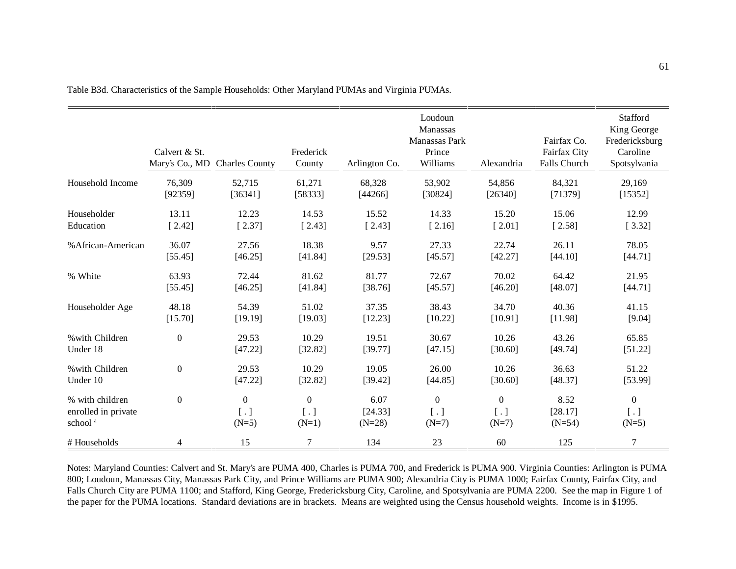|                     | Calvert & St.<br>Mary's Co., MD Charles County |                   | Frederick<br>County | Arlington Co. | Loudoun<br>Manassas<br>Manassas Park<br>Prince<br>Williams | Alexandria        | Fairfax Co.<br>Fairfax City<br>Falls Church | Stafford<br>King George<br>Fredericksburg<br>Caroline<br>Spotsylvania |
|---------------------|------------------------------------------------|-------------------|---------------------|---------------|------------------------------------------------------------|-------------------|---------------------------------------------|-----------------------------------------------------------------------|
| Household Income    | 76,309                                         | 52,715            | 61,271              | 68,328        | 53,902                                                     | 54,856            | 84,321                                      | 29,169                                                                |
|                     | [92359]                                        | [36341]           | [58333]             | [44266]       | [30824]                                                    | [26340]           | [71379]                                     | [15352]                                                               |
| Householder         | 13.11                                          | 12.23             | 14.53               | 15.52         | 14.33                                                      | 15.20             | 15.06                                       | 12.99                                                                 |
| Education           | [2.42]                                         | [2.37]            | [2.43]              | [2.43]        | [2.16]                                                     | [2.01]            | [2.58]                                      | [3.32]                                                                |
| % African-American  | 36.07                                          | 27.56             | 18.38               | 9.57          | 27.33                                                      | 22.74             | 26.11                                       | 78.05                                                                 |
|                     | [55.45]                                        | [46.25]           | [41.84]             | [29.53]       | [45.57]                                                    | [42.27]           | [44.10]                                     | [44.71]                                                               |
| % White             | 63.93                                          | 72.44             | 81.62               | 81.77         | 72.67                                                      | 70.02             | 64.42                                       | 21.95                                                                 |
|                     | [55.45]                                        | [46.25]           | [41.84]             | [38.76]       | [45.57]                                                    | [46.20]           | [48.07]                                     | [44.71]                                                               |
| Householder Age     | 48.18                                          | 54.39             | 51.02               | 37.35         | 38.43                                                      | 34.70             | 40.36                                       | 41.15                                                                 |
|                     | [15.70]                                        | [19.19]           | [19.03]             | [12.23]       | [10.22]                                                    | [10.91]           | [11.98]                                     | [9.04]                                                                |
| % with Children     | $\boldsymbol{0}$                               | 29.53             | 10.29               | 19.51         | 30.67                                                      | 10.26             | 43.26                                       | 65.85                                                                 |
| Under 18            |                                                | [47.22]           | [32.82]             | [39.77]       | [47.15]                                                    | [30.60]           | [49.74]                                     | [51.22]                                                               |
| % with Children     | $\boldsymbol{0}$                               | 29.53             | 10.29               | 19.05         | 26.00                                                      | 10.26             | 36.63                                       | 51.22                                                                 |
| Under 10            |                                                | [47.22]           | [32.82]             | [39.42]       | [44.85]                                                    | [30.60]           | [48.37]                                     | [53.99]                                                               |
| % with children     | $\mathbf{0}$                                   | $\boldsymbol{0}$  | $\overline{0}$      | 6.07          | $\theta$                                                   | $\mathbf{0}$      | 8.52                                        | $\boldsymbol{0}$                                                      |
| enrolled in private |                                                | $\lceil . \rceil$ | $\lceil . \rceil$   | [24.33]       | $\lceil . \rceil$                                          | $\lceil . \rceil$ | [28.17]                                     | [ . ]                                                                 |
| school <sup>a</sup> |                                                | $(N=5)$           | $(N=1)$             | $(N=28)$      | $(N=7)$                                                    | $(N=7)$           | $(N=54)$                                    | $(N=5)$                                                               |
| # Households        | 4                                              | 15                | 7                   | 134           | 23                                                         | 60                | 125                                         | 7                                                                     |

Table B3d. Characteristics of the Sample Households: Other Maryland PUMAs and Virginia PUMAs.

Notes: Maryland Counties: Calvert and St. Mary's are PUMA 400, Charles is PUMA 700, and Frederick is PUMA 900. Virginia Counties: Arlington is PUMA 800; Loudoun, Manassas City, Manassas Park City, and Prince Williams are PUMA 900; Alexandria City is PUMA 1000; Fairfax County, Fairfax City, and Falls Church City are PUMA 1100; and Stafford, King George, Fredericksburg City, Caroline, and Spotsylvania are PUMA 2200. See the map in Figure 1 of the paper for the PUMA locations. Standard deviations are in brackets. Means are weighted using the Census household weights. Income is in \$1995.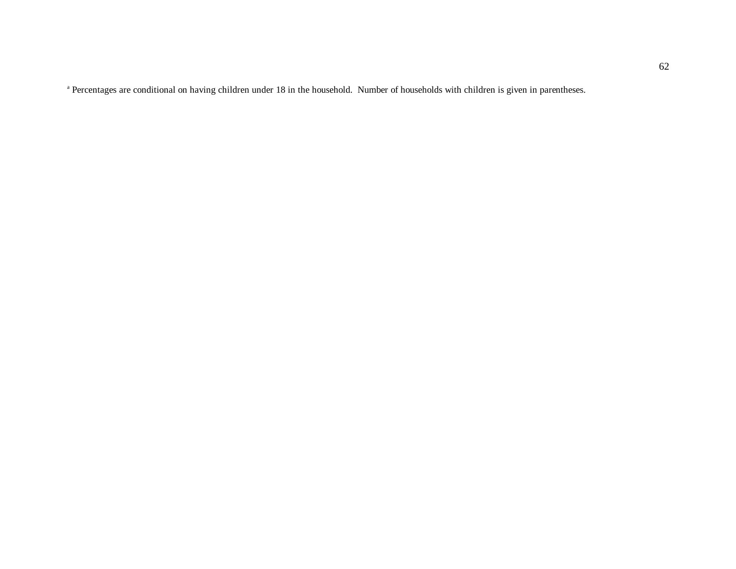a Percentages are conditional on having children under 18 in the household. Number of households with children is given in parentheses.